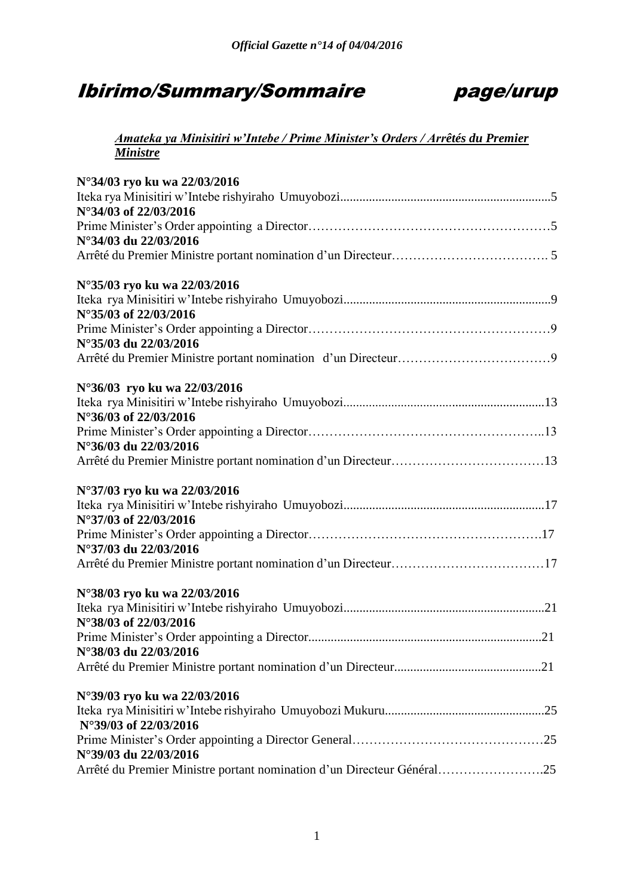# Ibirimo/Summary/Sommaire page/urup



### *Amateka ya Minisitiri w'Intebe / Prime Minister's Orders / Arrêtés du Premier Ministre*

| N°34/03 ryo ku wa 22/03/2016<br>N°34/03 of 22/03/2016<br>N°34/03 du 22/03/2016 |  |
|--------------------------------------------------------------------------------|--|
|                                                                                |  |
| N°35/03 ryo ku wa 22/03/2016<br>N°35/03 of 22/03/2016                          |  |
| N°35/03 du 22/03/2016                                                          |  |
|                                                                                |  |
| N°36/03 ryo ku wa 22/03/2016                                                   |  |
|                                                                                |  |
| N°36/03 of 22/03/2016                                                          |  |
| N°36/03 du 22/03/2016                                                          |  |
|                                                                                |  |
| N°37/03 ryo ku wa 22/03/2016                                                   |  |
|                                                                                |  |
| N°37/03 of 22/03/2016                                                          |  |
|                                                                                |  |
| N°37/03 du 22/03/2016                                                          |  |
|                                                                                |  |
| N°38/03 ryo ku wa 22/03/2016                                                   |  |
|                                                                                |  |
| N°38/03 of 22/03/2016                                                          |  |
|                                                                                |  |
| N°38/03 du 22/03/2016                                                          |  |
|                                                                                |  |
| N°39/03 ryo ku wa 22/03/2016                                                   |  |
| N°39/03 of 22/03/2016                                                          |  |
|                                                                                |  |
| N°39/03 du 22/03/2016                                                          |  |
| Arrêté du Premier Ministre portant nomination d'un Directeur Général25         |  |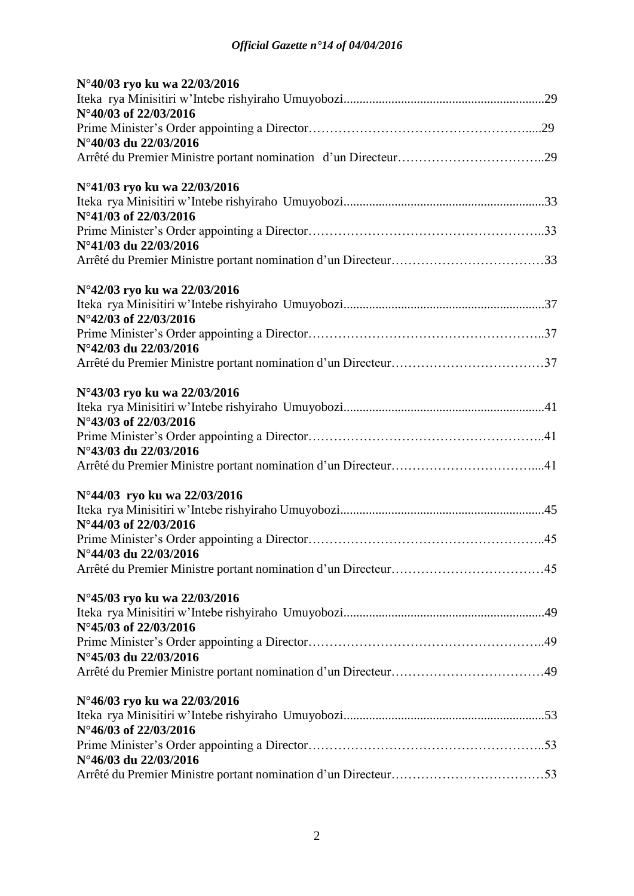| N°40/03 ryo ku wa 22/03/2016 |
|------------------------------|
|                              |
| N°40/03 of 22/03/2016        |
|                              |
| N°40/03 du 22/03/2016        |
|                              |
| N°41/03 ryo ku wa 22/03/2016 |
|                              |
| N°41/03 of 22/03/2016        |
|                              |
| N°41/03 du 22/03/2016        |
|                              |
| N°42/03 ryo ku wa 22/03/2016 |
|                              |
| N°42/03 of 22/03/2016        |
|                              |
| N°42/03 du 22/03/2016        |
|                              |
| N°43/03 ryo ku wa 22/03/2016 |
|                              |
| N°43/03 of 22/03/2016        |
|                              |
| N°43/03 du 22/03/2016        |
|                              |
| N°44/03 ryo ku wa 22/03/2016 |
|                              |
| N°44/03 of 22/03/2016        |
|                              |
| N°44/03 du 22/03/2016        |
|                              |
| N°45/03 ryo ku wa 22/03/2016 |
|                              |
| N°45/03 of 22/03/2016        |
|                              |
| N°45/03 du 22/03/2016        |
|                              |
| N°46/03 ryo ku wa 22/03/2016 |
|                              |
| N°46/03 of 22/03/2016        |
| N°46/03 du 22/03/2016        |
|                              |
|                              |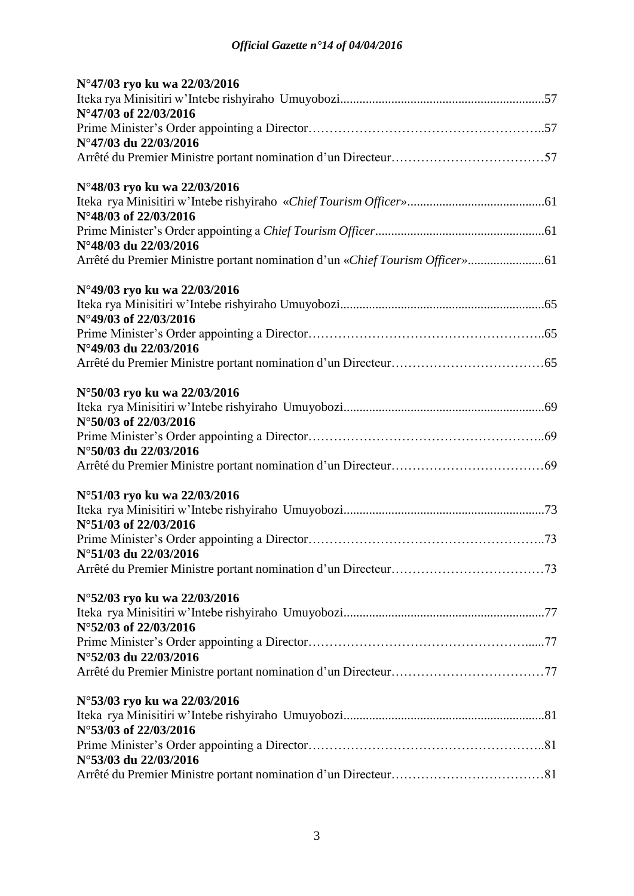| N°47/03 ryo ku wa 22/03/2016 |  |
|------------------------------|--|
|                              |  |
| N°47/03 of 22/03/2016        |  |
|                              |  |
| N°47/03 du 22/03/2016        |  |
|                              |  |
| N°48/03 ryo ku wa 22/03/2016 |  |
|                              |  |
| N°48/03 of 22/03/2016        |  |
|                              |  |
| N°48/03 du 22/03/2016        |  |
|                              |  |
| N°49/03 ryo ku wa 22/03/2016 |  |
|                              |  |
| N°49/03 of 22/03/2016        |  |
|                              |  |
| N°49/03 du 22/03/2016        |  |
|                              |  |
| N°50/03 ryo ku wa 22/03/2016 |  |
|                              |  |
| N°50/03 of 22/03/2016        |  |
|                              |  |
| N°50/03 du 22/03/2016        |  |
|                              |  |
| N°51/03 ryo ku wa 22/03/2016 |  |
|                              |  |
| N°51/03 of 22/03/2016        |  |
|                              |  |
| N°51/03 du 22/03/2016        |  |
|                              |  |
| N°52/03 ryo ku wa 22/03/2016 |  |
|                              |  |
| N°52/03 of 22/03/2016        |  |
|                              |  |
| N°52/03 du 22/03/2016        |  |
|                              |  |
| N°53/03 ryo ku wa 22/03/2016 |  |
|                              |  |
| N°53/03 of 22/03/2016        |  |
|                              |  |
| N°53/03 du 22/03/2016        |  |
|                              |  |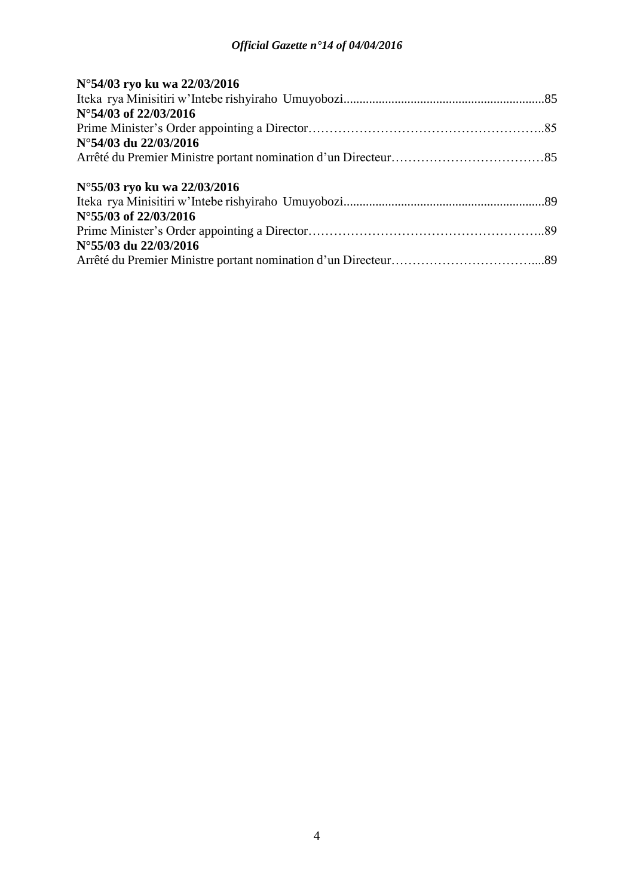| N°54/03 ryo ku wa 22/03/2016 |  |
|------------------------------|--|
|                              |  |
| N°54/03 of 22/03/2016        |  |
|                              |  |
| N°54/03 du 22/03/2016        |  |
|                              |  |
| N°55/03 ryo ku wa 22/03/2016 |  |
|                              |  |
| N°55/03 of 22/03/2016        |  |
|                              |  |
| N°55/03 du 22/03/2016        |  |
|                              |  |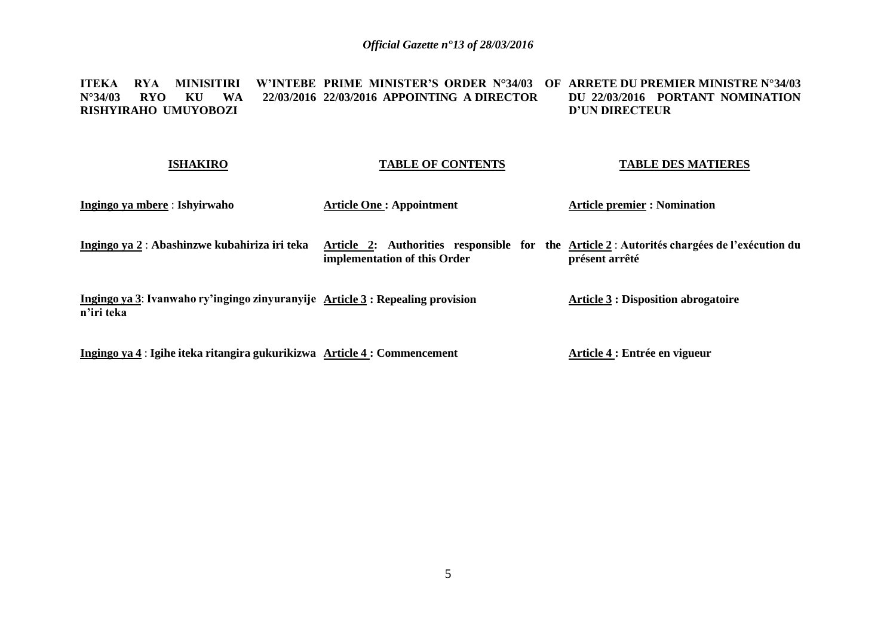#### **ITEKA RYA MINISITIRI W'INTEBE PRIME MINISTER'S ORDER N°34/03 OF ARRETE DU PREMIER MINISTRE N°34/03 N°34/03 RYO KU WA RISHYIRAHO UMUYOBOZI 22/03/2016 APPOINTING A DIRECTOR DU 22/03/2016 PORTANT NOMINATION D'UN DIRECTEUR**

| <b>ISHAKIRO</b>                                                                              | <b>TABLE OF CONTENTS</b>                                                                                                   | <b>TABLE DES MATIERES</b>                  |
|----------------------------------------------------------------------------------------------|----------------------------------------------------------------------------------------------------------------------------|--------------------------------------------|
| Ingingo ya mbere : Ishyirwaho                                                                | <b>Article One: Appointment</b>                                                                                            | <b>Article premier : Nomination</b>        |
| Ingingo ya 2 : Abashinzwe kubahiriza iri teka                                                | Article 2: Authorities responsible for the Article 2: Autorités chargées de l'exécution du<br>implementation of this Order | présent arrêté                             |
| Ingingo ya 3: Ivanwaho ry'ingingo zinyuranyije Article 3 : Repealing provision<br>n'iri teka |                                                                                                                            | <b>Article 3 : Disposition abrogatoire</b> |
|                                                                                              |                                                                                                                            |                                            |

**Ingingo ya 4** : **Igihe iteka ritangira gukurikizwa Article 4 : Commencement**

**Article 4 : Entrée en vigueur**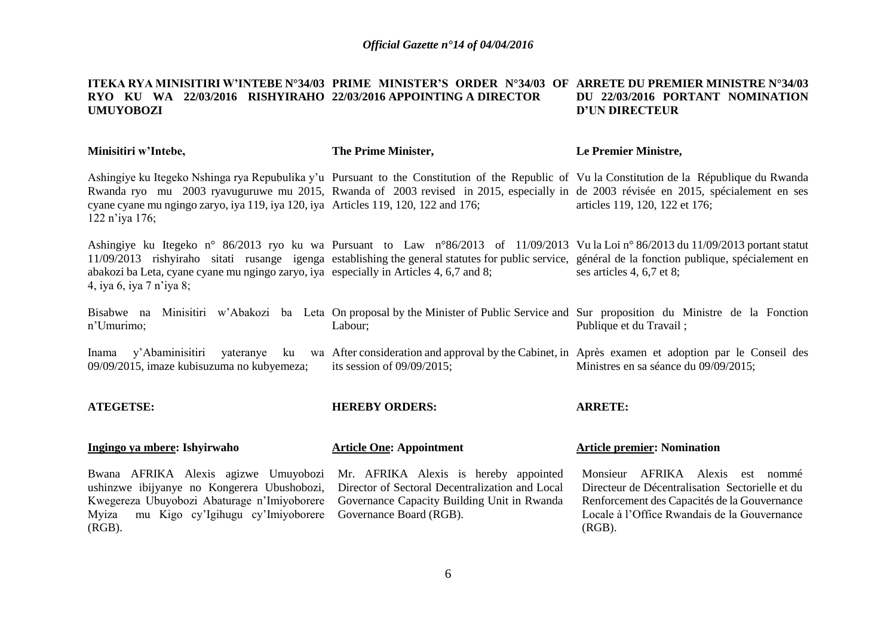#### **ITEKA RYA MINISITIRI W'INTEBE N°34/03 PRIME MINISTER'S ORDER N°34/03 OF ARRETE DU PREMIER MINISTRE N°34/03 RYO KU WA 22/03/2016 RISHYIRAHO 22/03/2016 APPOINTING A DIRECTOR UMUYOBOZI DU 22/03/2016 PORTANT NOMINATION D'UN DIRECTEUR**

| Minisitiri w'Intebe, | The Prime Minister, | Le Premier Ministre, |
|----------------------|---------------------|----------------------|
|                      |                     |                      |

Ashingiye ku Itegeko Nshinga rya Repubulika y'u Pursuant to the Constitution of the Republic of Vu la Constitution de la République du Rwanda Rwanda ryo mu 2003 ryavuguruwe mu 2015, Rwanda of 2003 revised in 2015, especially in de 2003 révisée en 2015, spécialement en ses cyane cyane mu ngingo zaryo, iya 119, iya 120, iya Articles 119, 120, 122 and 176; 122 n'iya 176; articles 119, 120, 122 et 176;

Ashingiye ku Itegeko n° 86/2013 ryo ku wa Pursuant to Law n°86/2013 of 11/09/2013 Vu la Loi n° 86/2013 du 11/09/2013 portant statut 11/09/2013 rishyiraho sitati rusange igenga establishing the general statutes for public service, général de la fonction publique, spécialement en abakozi ba Leta, cyane cyane mu ngingo zaryo, iya especially in Articles 4, 6,7 and 8; 4, iya 6, iya 7 n'iya 8; ses articles 4, 6,7 et 8;

Bisabwe na Minisitiri w'Abakozi ba Leta On proposal by the Minister of Public Service and Sur proposition du Ministre de la Fonction n'Umurimo; Labour; Publique et du Travail ;

Inama y'Abaminisitiri yateranye ku wa After consideration and approval by the Cabinet, in Après examen et adoption par le Conseil des 09/09/2015, imaze kubisuzuma no kubyemeza; its session of 09/09/2015; Ministres en sa séance du 09/09/2015;

**ATEGETSE: Ingingo ya mbere: Ishyirwaho** Bwana AFRIKA Alexis agizwe Umuyobozi ushinzwe ibijyanye no Kongerera Ubushobozi, Kwegereza Ubuyobozi Abaturage n'Imiyoborere **HEREBY ORDERS: Article One: Appointment** Mr. AFRIKA Alexis is hereby appointed Director of Sectoral Decentralization and Local Governance Capacity Building Unit in Rwanda **ARRETE: Article premier: Nomination**

Myiza mu Kigo cy'Igihugu cy'Imiyoborere Governance Board (RGB).

(RGB).

Monsieur AFRIKA Alexis est nommé Directeur de Décentralisation Sectorielle et du Renforcement des Capacités de la Gouvernance Locale à l'Office Rwandais de la Gouvernance (RGB).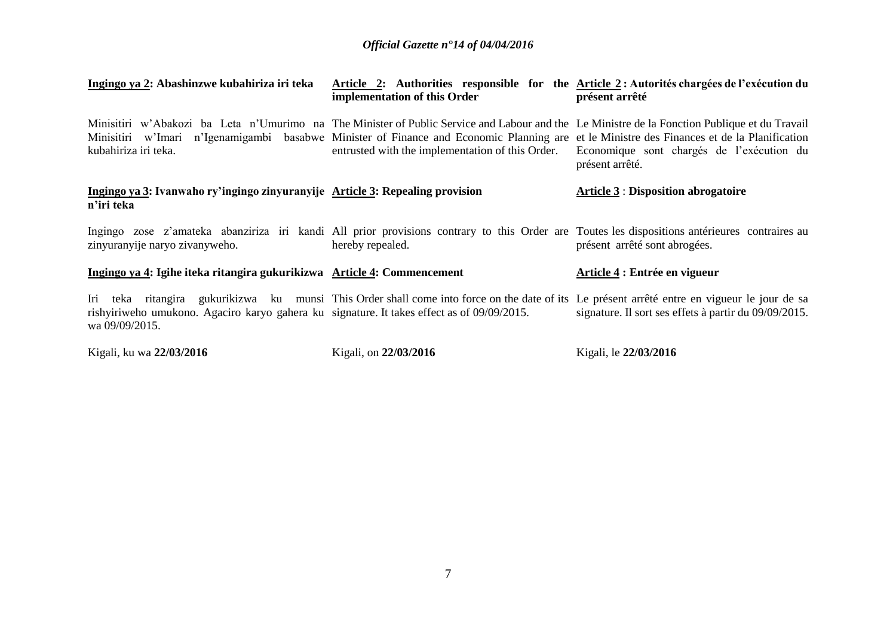| Ingingo ya 2: Abashinzwe kubahiriza iri teka                                                                 | Article 2: Authorities responsible for the Article 2: Autorités chargées de l'exécution du<br>implementation of this Order                                                                                                                                                                                                                      | présent arrêté                                               |
|--------------------------------------------------------------------------------------------------------------|-------------------------------------------------------------------------------------------------------------------------------------------------------------------------------------------------------------------------------------------------------------------------------------------------------------------------------------------------|--------------------------------------------------------------|
| kubahiriza iri teka.                                                                                         | Minisitiri w'Abakozi ba Leta n'Umurimo na The Minister of Public Service and Labour and the Le Ministre de la Fonction Publique et du Travail<br>Minisitiri w'Imari n'Igenamigambi basabwe Minister of Finance and Economic Planning are et le Ministre des Finances et de la Planification<br>entrusted with the implementation of this Order. | Economique sont chargés de l'exécution du<br>présent arrêté. |
| Ingingo ya 3: Ivanwaho ry'ingingo zinyuranyije Article 3: Repealing provision<br>n'iri teka                  |                                                                                                                                                                                                                                                                                                                                                 | <b>Article 3: Disposition abrogatoire</b>                    |
| zinyuranyije naryo zivanyweho.                                                                               | Ingingo zose z'amateka abanziriza iri kandi All prior provisions contrary to this Order are Toutes les dispositions antérieures contraires au<br>hereby repealed.                                                                                                                                                                               | présent arrêté sont abrogées.                                |
| Ingingo ya 4: Igihe iteka ritangira gukurikizwa Article 4: Commencement                                      |                                                                                                                                                                                                                                                                                                                                                 | Article 4 : Entrée en vigueur                                |
| rishyiriweho umukono. Agaciro karyo gahera ku signature. It takes effect as of 09/09/2015.<br>wa 09/09/2015. | Iri teka ritangira gukurikizwa ku munsi This Order shall come into force on the date of its Le présent arrêté entre en vigueur le jour de sa                                                                                                                                                                                                    | signature. Il sort ses effets à partir du 09/09/2015.        |
| Kigali, ku wa 22/03/2016                                                                                     | Kigali, on 22/03/2016                                                                                                                                                                                                                                                                                                                           | Kigali, le 22/03/2016                                        |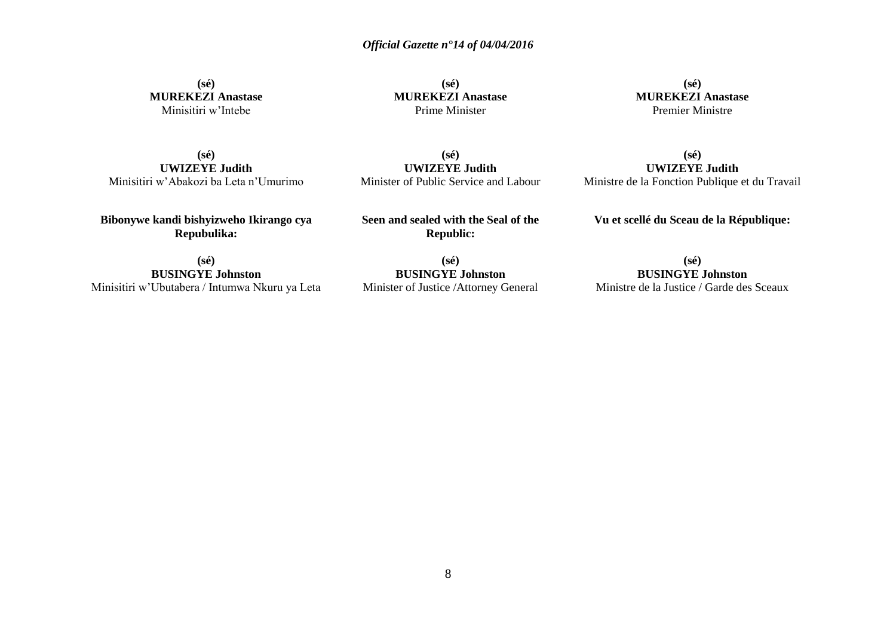**(sé) MUREKEZI Anastase** Minisitiri w'Intebe

**(sé) MUREKEZI Anastase** Prime Minister

**(sé) MUREKEZI Anastase** Premier Ministre

**(sé) UWIZEYE Judith** Minisitiri w'Abakozi ba Leta n'Umurimo

**(sé) UWIZEYE Judith** Minister of Public Service and Labour

**(sé) UWIZEYE Judith** Ministre de la Fonction Publique et du Travail

**Bibonywe kandi bishyizweho Ikirango cya Repubulika:**

**Seen and sealed with the Seal of the Republic:**

**Vu et scellé du Sceau de la République:**

**(sé) BUSINGYE Johnston** Minisitiri w'Ubutabera / Intumwa Nkuru ya Leta

**(sé) BUSINGYE Johnston** Minister of Justice /Attorney General

**(sé) BUSINGYE Johnston** Ministre de la Justice / Garde des Sceaux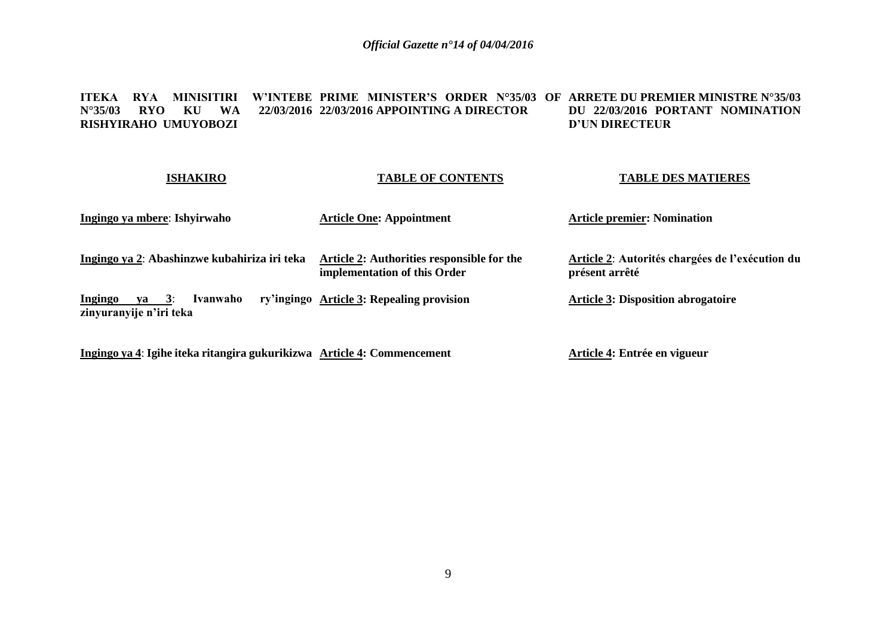**ITEKA RYA MINISITIRI W'INTEBE PRIME MINISTER'S ORDER N°35/03 OF ARRETE DU PREMIER MINISTRE N°35/03 N°35/03 RYO KU WA 22/03/2016 22/03/2016 APPOINTING A DIRECTOR RISHYIRAHO UMUYOBOZI DU 22/03/2016 PORTANT NOMINATION D'UN DIRECTEUR**

| <b>ISHAKIRO</b>                                         | <b>TABLE OF CONTENTS</b>                                                   | <b>TABLE DES MATIERES</b>                                         |
|---------------------------------------------------------|----------------------------------------------------------------------------|-------------------------------------------------------------------|
| Ingingo ya mbere: Ishyirwaho                            | <b>Article One: Appointment</b>                                            | <b>Article premier: Nomination</b>                                |
| Ingingo ya 2: Abashinzwe kubahiriza iri teka            | Article 2: Authorities responsible for the<br>implementation of this Order | Article 2: Autorités chargées de l'exécution du<br>présent arrêté |
| ya 3:<br>Ingingo<br>Ivanwaho<br>zinyuranyije n'iri teka | ry'ingingo Article 3: Repealing provision                                  | <b>Article 3: Disposition abrogatoire</b>                         |
|                                                         |                                                                            |                                                                   |

**Ingingo ya 4**: **Igihe iteka ritangira gukurikizwa Article 4: Commencement**

**Article 4: Entrée en vigueur**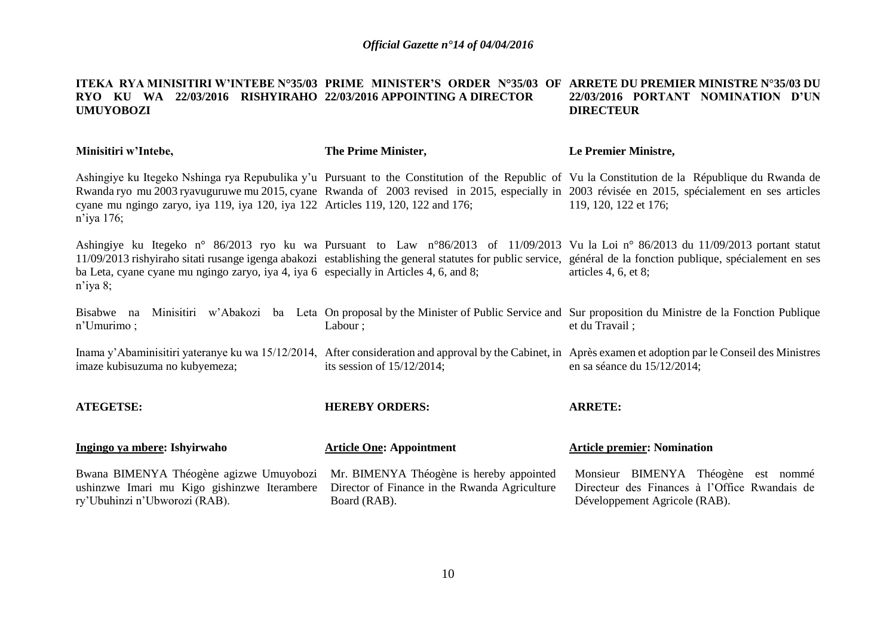#### **ITEKA RYA MINISITIRI W'INTEBE N°35/03 PRIME MINISTER'S ORDER N°35/03 OF ARRETE DU PREMIER MINISTRE N°35/03 DU RYO KU WA 22/03/2016 RISHYIRAHO 22/03/2016 APPOINTING A DIRECTOR UMUYOBOZI 22/03/2016 PORTANT NOMINATION D'UN DIRECTEUR**

| Minisitiri w'Intebe,                                                                                                    | The Prime Minister,                                                                                       | Le Premier Ministre,                                                                                                                                                                                                                                                                                                          |
|-------------------------------------------------------------------------------------------------------------------------|-----------------------------------------------------------------------------------------------------------|-------------------------------------------------------------------------------------------------------------------------------------------------------------------------------------------------------------------------------------------------------------------------------------------------------------------------------|
| cyane mu ngingo zaryo, iya 119, iya 120, iya 122 Articles 119, 120, 122 and 176;<br>n'iya 176;                          |                                                                                                           | Ashingiye ku Itegeko Nshinga rya Repubulika y'u Pursuant to the Constitution of the Republic of Vu la Constitution de la République du Rwanda de<br>Rwanda ryo mu 2003 ryavuguruwe mu 2015, cyane Rwanda of 2003 revised in 2015, especially in 2003 révisée en 2015, spécialement en ses articles<br>119, 120, 122 et 176;   |
| ba Leta, cyane cyane mu ngingo zaryo, iya 4, iya 6 especially in Articles 4, 6, and 8;<br>$n$ 'iya 8;                   |                                                                                                           | Ashingiye ku Itegeko n° 86/2013 ryo ku wa Pursuant to Law n°86/2013 of 11/09/2013 Vu la Loi n° 86/2013 du 11/09/2013 portant statut<br>11/09/2013 rishyiraho sitati rusange igenga abakozi establishing the general statutes for public service, général de la fonction publique, spécialement en ses<br>articles 4, 6, et 8; |
| Bisabwe na<br>$n'$ Umurimo;                                                                                             | Labour;                                                                                                   | Minisitiri w'Abakozi ba Leta On proposal by the Minister of Public Service and Sur proposition du Ministre de la Fonction Publique<br>et du Travail;                                                                                                                                                                          |
| imaze kubisuzuma no kubyemeza;                                                                                          | its session of $15/12/2014$ ;                                                                             | Inama y'Abaminisitiri yateranye ku wa 15/12/2014, After consideration and approval by the Cabinet, in Après examen et adoption par le Conseil des Ministres<br>en sa séance du $15/12/2014$ ;                                                                                                                                 |
| <b>ATEGETSE:</b>                                                                                                        | <b>HEREBY ORDERS:</b>                                                                                     | <b>ARRETE:</b>                                                                                                                                                                                                                                                                                                                |
| Ingingo ya mbere: Ishyirwaho                                                                                            | <b>Article One: Appointment</b>                                                                           | <b>Article premier: Nomination</b>                                                                                                                                                                                                                                                                                            |
| Bwana BIMENYA Théogène agizwe Umuyobozi<br>ushinzwe Imari mu Kigo gishinzwe Iterambere<br>ry'Ubuhinzi n'Ubworozi (RAB). | Mr. BIMENYA Théogène is hereby appointed<br>Director of Finance in the Rwanda Agriculture<br>Board (RAB). | Monsieur BIMENYA Théogène est nommé<br>Directeur des Finances à l'Office Rwandais de<br>Développement Agricole (RAB).                                                                                                                                                                                                         |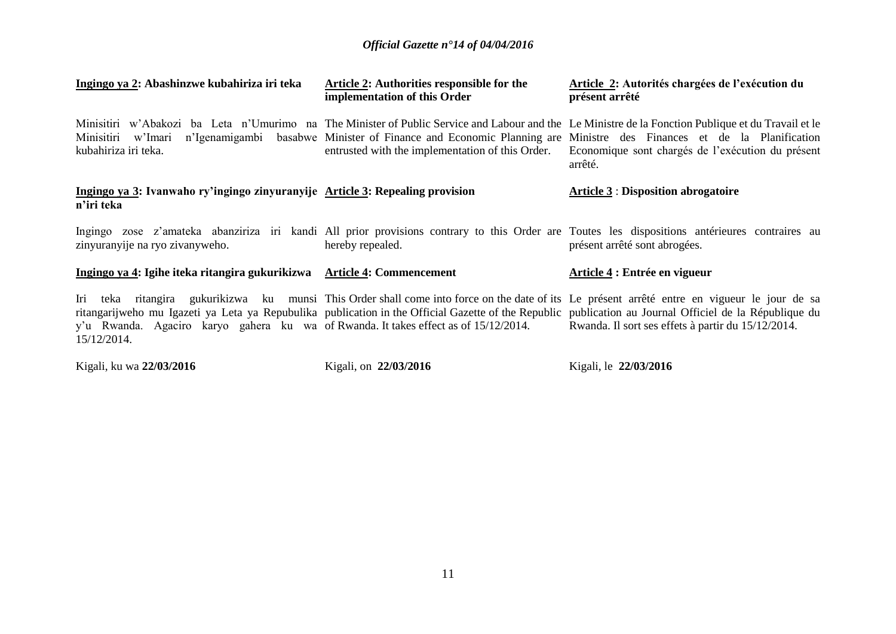| Ingingo ya 2: Abashinzwe kubahiriza iri teka                                                       | <b>Article 2:</b> Authorities responsible for the<br>implementation of this Order | <b>Article 2: Autorités chargées de l'exécution du</b><br>présent arrêté                                                                                                                                                                                                                                                                                      |
|----------------------------------------------------------------------------------------------------|-----------------------------------------------------------------------------------|---------------------------------------------------------------------------------------------------------------------------------------------------------------------------------------------------------------------------------------------------------------------------------------------------------------------------------------------------------------|
| Minisitiri<br>w'Imari<br>kubahiriza iri teka.                                                      | entrusted with the implementation of this Order.                                  | Minisitiri w'Abakozi ba Leta n'Umurimo na The Minister of Public Service and Labour and the Le Ministre de la Fonction Publique et du Travail et le<br>n'Igenamigambi basabwe Minister of Finance and Economic Planning are Ministre des Finances et de la Planification<br>Economique sont chargés de l'exécution du présent<br>arrêté.                      |
| Ingingo ya 3: Ivanwaho ry'ingingo zinyuranyije Article 3: Repealing provision<br>n'iri teka        |                                                                                   | <b>Article 3: Disposition abrogatoire</b>                                                                                                                                                                                                                                                                                                                     |
| zinyuranyije na ryo zivanyweho.                                                                    | hereby repealed.                                                                  | Ingingo zose z'amateka abanziriza iri kandi All prior provisions contrary to this Order are Toutes les dispositions antérieures contraires au<br>présent arrêté sont abrogées.                                                                                                                                                                                |
| Ingingo ya 4: Igihe iteka ritangira gukurikizwa Article 4: Commencement                            |                                                                                   | Article 4 : Entrée en vigueur                                                                                                                                                                                                                                                                                                                                 |
| y'u Rwanda. Agaciro karyo gahera ku wa of Rwanda. It takes effect as of 15/12/2014.<br>15/12/2014. |                                                                                   | Iri teka ritangira gukurikizwa ku munsi This Order shall come into force on the date of its Le présent arrêté entre en vigueur le jour de sa<br>ritangarijweho mu Igazeti ya Leta ya Repubulika publication in the Official Gazette of the Republic publication au Journal Officiel de la République du<br>Rwanda. Il sort ses effets à partir du 15/12/2014. |
| Kigali, ku wa 22/03/2016                                                                           | Kigali, on 22/03/2016                                                             | Kigali, le 22/03/2016                                                                                                                                                                                                                                                                                                                                         |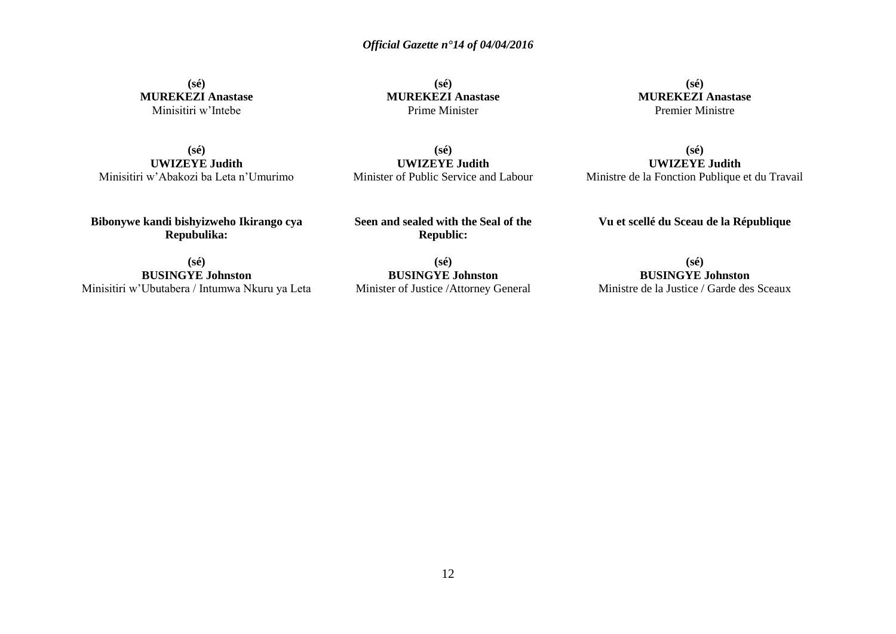**(sé) MUREKEZI Anastase** Minisitiri w'Intebe

**(sé) MUREKEZI Anastase** Prime Minister

**(sé) MUREKEZI Anastase** Premier Ministre

**(sé) UWIZEYE Judith** Minisitiri w'Abakozi ba Leta n'Umurimo

**(sé) UWIZEYE Judith** Minister of Public Service and Labour

**(sé) UWIZEYE Judith** Ministre de la Fonction Publique et du Travail

**Bibonywe kandi bishyizweho Ikirango cya Repubulika:**

**Seen and sealed with the Seal of the Republic:**

**Vu et scellé du Sceau de la République**

**(sé) BUSINGYE Johnston** Minisitiri w'Ubutabera / Intumwa Nkuru ya Leta

**(sé) BUSINGYE Johnston** Minister of Justice /Attorney General

**(sé) BUSINGYE Johnston** Ministre de la Justice / Garde des Sceaux

12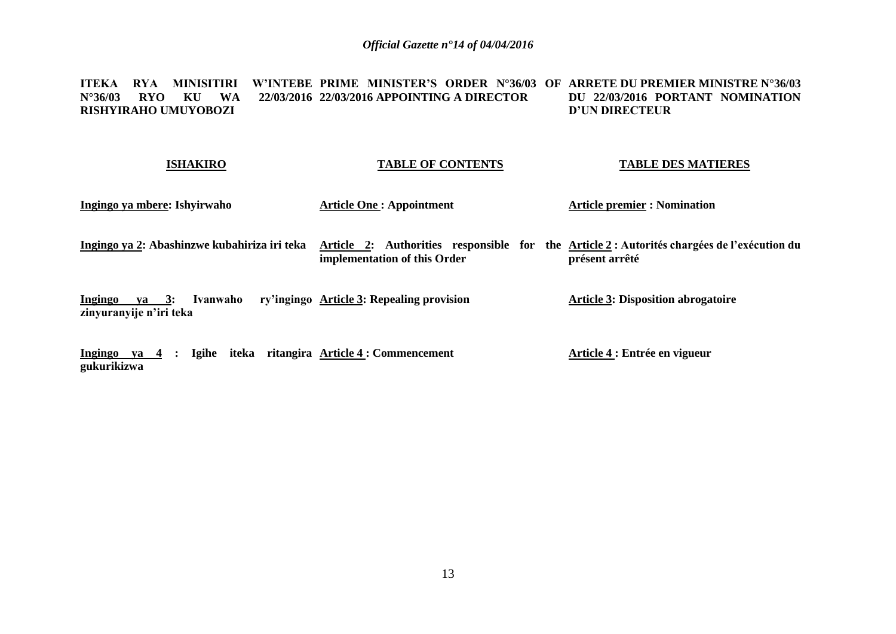#### **ITEKA RYA MINISITIRI W'INTEBE PRIME MINISTER'S ORDER N°36/03 OF ARRETE DU PREMIER MINISTRE N°36/03 N°36/03 RYO KU WA 22/03/2016 22/03/2016 APPOINTING A DIRECTOR RISHYIRAHO UMUYOBOZI DU 22/03/2016 PORTANT NOMINATION D'UN DIRECTEUR**

### **ISHAKIRO**

### **TABLE OF CONTENTS**

### **TABLE DES MATIERES**

| Ingingo ya mbere: Ishyirwaho                                    | <b>Article One: Appointment</b>                                                                                             | <b>Article premier : Nomination</b>       |
|-----------------------------------------------------------------|-----------------------------------------------------------------------------------------------------------------------------|-------------------------------------------|
| Ingingo ya 2: Abashinzwe kubahiriza iri teka                    | Article 2: Authorities responsible for the Article 2 : Autorités chargées de l'exécution du<br>implementation of this Order | présent arrêté                            |
| Ivanwaho<br>$ya \quad 3:$<br>Ingingo<br>zinyuranyije n'iri teka | ry'ingingo Article 3: Repealing provision                                                                                   | <b>Article 3: Disposition abrogatoire</b> |
| Ingingo<br>4 :<br>va                                            | Igihe iteka ritangira Article 4 : Commencement                                                                              | Article 4 : Entrée en vigueur             |

**Ingingo ya 4 : Igihe iteka ritangira Article 4 : Commencement gukurikizwa**

13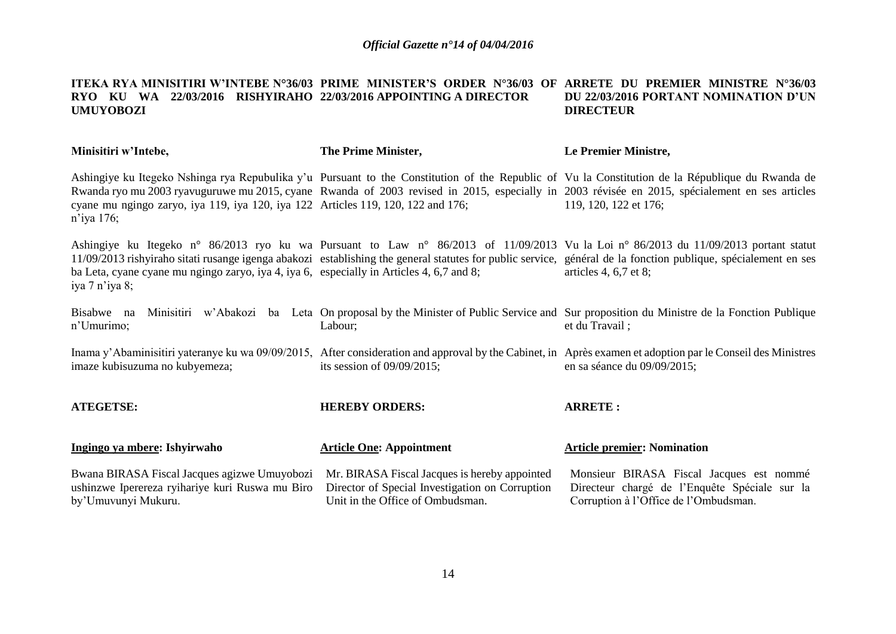#### **ITEKA RYA MINISITIRI W'INTEBE N°36/03 PRIME MINISTER'S ORDER N°36/03 OF ARRETE DU PREMIER MINISTRE N°36/03 RYO KU WA 22/03/2016 RISHYIRAHO 22/03/2016 APPOINTING A DIRECTOR UMUYOBOZI DU 22/03/2016 PORTANT NOMINATION D'UN DIRECTEUR**

| Minisitiri w'Intebe,                                                                                                   | The Prime Minister,                                                                                                                  | Le Premier Ministre,                                                                                                                                                                                                                                                                                                              |
|------------------------------------------------------------------------------------------------------------------------|--------------------------------------------------------------------------------------------------------------------------------------|-----------------------------------------------------------------------------------------------------------------------------------------------------------------------------------------------------------------------------------------------------------------------------------------------------------------------------------|
| cyane mu ngingo zaryo, iya 119, iya 120, iya 122 Articles 119, 120, 122 and 176;<br>$n$ 'iya 176;                      |                                                                                                                                      | Ashingiye ku Itegeko Nshinga rya Repubulika y'u Pursuant to the Constitution of the Republic of Vu la Constitution de la République du Rwanda de<br>Rwanda ryo mu 2003 ryavuguruwe mu 2015, cyane Rwanda of 2003 revised in 2015, especially in 2003 révisée en 2015, spécialement en ses articles<br>119, 120, 122 et 176;       |
| ba Leta, cyane cyane mu ngingo zaryo, iya 4, iya 6, especially in Articles 4, 6,7 and 8;<br>iya 7 n'iya 8;             |                                                                                                                                      | Ashingiye ku Itegeko n° 86/2013 ryo ku wa Pursuant to Law n° 86/2013 of 11/09/2013 Vu la Loi n° 86/2013 du 11/09/2013 portant statut<br>11/09/2013 rishyiraho sitati rusange igenga abakozi establishing the general statutes for public service, général de la fonction publique, spécialement en ses<br>articles 4, $6,7$ et 8; |
| Bisabwe na<br>n'Umurimo;                                                                                               | Labour;                                                                                                                              | Minisitiri w'Abakozi ba Leta On proposal by the Minister of Public Service and Sur proposition du Ministre de la Fonction Publique<br>et du Travail;                                                                                                                                                                              |
| imaze kubisuzuma no kubyemeza;                                                                                         | its session of $09/09/2015$ ;                                                                                                        | Inama y'Abaminisitiri yateranye ku wa 09/09/2015, After consideration and approval by the Cabinet, in Après examen et adoption par le Conseil des Ministres<br>en sa séance du 09/09/2015;                                                                                                                                        |
| <b>ATEGETSE:</b>                                                                                                       | <b>HEREBY ORDERS:</b>                                                                                                                | <b>ARRETE:</b>                                                                                                                                                                                                                                                                                                                    |
| Ingingo ya mbere: Ishyirwaho                                                                                           | <b>Article One: Appointment</b>                                                                                                      | <b>Article premier: Nomination</b>                                                                                                                                                                                                                                                                                                |
| Bwana BIRASA Fiscal Jacques agizwe Umuyobozi<br>ushinzwe Iperereza ryihariye kuri Ruswa mu Biro<br>by'Umuvunyi Mukuru. | Mr. BIRASA Fiscal Jacques is hereby appointed<br>Director of Special Investigation on Corruption<br>Unit in the Office of Ombudsman. | Monsieur BIRASA Fiscal Jacques est nommé<br>Directeur chargé de l'Enquête Spéciale sur la<br>Corruption à l'Office de l'Ombudsman.                                                                                                                                                                                                |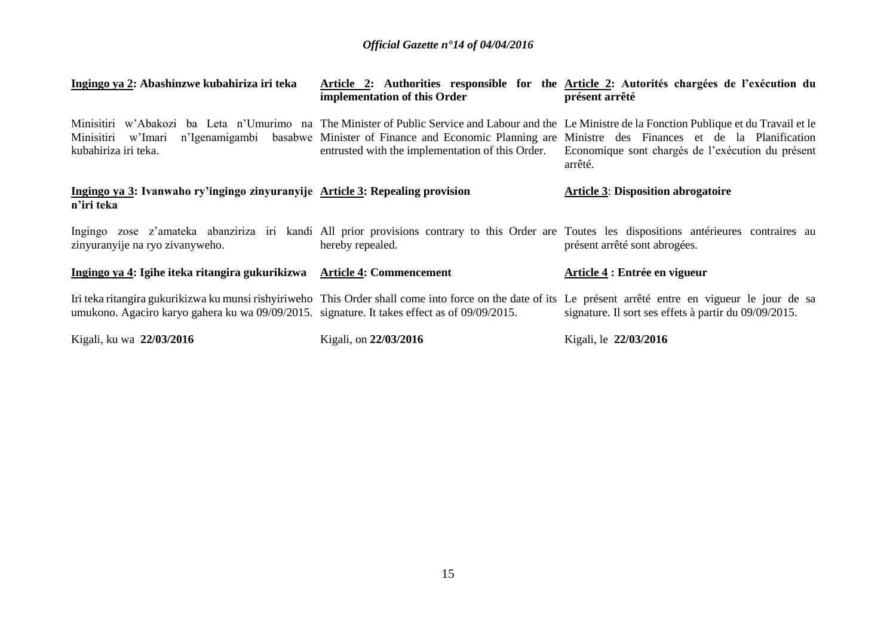| Ingingo ya 2: Abashinzwe kubahiriza iri teka                                                 | implementation of this Order                     | Article 2: Authorities responsible for the Article 2: Autorités chargées de l'exécution du<br>présent arrêté                                                                                                                                                                                                                             |
|----------------------------------------------------------------------------------------------|--------------------------------------------------|------------------------------------------------------------------------------------------------------------------------------------------------------------------------------------------------------------------------------------------------------------------------------------------------------------------------------------------|
| Minisitiri w'Imari<br>kubahiriza iri teka.                                                   | entrusted with the implementation of this Order. | Minisitiri w'Abakozi ba Leta n'Umurimo na The Minister of Public Service and Labour and the Le Ministre de la Fonction Publique et du Travail et le<br>n'Igenamigambi basabwe Minister of Finance and Economic Planning are Ministre des Finances et de la Planification<br>Economique sont chargés de l'exécution du présent<br>arrêté. |
| Ingingo ya 3: Ivanwaho ry'ingingo zinyuranyije Article 3: Repealing provision<br>n'iri teka  |                                                  | <b>Article 3: Disposition abrogatoire</b>                                                                                                                                                                                                                                                                                                |
| zinyuranyije na ryo zivanyweho.                                                              | hereby repealed.                                 | Ingingo zose z'amateka abanziriza iri kandi All prior provisions contrary to this Order are Toutes les dispositions antérieures contraires au<br>présent arrêté sont abrogées.                                                                                                                                                           |
| Ingingo ya 4: Igihe iteka ritangira gukurikizwa Article 4: Commencement                      |                                                  | Article 4 : Entrée en vigueur                                                                                                                                                                                                                                                                                                            |
| umukono. Agaciro karyo gahera ku wa 09/09/2015. signature. It takes effect as of 09/09/2015. |                                                  | Iri teka ritangira gukurikizwa ku munsi rishyiriweho This Order shall come into force on the date of its Le présent arrêté entre en vigueur le jour de sa<br>signature. Il sort ses effets à partir du 09/09/2015.                                                                                                                       |
| Kigali, ku wa 22/03/2016                                                                     | Kigali, on 22/03/2016                            | Kigali, le 22/03/2016                                                                                                                                                                                                                                                                                                                    |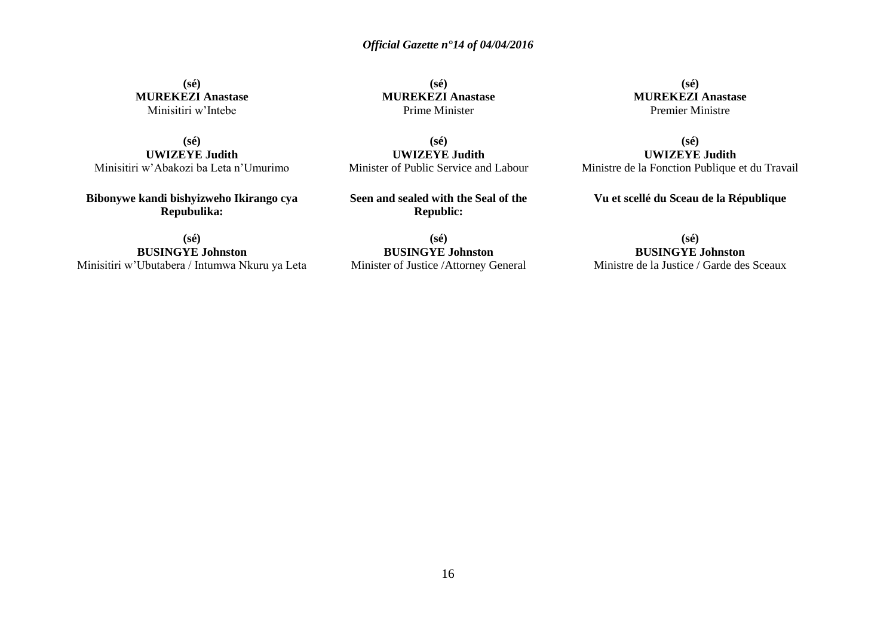**(sé) MUREKEZI Anastase** Prime Minister

**(sé) UWIZEYE Judith** Minister of Public Service and Labour

**Seen and sealed with the Seal of the**

**(sé) MUREKEZI Anastase** Minisitiri w'Intebe

**(sé) UWIZEYE Judith** Minisitiri w'Abakozi ba Leta n'Umurimo

**Bibonywe kandi bishyizweho Ikirango cya Repubulika:**

**(sé)**

**BUSINGYE Johnston Republic:**

Minisitiri w'Ubutabera / Intumwa Nkuru ya Leta

**(sé) BUSINGYE Johnston** Minister of Justice /Attorney General

**(sé) MUREKEZI Anastase** Premier Ministre

**(sé) UWIZEYE Judith** Ministre de la Fonction Publique et du Travail

**Vu et scellé du Sceau de la République**

**(sé) BUSINGYE Johnston** Ministre de la Justice / Garde des Sceaux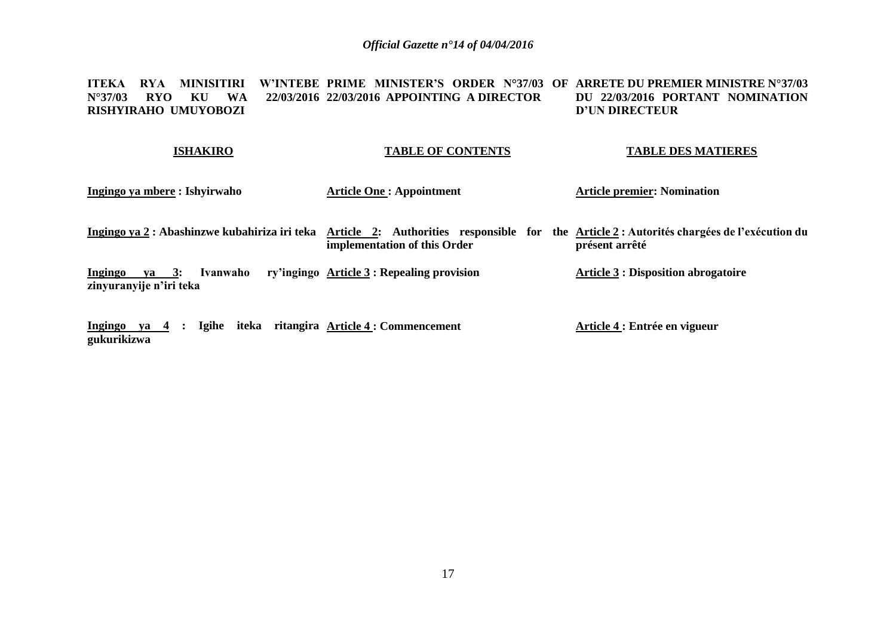**ITEKA RYA MINISITIRI W'INTEBE PRIME MINISTER'S ORDER N°37/03 OF ARRETE DU PREMIER MINISTRE N°37/03 N°37/03 RYO KU WA RISHYIRAHO UMUYOBOZI 22/03/2016 APPOINTING A DIRECTOR DU 22/03/2016 PORTANT NOMINATION D'UN DIRECTEUR** 

| <b>ISHAKIRO</b>                                         | <b>TABLE OF CONTENTS</b>                                                                                                    | <b>TABLE DES MATIERES</b>                  |
|---------------------------------------------------------|-----------------------------------------------------------------------------------------------------------------------------|--------------------------------------------|
| Ingingo ya mbere : Ishyirwaho                           | <b>Article One: Appointment</b>                                                                                             | <b>Article premier: Nomination</b>         |
| Ingingo ya 2 : Abashinzwe kubahiriza iri teka           | Article 2: Authorities responsible for the Article 2 : Autorités chargées de l'exécution du<br>implementation of this Order | présent arrêté                             |
| ya 3:<br>Ingingo<br>Ivanwaho<br>zinyuranyije n'iri teka | ry'ingingo Article 3 : Repealing provision                                                                                  | <b>Article 3 : Disposition abrogatoire</b> |
| Ingingo ya $4$ :<br>gukurikizwa                         | Igihe iteka ritangira Article 4 : Commencement                                                                              | Article 4 : Entrée en vigueur              |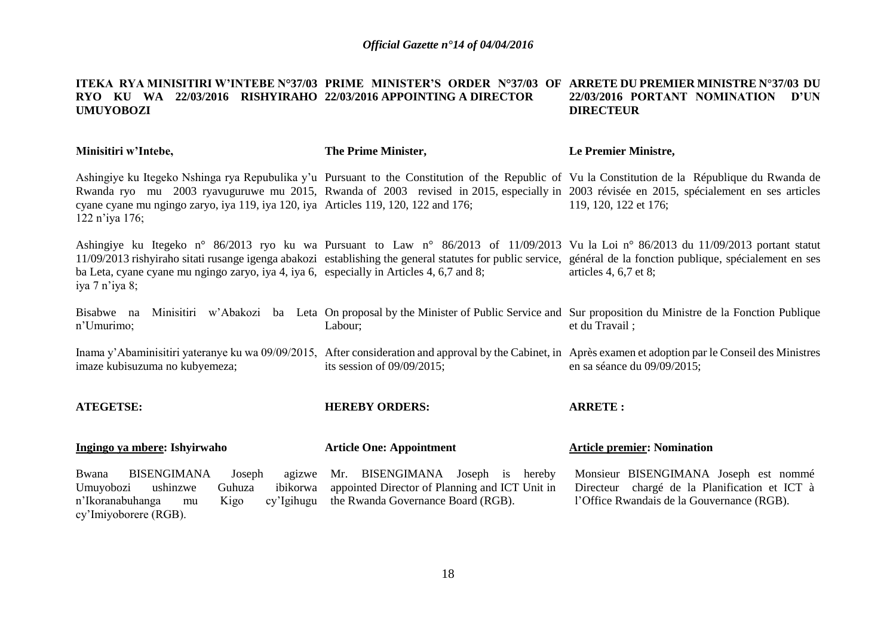#### **ITEKA RYA MINISITIRI W'INTEBE N°37/03 PRIME MINISTER'S ORDER N°37/03 OF ARRETE DU PREMIER MINISTRE N°37/03 DU RYO KU WA 22/03/2016 RISHYIRAHO 22/03/2016 APPOINTING A DIRECTOR UMUYOBOZI 22/03/2016 PORTANT NOMINATION D'UN DIRECTEUR**

| Minisitiri w'Intebe,                                                                                                                                                    | The Prime Minister,                                                                                                      | Le Premier Ministre,                                                                                                                                                                                                                                                                                                              |
|-------------------------------------------------------------------------------------------------------------------------------------------------------------------------|--------------------------------------------------------------------------------------------------------------------------|-----------------------------------------------------------------------------------------------------------------------------------------------------------------------------------------------------------------------------------------------------------------------------------------------------------------------------------|
| cyane cyane mu ngingo zaryo, iya 119, iya 120, iya Articles 119, 120, 122 and 176;<br>$122$ n'iya $176$ ;                                                               |                                                                                                                          | Ashingiye ku Itegeko Nshinga rya Repubulika y'u Pursuant to the Constitution of the Republic of Vu la Constitution de la République du Rwanda de<br>Rwanda ryo mu 2003 ryavuguruwe mu 2015, Rwanda of 2003 revised in 2015, especially in 2003 révisée en 2015, spécialement en ses articles<br>119, 120, 122 et 176;             |
| ba Leta, cyane cyane mu ngingo zaryo, iya 4, iya 6, especially in Articles 4, 6,7 and 8;<br>iya 7 n'iya 8;                                                              |                                                                                                                          | Ashingiye ku Itegeko n° 86/2013 ryo ku wa Pursuant to Law n° 86/2013 of 11/09/2013 Vu la Loi n° 86/2013 du 11/09/2013 portant statut<br>11/09/2013 rishyiraho sitati rusange igenga abakozi establishing the general statutes for public service, général de la fonction publique, spécialement en ses<br>articles 4, $6,7$ et 8; |
| Bisabwe na<br>n'Umurimo;                                                                                                                                                | Labour;                                                                                                                  | Minisitiri w'Abakozi ba Leta On proposal by the Minister of Public Service and Sur proposition du Ministre de la Fonction Publique<br>et du Travail;                                                                                                                                                                              |
| imaze kubisuzuma no kubyemeza;                                                                                                                                          | its session of $09/09/2015$ ;                                                                                            | Inama y'Abaminisitiri yateranye ku wa 09/09/2015, After consideration and approval by the Cabinet, in Après examen et adoption par le Conseil des Ministres<br>en sa séance du 09/09/2015;                                                                                                                                        |
| <b>ATEGETSE:</b>                                                                                                                                                        | <b>HEREBY ORDERS:</b>                                                                                                    | <b>ARRETE:</b>                                                                                                                                                                                                                                                                                                                    |
| Ingingo ya mbere: Ishyirwaho                                                                                                                                            | <b>Article One: Appointment</b>                                                                                          | <b>Article premier: Nomination</b>                                                                                                                                                                                                                                                                                                |
| <b>BISENGIMANA</b><br>Bwana<br>Joseph<br>agizwe<br>Umuyobozi<br>ushinzwe<br>Guhuza<br>ibikorwa<br>n'Ikoranabuhanga<br>cy'Igihugu<br>Kigo<br>mu<br>cy'Imiyoborere (RGB). | Mr. BISENGIMANA Joseph is hereby<br>appointed Director of Planning and ICT Unit in<br>the Rwanda Governance Board (RGB). | Monsieur BISENGIMANA Joseph est nommé<br>Directeur chargé de la Planification et ICT à<br>l'Office Rwandais de la Gouvernance (RGB).                                                                                                                                                                                              |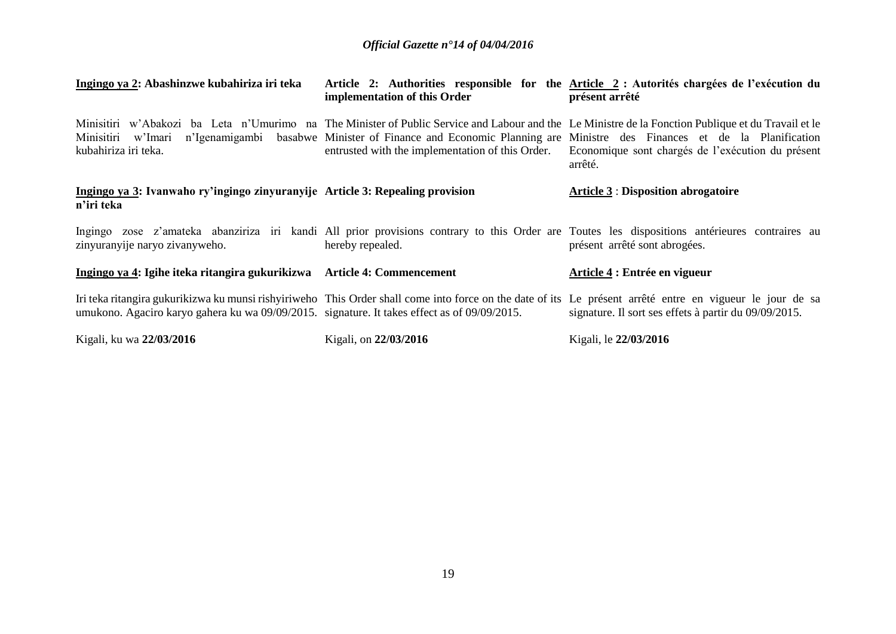| Ingingo ya 2: Abashinzwe kubahiriza iri teka                                                 | implementation of this Order                     | Article 2: Authorities responsible for the Article 2 : Autorités chargées de l'exécution du<br>présent arrêté                                                                                                                                                                                                                            |
|----------------------------------------------------------------------------------------------|--------------------------------------------------|------------------------------------------------------------------------------------------------------------------------------------------------------------------------------------------------------------------------------------------------------------------------------------------------------------------------------------------|
| Minisitiri<br>w'Imari<br>kubahiriza iri teka.                                                | entrusted with the implementation of this Order. | Minisitiri w'Abakozi ba Leta n'Umurimo na The Minister of Public Service and Labour and the Le Ministre de la Fonction Publique et du Travail et le<br>n'Igenamigambi basabwe Minister of Finance and Economic Planning are Ministre des Finances et de la Planification<br>Economique sont chargés de l'exécution du présent<br>arrêté. |
| Ingingo ya 3: Ivanwaho ry'ingingo zinyuranyije Article 3: Repealing provision<br>n'iri teka  |                                                  | <b>Article 3 : Disposition abrogatoire</b>                                                                                                                                                                                                                                                                                               |
| zinyuranyije naryo zivanyweho.                                                               | hereby repealed.                                 | Ingingo zose z'amateka abanziriza iri kandi All prior provisions contrary to this Order are Toutes les dispositions antérieures contraires au<br>présent arrêté sont abrogées.                                                                                                                                                           |
| Ingingo ya 4: Igihe iteka ritangira gukurikizwa Article 4: Commencement                      |                                                  | Article 4 : Entrée en vigueur                                                                                                                                                                                                                                                                                                            |
| umukono. Agaciro karyo gahera ku wa 09/09/2015. signature. It takes effect as of 09/09/2015. |                                                  | Iri teka ritangira gukurikizwa ku munsi rishyiriweho This Order shall come into force on the date of its Le présent arrêté entre en vigueur le jour de sa<br>signature. Il sort ses effets à partir du 09/09/2015.                                                                                                                       |
| Kigali, ku wa 22/03/2016                                                                     | Kigali, on 22/03/2016                            | Kigali, le 22/03/2016                                                                                                                                                                                                                                                                                                                    |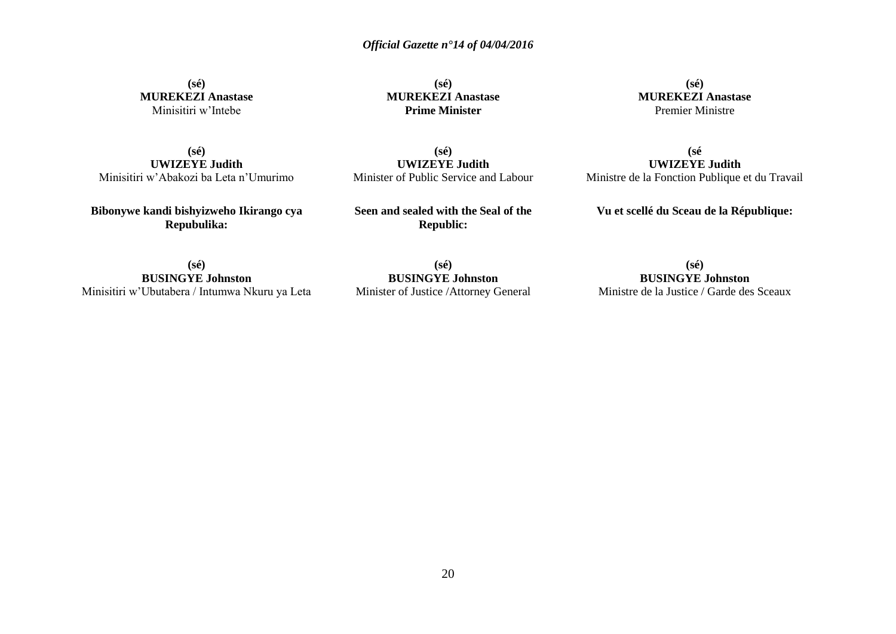**(sé) MUREKEZI Anastase** Minisitiri w'Intebe

**(sé) MUREKEZI Anastase Prime Minister**

**(sé) MUREKEZI Anastase** Premier Ministre

**(sé) UWIZEYE Judith** Minisitiri w'Abakozi ba Leta n'Umurimo

**Bibonywe kandi bishyizweho Ikirango cya Repubulika:**

**(sé) UWIZEYE Judith** Minister of Public Service and Labour

**Seen and sealed with the Seal of the Republic:**

Ministre de la Fonction Publique et du Travail

**(sé**

**UWIZEYE Judith**

**Vu et scellé du Sceau de la République:**

**(sé) BUSINGYE Johnston** Minisitiri w'Ubutabera / Intumwa Nkuru ya Leta

**(sé) BUSINGYE Johnston** Minister of Justice /Attorney General

**(sé) BUSINGYE Johnston** Ministre de la Justice / Garde des Sceaux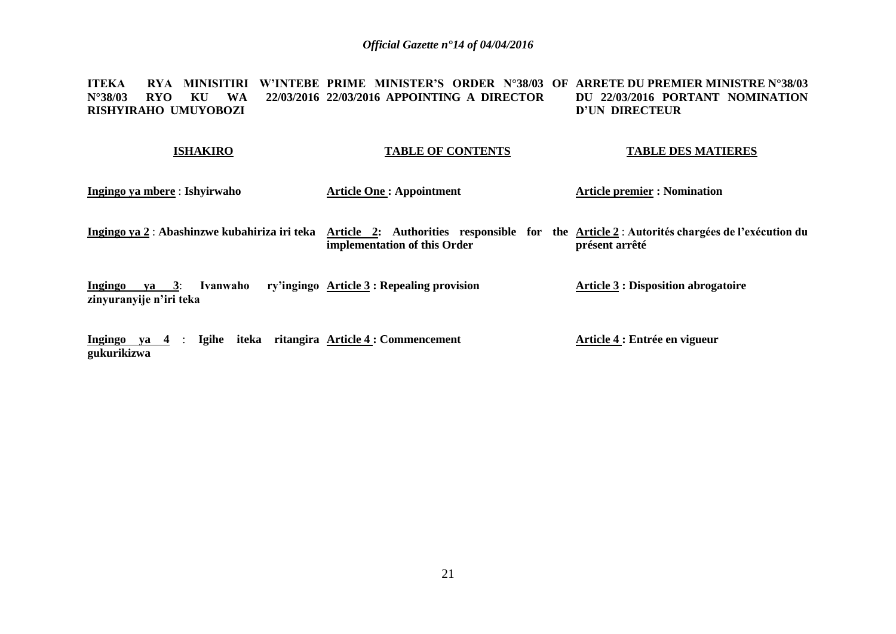**ITEKA RYA MINISITIRI W'INTEBE PRIME MINISTER'S ORDER N°38/03 OF ARRETE DU PREMIER MINISTRE N°38/03 N°38/03 RYO KU WA RISHYIRAHO UMUYOBOZI 22/03/2016 APPOINTING A DIRECTOR DU 22/03/2016 PORTANT NOMINATION D'UN DIRECTEUR** 

#### **ISHAKIRO TABLE OF CONTENTS TABLE DES MATIERES**

- **Ingingo ya mbere** : **Ishyirwaho Article One : Appointment Article premier : Nomination**
- **Ingingo ya 2** : Abashinzwe kubahiriza iri teka Article 2: Authorities responsible for the Article 2 : Autorités chargées de l'exécution du **implementation of this Order présent arrêté**

**Ingingo ya 3**: **Ivanwaho ry'ingingo Article 3 : Repealing provision zinyuranyije n'iri teka Article 3 : Disposition abrogatoire**

**Ingingo ya 4** : **Igihe iteka ritangira Article 4 : Commencement gukurikizwa Article 4 : Entrée en vigueur**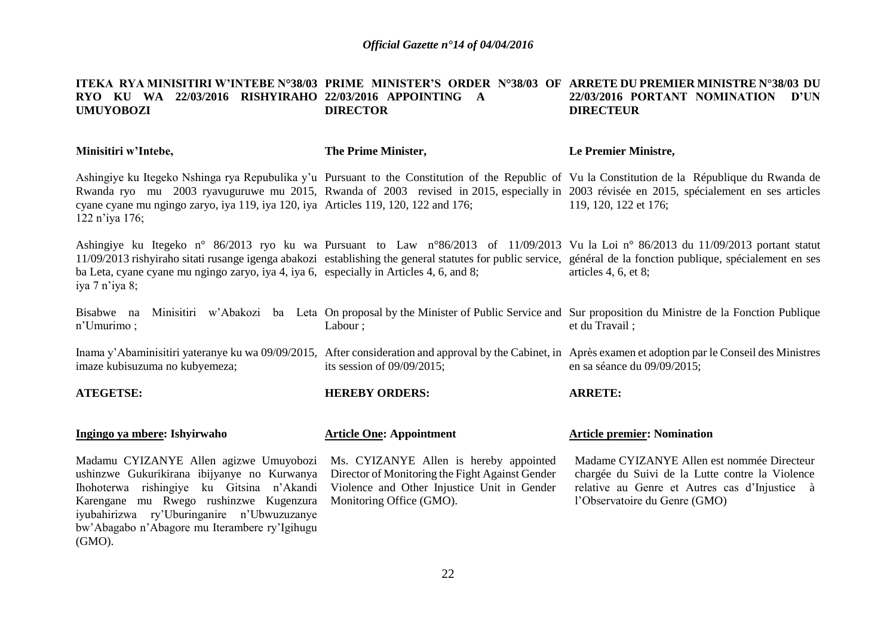#### **ITEKA RYA MINISITIRI W'INTEBE N°38/03 PRIME MINISTER'S ORDER N°38/03 OF ARRETE DU PREMIER MINISTRE N°38/03 DU RYO KU WA 22/03/2016 RISHYIRAHO 22/03/2016 APPOINTING A UMUYOBOZI DIRECTOR 22/03/2016 PORTANT NOMINATION D'UN DIRECTEUR**

| Minisitiri w'Intebe,                                                                                                                                                                                                                                                                     | The Prime Minister,                                                                                                                                                  | Le Premier Ministre,                                                                                                                                                                                                                                                                                                            |
|------------------------------------------------------------------------------------------------------------------------------------------------------------------------------------------------------------------------------------------------------------------------------------------|----------------------------------------------------------------------------------------------------------------------------------------------------------------------|---------------------------------------------------------------------------------------------------------------------------------------------------------------------------------------------------------------------------------------------------------------------------------------------------------------------------------|
| cyane cyane mu ngingo zaryo, iya 119, iya 120, iya Articles 119, 120, 122 and 176;<br>122 n'iya 176;                                                                                                                                                                                     |                                                                                                                                                                      | Ashingiye ku Itegeko Nshinga rya Repubulika y'u Pursuant to the Constitution of the Republic of Vu la Constitution de la République du Rwanda de<br>Rwanda ryo mu 2003 ryavuguruwe mu 2015, Rwanda of 2003 revised in 2015, especially in 2003 révisée en 2015, spécialement en ses articles<br>119, 120, 122 et 176;           |
| ba Leta, cyane cyane mu ngingo zaryo, iya 4, iya 6, especially in Articles 4, 6, and 8;<br>iya 7 n'iya 8;                                                                                                                                                                                |                                                                                                                                                                      | Ashingiye ku Itegeko n° 86/2013 ryo ku wa Pursuant to Law n°86/2013 of 11/09/2013 Vu la Loi n° 86/2013 du 11/09/2013 portant statut<br>11/09/2013 rishyiraho sitati rusange igenga abakozi establishing the general statutes for public service, général de la fonction publique, spécialement en ses<br>articles $4, 6, et 8;$ |
| Bisabwe na<br>n'Umurimo;                                                                                                                                                                                                                                                                 | Labour;                                                                                                                                                              | Minisitiri w'Abakozi ba Leta On proposal by the Minister of Public Service and Sur proposition du Ministre de la Fonction Publique<br>et du Travail;                                                                                                                                                                            |
| imaze kubisuzuma no kubyemeza;                                                                                                                                                                                                                                                           | its session of $09/09/2015$ ;                                                                                                                                        | Inama y'Abaminisitiri yateranye ku wa 09/09/2015, After consideration and approval by the Cabinet, in Après examen et adoption par le Conseil des Ministres<br>en sa séance du 09/09/2015;                                                                                                                                      |
| <b>ATEGETSE:</b>                                                                                                                                                                                                                                                                         | <b>HEREBY ORDERS:</b>                                                                                                                                                | <b>ARRETE:</b>                                                                                                                                                                                                                                                                                                                  |
| Ingingo ya mbere: Ishyirwaho                                                                                                                                                                                                                                                             | <b>Article One: Appointment</b>                                                                                                                                      | <b>Article premier: Nomination</b>                                                                                                                                                                                                                                                                                              |
| Madamu CYIZANYE Allen agizwe Umuyobozi<br>ushinzwe Gukurikirana ibijyanye no Kurwanya<br>Ihohoterwa rishingiye ku Gitsina n'Akandi<br>Karengane mu Rwego rushinzwe Kugenzura<br>iyubahirizwa ry'Uburinganire n'Ubwuzuzanye<br>bw'Abagabo n'Abagore mu Iterambere ry'Igihugu<br>$(GMO)$ . | Ms. CYIZANYE Allen is hereby appointed<br>Director of Monitoring the Fight Against Gender<br>Violence and Other Injustice Unit in Gender<br>Monitoring Office (GMO). | Madame CYIZANYE Allen est nommée Directeur<br>chargée du Suivi de la Lutte contre la Violence<br>relative au Genre et Autres cas d'Injustice à<br>l'Observatoire du Genre (GMO)                                                                                                                                                 |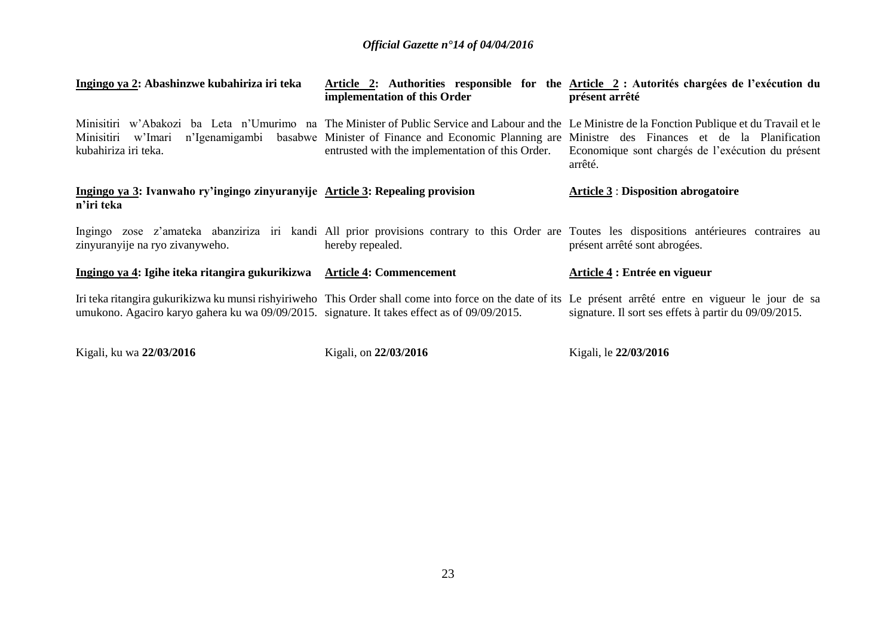| Ingingo ya 2: Abashinzwe kubahiriza iri teka                                                 | implementation of this Order                     | Article 2: Authorities responsible for the Article 2 : Autorités chargées de l'exécution du<br>présent arrêté                                                                                                                                                                                                                            |
|----------------------------------------------------------------------------------------------|--------------------------------------------------|------------------------------------------------------------------------------------------------------------------------------------------------------------------------------------------------------------------------------------------------------------------------------------------------------------------------------------------|
| Minisitiri w'Imari<br>kubahiriza iri teka.                                                   | entrusted with the implementation of this Order. | Minisitiri w'Abakozi ba Leta n'Umurimo na The Minister of Public Service and Labour and the Le Ministre de la Fonction Publique et du Travail et le<br>n'Igenamigambi basabwe Minister of Finance and Economic Planning are Ministre des Finances et de la Planification<br>Economique sont chargés de l'exécution du présent<br>arrêté. |
| Ingingo ya 3: Ivanwaho ry'ingingo zinyuranyije Article 3: Repealing provision<br>n'iri teka  |                                                  | <b>Article 3 : Disposition abrogatoire</b>                                                                                                                                                                                                                                                                                               |
| zinyuranyije na ryo zivanyweho.                                                              | hereby repealed.                                 | Ingingo zose z'amateka abanziriza iri kandi All prior provisions contrary to this Order are Toutes les dispositions antérieures contraires au<br>présent arrêté sont abrogées.                                                                                                                                                           |
| Ingingo ya 4: Igihe iteka ritangira gukurikizwa                                              | <b>Article 4: Commencement</b>                   | Article 4 : Entrée en vigueur                                                                                                                                                                                                                                                                                                            |
| umukono. Agaciro karyo gahera ku wa 09/09/2015. signature. It takes effect as of 09/09/2015. |                                                  | Iri teka ritangira gukurikizwa ku munsi rishyiriweho This Order shall come into force on the date of its Le présent arrêté entre en vigueur le jour de sa<br>signature. Il sort ses effets à partir du 09/09/2015.                                                                                                                       |

Kigali, ku wa **22/03/2016**

Kigali, on **22/03/2016**

Kigali, le **22/03/2016**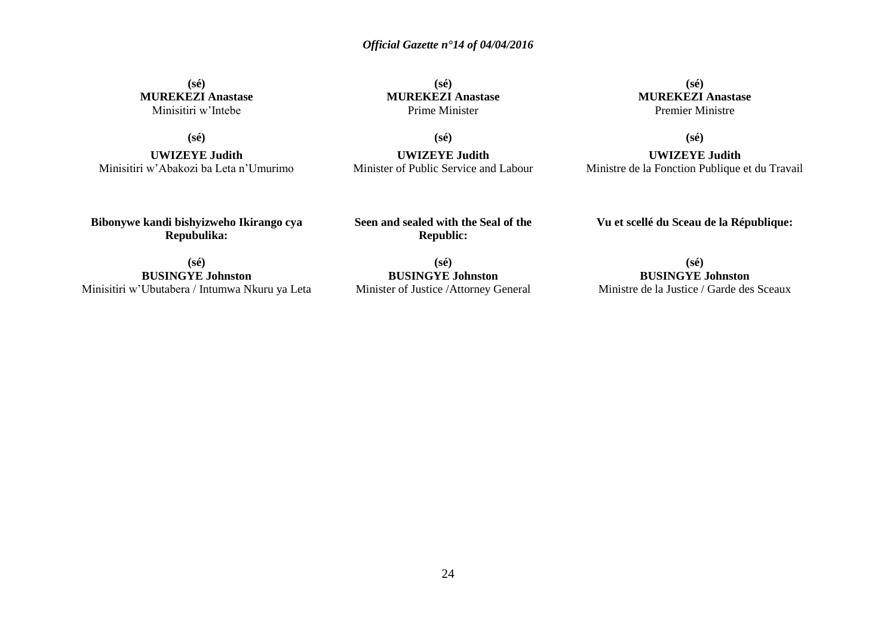**(sé) MUREKEZI Anastase** Minisitiri w'Intebe

**(sé)**

**UWIZEYE Judith** Minisitiri w'Abakozi ba Leta n'Umurimo

**(sé) MUREKEZI Anastase** Prime Minister

**(sé)**

**UWIZEYE Judith** Minister of Public Service and Labour

**(sé) MUREKEZI Anastase** Premier Ministre

**(sé)**

**UWIZEYE Judith** Ministre de la Fonction Publique et du Travail

**Bibonywe kandi bishyizweho Ikirango cya Repubulika:**

**Seen and sealed with the Seal of the Republic:**

**Vu et scellé du Sceau de la République:**

**(sé) BUSINGYE Johnston** Minisitiri w'Ubutabera / Intumwa Nkuru ya Leta

**(sé) BUSINGYE Johnston** Minister of Justice /Attorney General

**(sé) BUSINGYE Johnston** Ministre de la Justice / Garde des Sceaux

24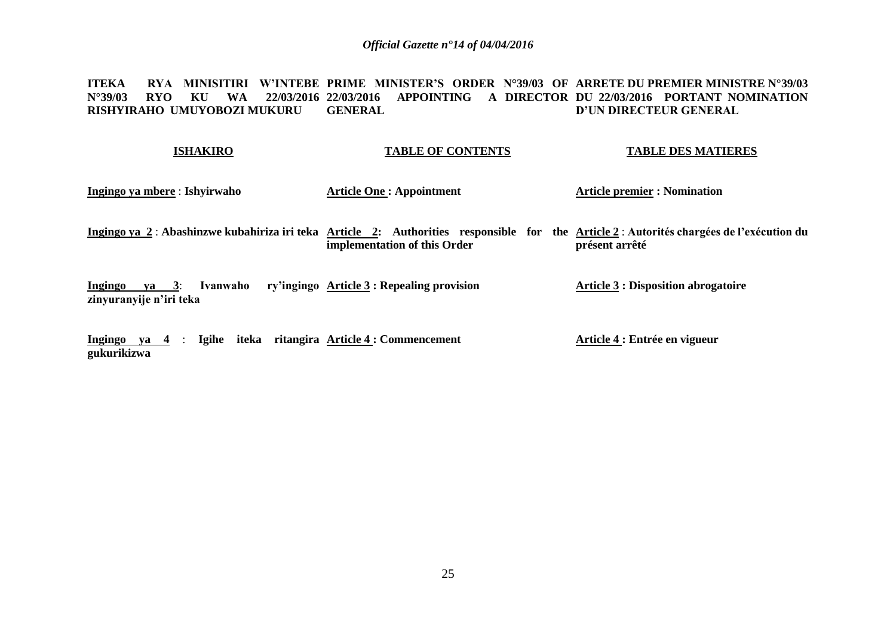**ITEKA – RYA MINISITIRI W'INTEBE PRIME MINISTER'S ORDER N°39/03 OF ARRETE DU PREMIER MINISTRE N°39/03 N°39/03 RYO KU WA 22/03/2016 22/03/2016 APPOINTING A DIRECTOR DU 22/03/2016 PORTANT NOMINATION RISHYIRAHO UMUYOBOZI MUKURU GENERAL D'UN DIRECTEUR GENERAL**

#### **ISHAKIRO TABLE OF CONTENTS TABLE DES MATIERES**

**Ingingo ya mbere** : **Ishyirwaho**

**Article One : Appointment**

**Article premier : Nomination**

Ingingo ya 2 : Abashinzwe kubahiriza iri teka Article 2: Authorities responsible for the Article2 :Autorités chargées de l'exécution du **implementation of this Order présent arrêté**

**Ingingo ya 3**: **Ivanwaho ry'ingingo Article 3 : Repealing provision zinyuranyije n'iri teka Article 3 : Disposition abrogatoire**

**Ingingo ya 4** : **Igihe iteka ritangira Article 4 : Commencement gukurikizwa Article 4 : Entrée en vigueur**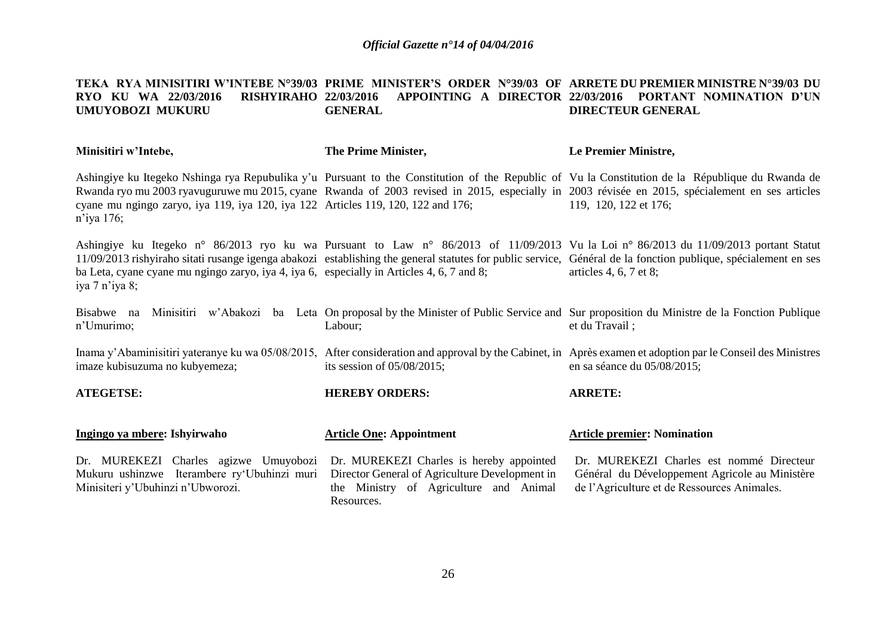#### **TEKA RYA MINISITIRI W'INTEBE N°39/03 PRIME MINISTER'S ORDER N°39/03 OF ARRETE DU PREMIER MINISTRE N°39/03 DU RYO KU WA 22/03/2016 RISHYIRAHO 22/03/2016 APPOINTING A DIRECTOR 22/03/2016 PORTANT NOMINATION D'UN UMUYOBOZI MUKURU GENERAL DIRECTEUR GENERAL**

| Minisitiri w'Intebe,                                                                                                      | The Prime Minister,                                                                                                                                | Le Premier Ministre,                                                                                                                                                                                                                                                                                                             |
|---------------------------------------------------------------------------------------------------------------------------|----------------------------------------------------------------------------------------------------------------------------------------------------|----------------------------------------------------------------------------------------------------------------------------------------------------------------------------------------------------------------------------------------------------------------------------------------------------------------------------------|
| cyane mu ngingo zaryo, iya 119, iya 120, iya 122 Articles 119, 120, 122 and 176;<br>n'iya 176;                            |                                                                                                                                                    | Ashingiye ku Itegeko Nshinga rya Repubulika y'u Pursuant to the Constitution of the Republic of Vu la Constitution de la République du Rwanda de<br>Rwanda ryo mu 2003 ryavuguruwe mu 2015, cyane Rwanda of 2003 revised in 2015, especially in 2003 révisée en 2015, spécialement en ses articles<br>119, 120, 122 et 176;      |
| ba Leta, cyane cyane mu ngingo zaryo, iya 4, iya 6, especially in Articles 4, 6, 7 and 8;<br>iya 7 n'iya 8;               |                                                                                                                                                    | Ashingiye ku Itegeko n° 86/2013 ryo ku wa Pursuant to Law n° 86/2013 of 11/09/2013 Vu la Loi n° 86/2013 du 11/09/2013 portant Statut<br>11/09/2013 rishyiraho sitati rusange igenga abakozi establishing the general statutes for public service, Général de la fonction publique, spécialement en ses<br>articles 4, 6, 7 et 8; |
| Bisabwe na<br>n'Umurimo;                                                                                                  | Labour;                                                                                                                                            | Minisitiri w'Abakozi ba Leta On proposal by the Minister of Public Service and Sur proposition du Ministre de la Fonction Publique<br>et du Travail;                                                                                                                                                                             |
| imaze kubisuzuma no kubyemeza;                                                                                            | its session of $05/08/2015$ ;                                                                                                                      | Inama y'Abaminisitiri yateranye ku wa 05/08/2015, After consideration and approval by the Cabinet, in Après examen et adoption par le Conseil des Ministres<br>en sa séance du 05/08/2015;                                                                                                                                       |
| <b>ATEGETSE:</b>                                                                                                          | <b>HEREBY ORDERS:</b>                                                                                                                              | <b>ARRETE:</b>                                                                                                                                                                                                                                                                                                                   |
| Ingingo ya mbere: Ishyirwaho                                                                                              | <b>Article One: Appointment</b>                                                                                                                    | <b>Article premier: Nomination</b>                                                                                                                                                                                                                                                                                               |
| Dr. MUREKEZI Charles agizwe Umuyobozi<br>Mukuru ushinzwe Iterambere ry'Ubuhinzi muri<br>Minisiteri y'Ubuhinzi n'Ubworozi. | Dr. MUREKEZI Charles is hereby appointed<br>Director General of Agriculture Development in<br>the Ministry of Agriculture and Animal<br>Resources. | Dr. MUREKEZI Charles est nommé Directeur<br>Général du Développement Agricole au Ministère<br>de l'Agriculture et de Ressources Animales.                                                                                                                                                                                        |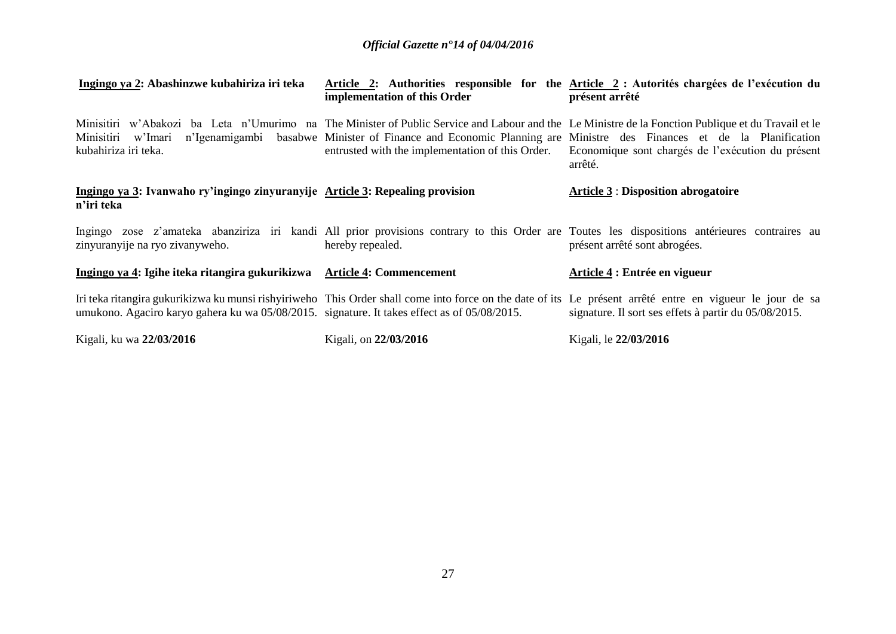| Ingingo ya 2: Abashinzwe kubahiriza iri teka                                                 | implementation of this Order                     | Article 2: Authorities responsible for the Article 2 : Autorités chargées de l'exécution du<br>présent arrêté                                                                                                                                                                                                                            |
|----------------------------------------------------------------------------------------------|--------------------------------------------------|------------------------------------------------------------------------------------------------------------------------------------------------------------------------------------------------------------------------------------------------------------------------------------------------------------------------------------------|
| Minisitiri w'Imari<br>kubahiriza iri teka.                                                   | entrusted with the implementation of this Order. | Minisitiri w'Abakozi ba Leta n'Umurimo na The Minister of Public Service and Labour and the Le Ministre de la Fonction Publique et du Travail et le<br>n'Igenamigambi basabwe Minister of Finance and Economic Planning are Ministre des Finances et de la Planification<br>Economique sont chargés de l'exécution du présent<br>arrêté. |
| Ingingo ya 3: Ivanwaho ry'ingingo zinyuranyije Article 3: Repealing provision<br>n'iri teka  |                                                  | <b>Article 3 : Disposition abrogatoire</b>                                                                                                                                                                                                                                                                                               |
| zinyuranyije na ryo zivanyweho.                                                              | hereby repealed.                                 | Ingingo zose z'amateka abanziriza iri kandi All prior provisions contrary to this Order are Toutes les dispositions antérieures contraires au<br>présent arrêté sont abrogées.                                                                                                                                                           |
| Ingingo ya 4: Igihe iteka ritangira gukurikizwa                                              | <b>Article 4: Commencement</b>                   | Article 4 : Entrée en vigueur                                                                                                                                                                                                                                                                                                            |
| umukono. Agaciro karyo gahera ku wa 05/08/2015. signature. It takes effect as of 05/08/2015. |                                                  | Iri teka ritangira gukurikizwa ku munsi rishyiriweho This Order shall come into force on the date of its Le présent arrêté entre en vigueur le jour de sa<br>signature. Il sort ses effets à partir du 05/08/2015.                                                                                                                       |
| Kigali, ku wa 22/03/2016                                                                     | Kigali, on 22/03/2016                            | Kigali, le 22/03/2016                                                                                                                                                                                                                                                                                                                    |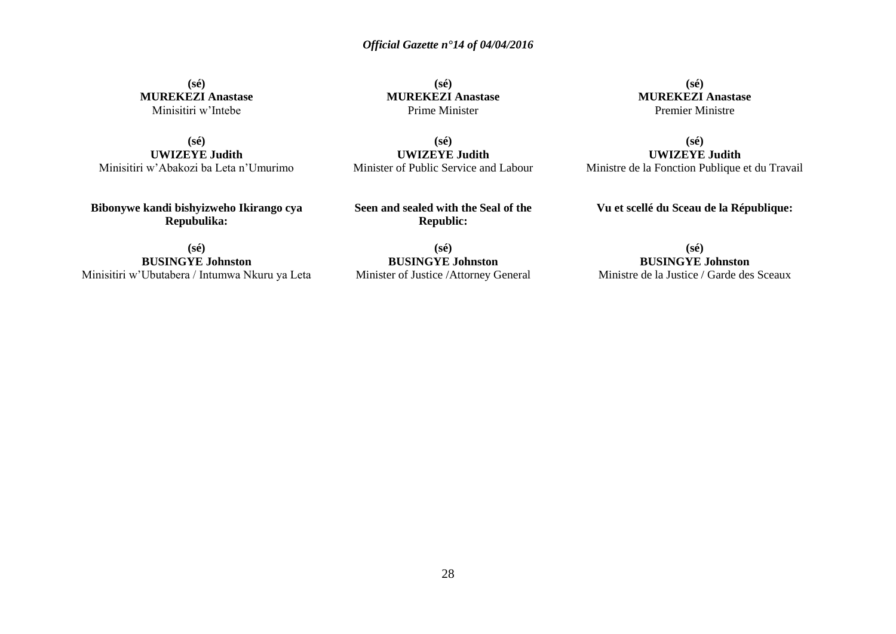**(sé) MUREKEZI Anastase** Minisitiri w'Intebe

**(sé) UWIZEYE Judith** Minisitiri w'Abakozi ba Leta n'Umurimo

**Bibonywe kandi bishyizweho Ikirango cya Repubulika:**

**(sé) MUREKEZI Anastase** Prime Minister

**(sé) UWIZEYE Judith** Minister of Public Service and Labour

**Seen and sealed with the Seal of the Republic:**

**(sé) BUSINGYE Johnston** Minisitiri w'Ubutabera / Intumwa Nkuru ya Leta

**(sé) BUSINGYE Johnston** Minister of Justice /Attorney General

**(sé) MUREKEZI Anastase** Premier Ministre

**(sé) UWIZEYE Judith** Ministre de la Fonction Publique et du Travail

**Vu et scellé du Sceau de la République:**

**(sé) BUSINGYE Johnston** Ministre de la Justice / Garde des Sceaux

28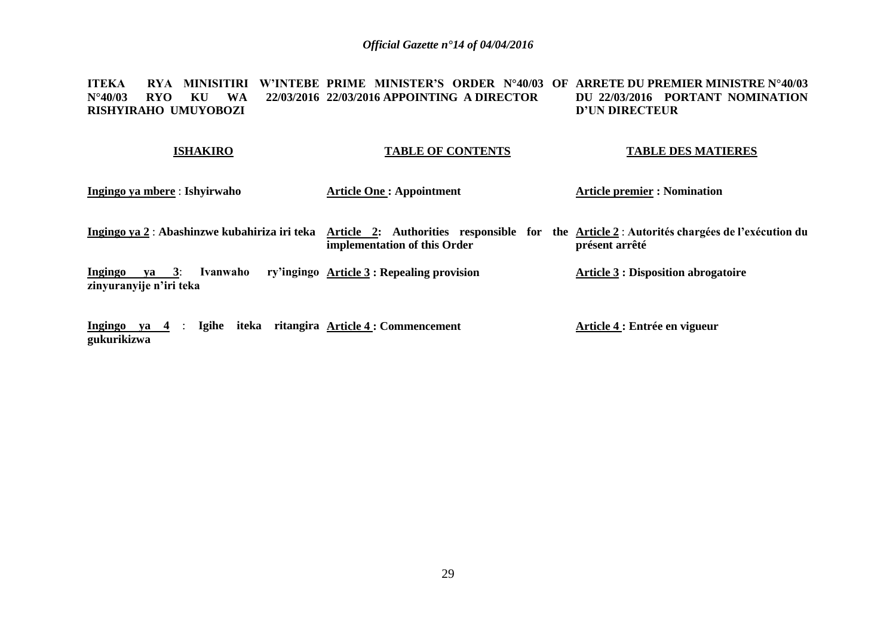#### **ITEKA RYA MINISITIRI W'INTEBE PRIME MINISTER'S ORDER N°40/03 OF ARRETE DU PREMIER MINISTRE N°40/03 N°40/03 RYO KU WA RISHYIRAHO UMUYOBOZI 22/03/2016 APPOINTING A DIRECTOR DU 22/03/2016 PORTANT NOMINATION D'UN DIRECTEUR**

| <b>ISHAKIRO</b>                                              | <b>TABLE OF CONTENTS</b>                                                                                                   | <b>TABLE DES MATIERES</b>                  |
|--------------------------------------------------------------|----------------------------------------------------------------------------------------------------------------------------|--------------------------------------------|
| Ingingo ya mbere: Ishyirwaho                                 | <b>Article One: Appointment</b>                                                                                            | <b>Article premier : Nomination</b>        |
| Ingingo ya 2 : Abashinzwe kubahiriza iri teka                | Article 2: Authorities responsible for the Article 2: Autorités chargées de l'exécution du<br>implementation of this Order | présent arrêté                             |
| $ya = 3$ :<br>Ingingo<br>Ivanwaho<br>zinyuranyije n'iri teka | ry'ingingo Article 3 : Repealing provision                                                                                 | <b>Article 3 : Disposition abrogatoire</b> |
| Ingingo ya $4$ :<br>gukurikizwa                              | Igihe iteka ritangira Article 4 : Commencement                                                                             | Article 4 : Entrée en vigueur              |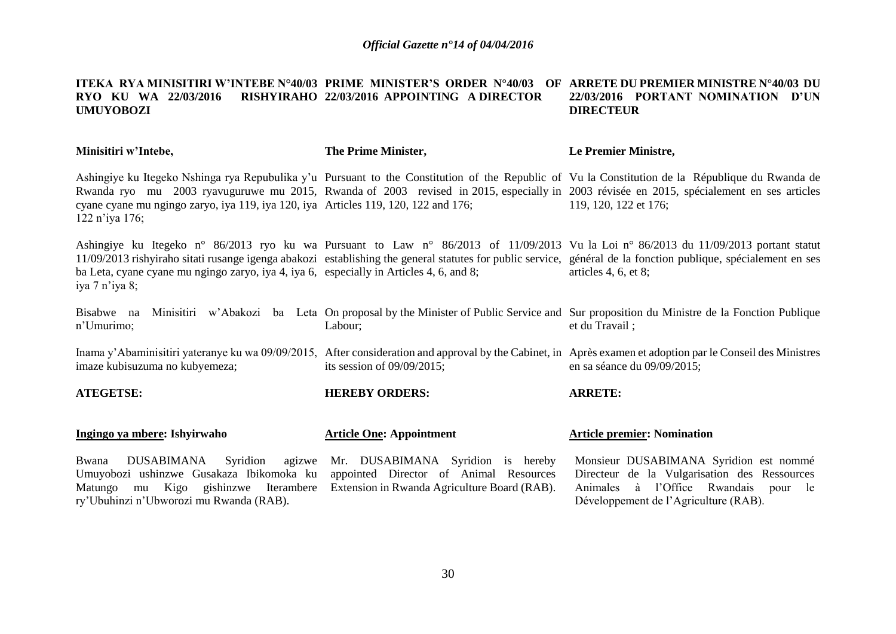#### **ITEKA RYA MINISITIRI W'INTEBE N°40/03 PRIME MINISTER'S ORDER N°40/03 OF ARRETE DU PREMIER MINISTRE N°40/03 DU RYO KU WA 22/03/2016 RISHYIRAHO 22/03/2016 APPOINTING A DIRECTOR UMUYOBOZI 22/03/2016 PORTANT NOMINATION D'UN DIRECTEUR**

| Minisitiri w'Intebe,                                                                                                                                                     | The Prime Minister,                                                                                                         | Le Premier Ministre,                                                                                                                                                                                                                                                                                                           |
|--------------------------------------------------------------------------------------------------------------------------------------------------------------------------|-----------------------------------------------------------------------------------------------------------------------------|--------------------------------------------------------------------------------------------------------------------------------------------------------------------------------------------------------------------------------------------------------------------------------------------------------------------------------|
| cyane cyane mu ngingo zaryo, iya 119, iya 120, iya Articles 119, 120, 122 and 176;<br>122 n'iya 176;                                                                     |                                                                                                                             | Ashingiye ku Itegeko Nshinga rya Repubulika y'u Pursuant to the Constitution of the Republic of Vu la Constitution de la République du Rwanda de<br>Rwanda ryo mu 2003 ryavuguruwe mu 2015, Rwanda of 2003 revised in 2015, especially in 2003 révisée en 2015, spécialement en ses articles<br>119, 120, 122 et 176;          |
| ba Leta, cyane cyane mu ngingo zaryo, iya 4, iya 6, especially in Articles 4, 6, and 8;<br>iya 7 n'iya 8;                                                                |                                                                                                                             | Ashingiye ku Itegeko n° 86/2013 ryo ku wa Pursuant to Law n° 86/2013 of 11/09/2013 Vu la Loi n° 86/2013 du 11/09/2013 portant statut<br>11/09/2013 rishyiraho sitati rusange igenga abakozi establishing the general statutes for public service, général de la fonction publique, spécialement en ses<br>articles 4, 6, et 8; |
| Bisabwe na<br>n'Umurimo;                                                                                                                                                 | Labour;                                                                                                                     | Minisitiri w'Abakozi ba Leta On proposal by the Minister of Public Service and Sur proposition du Ministre de la Fonction Publique<br>et du Travail;                                                                                                                                                                           |
| imaze kubisuzuma no kubyemeza;                                                                                                                                           | its session of $09/09/2015$ ;                                                                                               | Inama y'Abaminisitiri yateranye ku wa 09/09/2015, After consideration and approval by the Cabinet, in Après examen et adoption par le Conseil des Ministres<br>en sa séance du 09/09/2015;                                                                                                                                     |
| <b>ATEGETSE:</b>                                                                                                                                                         | <b>HEREBY ORDERS:</b>                                                                                                       | <b>ARRETE:</b>                                                                                                                                                                                                                                                                                                                 |
| Ingingo ya mbere: Ishyirwaho                                                                                                                                             | <b>Article One: Appointment</b>                                                                                             | <b>Article premier: Nomination</b>                                                                                                                                                                                                                                                                                             |
| DUSABIMANA Syridion<br>agizwe<br>Bwana<br>Umuyobozi ushinzwe Gusakaza Ibikomoka ku<br>mu Kigo gishinzwe Iterambere<br>Matungo<br>ry'Ubuhinzi n'Ubworozi mu Rwanda (RAB). | Mr. DUSABIMANA Syridion is hereby<br>appointed Director of Animal Resources<br>Extension in Rwanda Agriculture Board (RAB). | Monsieur DUSABIMANA Syridion est nommé<br>Directeur de la Vulgarisation des Ressources<br>Animales à l'Office Rwandais<br>le<br>pour<br>Développement de l'Agriculture (RAB).                                                                                                                                                  |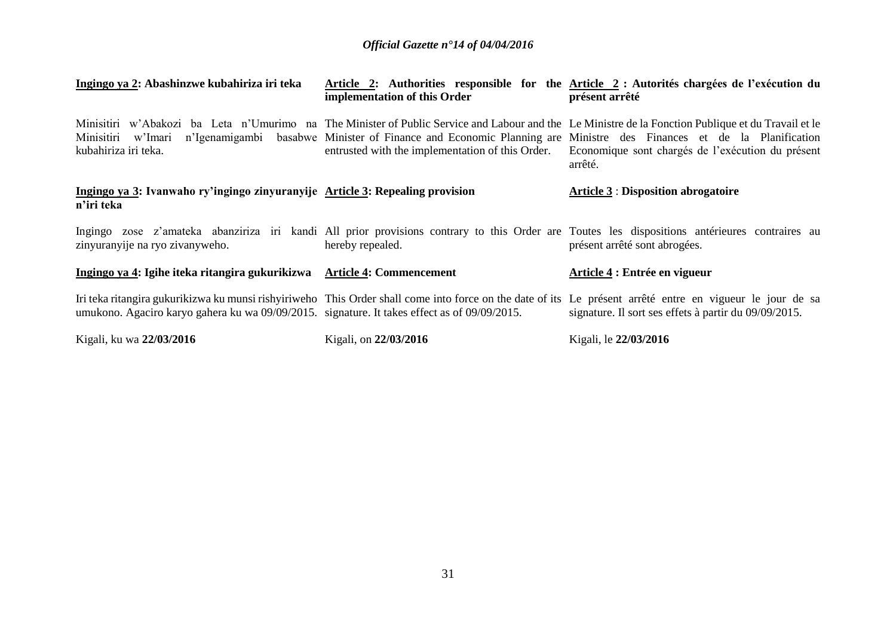| Ingingo ya 2: Abashinzwe kubahiriza iri teka                                                 | implementation of this Order                     | Article 2: Authorities responsible for the Article 2 : Autorités chargées de l'exécution du<br>présent arrêté                                                                                                                                                                                                                            |
|----------------------------------------------------------------------------------------------|--------------------------------------------------|------------------------------------------------------------------------------------------------------------------------------------------------------------------------------------------------------------------------------------------------------------------------------------------------------------------------------------------|
| Minisitiri w'Imari<br>kubahiriza iri teka.                                                   | entrusted with the implementation of this Order. | Minisitiri w'Abakozi ba Leta n'Umurimo na The Minister of Public Service and Labour and the Le Ministre de la Fonction Publique et du Travail et le<br>n'Igenamigambi basabwe Minister of Finance and Economic Planning are Ministre des Finances et de la Planification<br>Economique sont chargés de l'exécution du présent<br>arrêté. |
| Ingingo ya 3: Ivanwaho ry'ingingo zinyuranyije Article 3: Repealing provision<br>n'iri teka  |                                                  | <b>Article 3 : Disposition abrogatoire</b>                                                                                                                                                                                                                                                                                               |
| zinyuranyije na ryo zivanyweho.                                                              | hereby repealed.                                 | Ingingo zose z'amateka abanziriza iri kandi All prior provisions contrary to this Order are Toutes les dispositions antérieures contraires au<br>présent arrêté sont abrogées.                                                                                                                                                           |
| Ingingo ya 4: Igihe iteka ritangira gukurikizwa                                              | <b>Article 4: Commencement</b>                   | Article 4 : Entrée en vigueur                                                                                                                                                                                                                                                                                                            |
| umukono. Agaciro karyo gahera ku wa 09/09/2015. signature. It takes effect as of 09/09/2015. |                                                  | Iri teka ritangira gukurikizwa ku munsi rishyiriweho This Order shall come into force on the date of its Le présent arrêté entre en vigueur le jour de sa<br>signature. Il sort ses effets à partir du 09/09/2015.                                                                                                                       |
| Kigali, ku wa 22/03/2016                                                                     | Kigali, on 22/03/2016                            | Kigali, le 22/03/2016                                                                                                                                                                                                                                                                                                                    |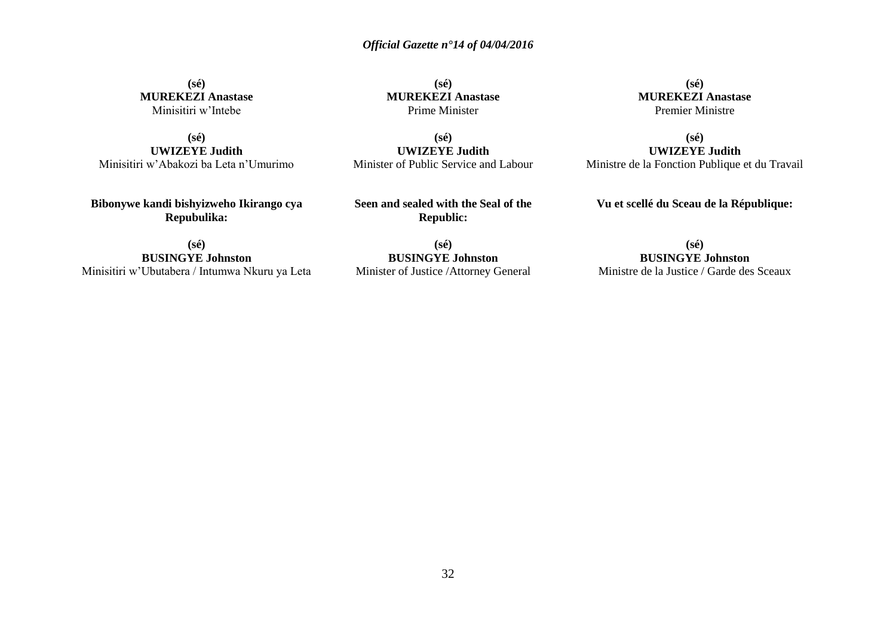**(sé) MUREKEZI Anastase** Minisitiri w'Intebe

**(sé) UWIZEYE Judith** Minisitiri w'Abakozi ba Leta n'Umurimo

**Bibonywe kandi bishyizweho Ikirango cya Repubulika:**

**(sé) MUREKEZI Anastase** Prime Minister

**(sé) UWIZEYE Judith** Minister of Public Service and Labour

**Seen and sealed with the Seal of the Republic:**

**(sé) BUSINGYE Johnston** Minisitiri w'Ubutabera / Intumwa Nkuru ya Leta

**(sé) BUSINGYE Johnston** Minister of Justice /Attorney General

**(sé) MUREKEZI Anastase** Premier Ministre

**(sé) UWIZEYE Judith** Ministre de la Fonction Publique et du Travail

**Vu et scellé du Sceau de la République:**

**(sé) BUSINGYE Johnston** Ministre de la Justice / Garde des Sceaux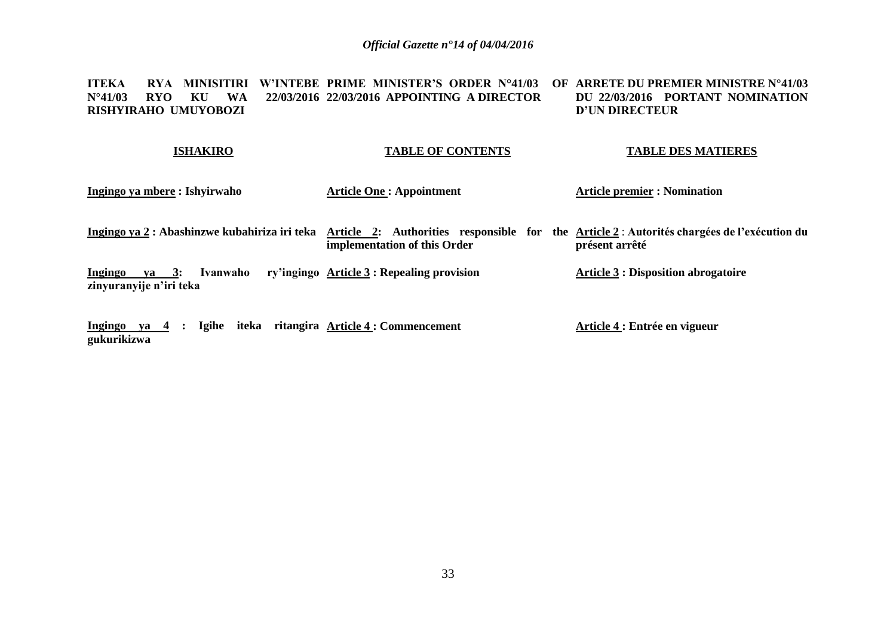**ITEKA RYA MINISITIRI W'INTEBE PRIME MINISTER'S ORDER N°41/03 OF ARRETE DU PREMIER MINISTRE N°41/03 N°41/03 RYO KU WA RISHYIRAHO UMUYOBOZI 22/03/2016 APPOINTING A DIRECTOR DU 22/03/2016 PORTANT NOMINATION D'UN DIRECTEUR** 

| <b>ISHAKIRO</b>               | <b>TABLE OF CONTENTS</b>        | <b>TABLE DES MATIERES</b>           |
|-------------------------------|---------------------------------|-------------------------------------|
| Ingingo ya mbere : Ishyirwaho | <b>Article One: Appointment</b> | <b>Article premier : Nomination</b> |

Ingingo ya 2 : Abashinzwe kubahiriza iri teka Article 2: Authorities responsible for the Article 2 : Autorités chargées de l'exécution du **implementation of this Order présent arrêté**

**Ingingo ya 3: Ivanwaho ry'ingingo Article 3 : Repealing provision zinyuranyije n'iri teka Article 3 : Disposition abrogatoire**

**Ingingo ya 4 : Igihe iteka ritangira Article 4 : Commencement gukurikizwa Article 4 : Entrée en vigueur**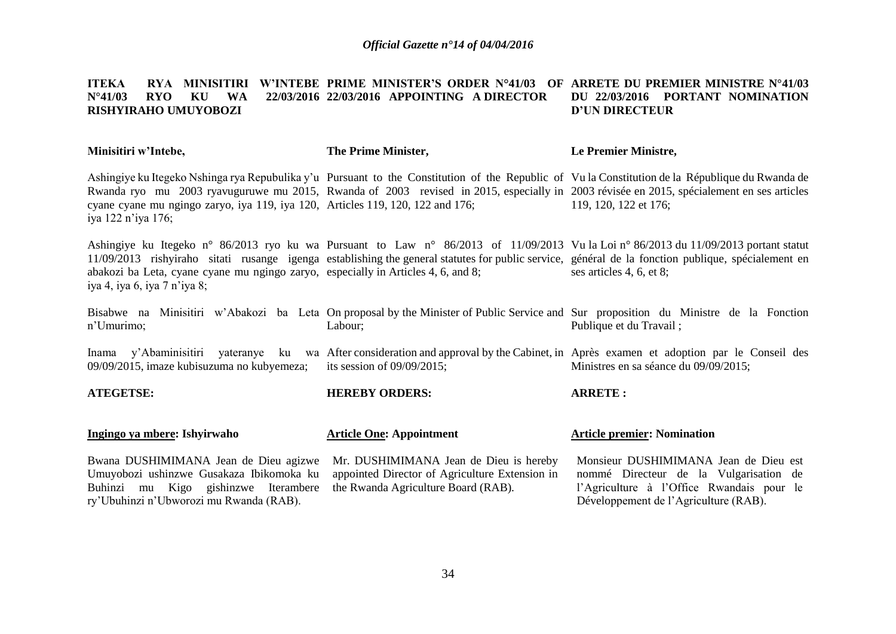#### **ITEKA RYA MINISITIRI W'INTEBE PRIME MINISTER'S ORDER N°41/03 OF ARRETE DU PREMIER MINISTRE N°41/03 N°41/03 RYO KU WA 22/03/2016 22/03/2016 APPOINTING A DIRECTOR RISHYIRAHO UMUYOBOZI DU 22/03/2016 PORTANT NOMINATION D'UN DIRECTEUR**

| Minisitiri w'Intebe,                                                                                                                                                 | The Prime Minister,                                                                                                                                                                                                                                                                          | Le Premier Ministre,                                                                                                                                                  |
|----------------------------------------------------------------------------------------------------------------------------------------------------------------------|----------------------------------------------------------------------------------------------------------------------------------------------------------------------------------------------------------------------------------------------------------------------------------------------|-----------------------------------------------------------------------------------------------------------------------------------------------------------------------|
| cyane cyane mu ngingo zaryo, iya 119, iya 120, Articles 119, 120, 122 and 176;<br>iya 122 n'iya 176;                                                                 | Ashingiye ku Itegeko Nshinga rya Repubulika y'u Pursuant to the Constitution of the Republic of Vu la Constitution de la République du Rwanda de<br>Rwanda ryo mu 2003 ryavuguruwe mu 2015, Rwanda of 2003 revised in 2015, especially in 2003 révisée en 2015, spécialement en ses articles | 119, 120, 122 et 176;                                                                                                                                                 |
| abakozi ba Leta, cyane cyane mu ngingo zaryo, especially in Articles 4, 6, and 8;<br>iya 4, iya 6, iya 7 n'iya 8;                                                    | Ashingiye ku Itegeko n° 86/2013 ryo ku wa Pursuant to Law n° 86/2013 of 11/09/2013 Vu la Loi n° 86/2013 du 11/09/2013 portant statut<br>11/09/2013 rishyiraho sitati rusange igenga establishing the general statutes for public service, général de la fonction publique, spécialement en   | ses articles 4, 6, et 8;                                                                                                                                              |
| n'Umurimo;                                                                                                                                                           | Bisabwe na Minisitiri w'Abakozi ba Leta On proposal by the Minister of Public Service and Sur proposition du Ministre de la Fonction<br>Labour;                                                                                                                                              | Publique et du Travail;                                                                                                                                               |
| 09/09/2015, imaze kubisuzuma no kubyemeza;                                                                                                                           | Inama y'Abaminisitiri yateranye ku wa After consideration and approval by the Cabinet, in Après examen et adoption par le Conseil des<br>its session of $09/09/2015$ ;                                                                                                                       | Ministres en sa séance du 09/09/2015;                                                                                                                                 |
| <b>ATEGETSE:</b>                                                                                                                                                     | <b>HEREBY ORDERS:</b>                                                                                                                                                                                                                                                                        | <b>ARRETE:</b>                                                                                                                                                        |
| Ingingo ya mbere: Ishyirwaho                                                                                                                                         | <b>Article One: Appointment</b>                                                                                                                                                                                                                                                              | <b>Article premier: Nomination</b>                                                                                                                                    |
| Bwana DUSHIMIMANA Jean de Dieu agizwe<br>Umuyobozi ushinzwe Gusakaza Ibikomoka ku<br>Buhinzi mu Kigo gishinzwe Iterambere<br>ry'Ubuhinzi n'Ubworozi mu Rwanda (RAB). | Mr. DUSHIMIMANA Jean de Dieu is hereby<br>appointed Director of Agriculture Extension in<br>the Rwanda Agriculture Board (RAB).                                                                                                                                                              | Monsieur DUSHIMIMANA Jean de Dieu est<br>nommé Directeur de la Vulgarisation de<br>l'Agriculture à l'Office Rwandais pour le<br>Développement de l'Agriculture (RAB). |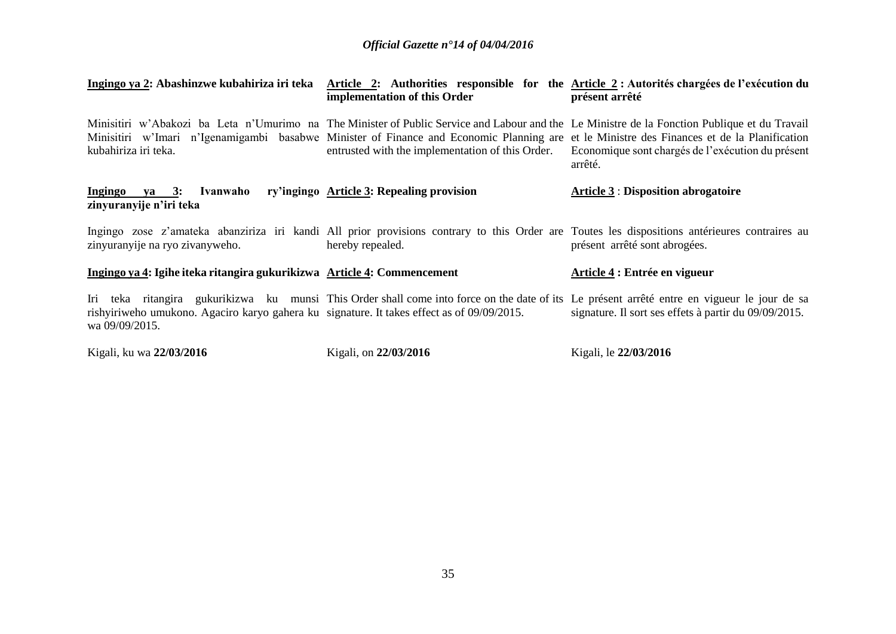| Ingingo ya 2: Abashinzwe kubahiriza iri teka                                                                 | implementation of this Order                                                                                                                                                                                                                                                                                                                    | Article 2: Authorities responsible for the Article 2: Autorités chargées de l'exécution du<br>présent arrêté |
|--------------------------------------------------------------------------------------------------------------|-------------------------------------------------------------------------------------------------------------------------------------------------------------------------------------------------------------------------------------------------------------------------------------------------------------------------------------------------|--------------------------------------------------------------------------------------------------------------|
| kubahiriza iri teka.                                                                                         | Minisitiri w'Abakozi ba Leta n'Umurimo na The Minister of Public Service and Labour and the Le Ministre de la Fonction Publique et du Travail<br>Minisitiri w'Imari n'Igenamigambi basabwe Minister of Finance and Economic Planning are et le Ministre des Finances et de la Planification<br>entrusted with the implementation of this Order. | Economique sont chargés de l'exécution du présent<br>arrêté.                                                 |
| Ivanwaho<br>Ingingo ya 3:<br>zinyuranyije n'iri teka                                                         | ry'ingingo Article 3: Repealing provision                                                                                                                                                                                                                                                                                                       | <b>Article 3 : Disposition abrogatoire</b>                                                                   |
| zinyuranyije na ryo zivanyweho.                                                                              | Ingingo zose z'amateka abanziriza iri kandi All prior provisions contrary to this Order are Toutes les dispositions antérieures contraires au<br>hereby repealed.                                                                                                                                                                               | présent arrêté sont abrogées.                                                                                |
| Ingingo ya 4: Igihe iteka ritangira gukurikizwa Article 4: Commencement                                      |                                                                                                                                                                                                                                                                                                                                                 | Article 4 : Entrée en vigueur                                                                                |
| rishyiriweho umukono. Agaciro karyo gahera ku signature. It takes effect as of 09/09/2015.<br>wa 09/09/2015. | Iri teka ritangira gukurikizwa ku munsi This Order shall come into force on the date of its Le présent arrêté entre en vigueur le jour de sa                                                                                                                                                                                                    | signature. Il sort ses effets à partir du 09/09/2015.                                                        |
| Kigali, ku wa 22/03/2016                                                                                     | Kigali, on 22/03/2016                                                                                                                                                                                                                                                                                                                           | Kigali, le 22/03/2016                                                                                        |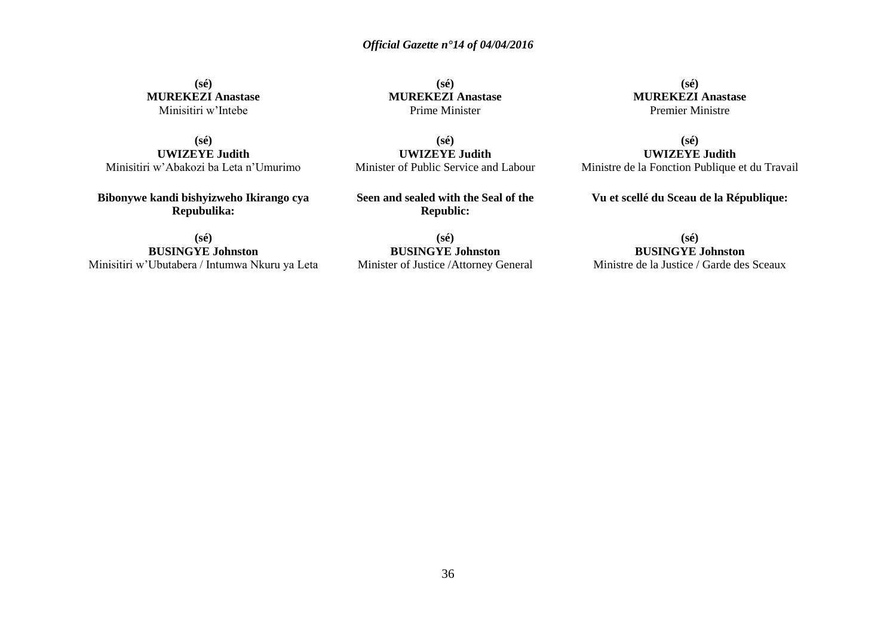**(sé) MUREKEZI Anastase** Minisitiri w'Intebe

**(sé) UWIZEYE Judith** Minisitiri w'Abakozi ba Leta n'Umurimo

**Bibonywe kandi bishyizweho Ikirango cya Repubulika:**

**(sé) BUSINGYE Johnston** Minisitiri w'Ubutabera / Intumwa Nkuru ya Leta

**(sé) MUREKEZI Anastase** Prime Minister

**(sé) UWIZEYE Judith** Minister of Public Service and Labour

**Seen and sealed with the Seal of the Republic:**

**(sé) BUSINGYE Johnston** Minister of Justice /Attorney General

**(sé) MUREKEZI Anastase** Premier Ministre

**(sé) UWIZEYE Judith** Ministre de la Fonction Publique et du Travail

**Vu et scellé du Sceau de la République:**

**(sé) BUSINGYE Johnston** Ministre de la Justice / Garde des Sceaux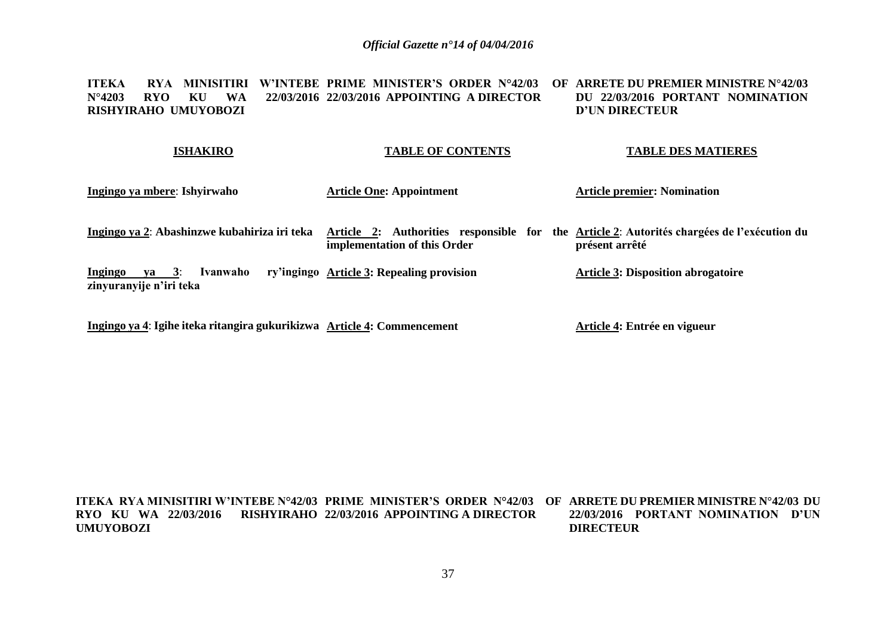**ITEKA RYA MINISITIRI W'INTEBE PRIME MINISTER'S ORDER N°42/03 OF ARRETE DU PREMIER MINISTRE N°42/03 N°4203 RYO KU WA 22/03/2016 RISHYIRAHO UMUYOBOZI 22/03/2016 APPOINTING A DIRECTOR DU 22/03/2016 PORTANT NOMINATION D'UN DIRECTEUR** 

| <b>ISHAKIRO</b>                                                                       | <b>TABLE OF CONTENTS</b>                                                                                                   | <b>TABLE DES MATIERES</b>                 |
|---------------------------------------------------------------------------------------|----------------------------------------------------------------------------------------------------------------------------|-------------------------------------------|
| Ingingo ya mbere: Ishyirwaho                                                          | <b>Article One: Appointment</b>                                                                                            | <b>Article premier: Nomination</b>        |
| Ingingo ya 2: Abashinzwe kubahiriza iri teka                                          | Article 2: Authorities responsible for the Article 2: Autorités chargées de l'exécution du<br>implementation of this Order | présent arrêté                            |
| $\mathbf{v}\mathbf{a} = 3$ :<br><b>Ingingo</b><br>Ivanwaho<br>zinyuranyije n'iri teka | ry'ingingo Article 3: Repealing provision                                                                                  | <b>Article 3: Disposition abrogatoire</b> |
| Ingingo ya 4: Igihe iteka ritangira gukurikizwa Article 4: Commencement               |                                                                                                                            | Article 4: Entrée en vigueur              |

**ITEKA RYA MINISITIRI W'INTEBE N°42/03 PRIME MINISTER'S ORDER N°42/03 OF ARRETE DU PREMIER MINISTRE N°42/03 DU RYO KU WA 22/03/2016 RISHYIRAHO 22/03/2016 APPOINTING A DIRECTOR UMUYOBOZI 22/03/2016 PORTANT NOMINATION D'UN DIRECTEUR**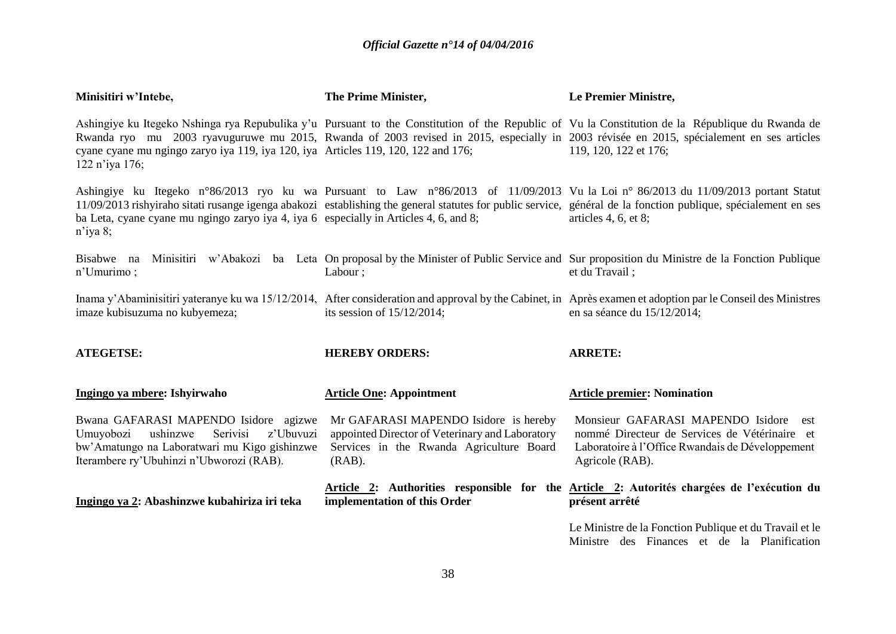| Minisitiri w'Intebe,                                                                                                                                                                | The Prime Minister,                                                                                                                               | Le Premier Ministre,                                                                                                                                                                                                                                                                                                         |
|-------------------------------------------------------------------------------------------------------------------------------------------------------------------------------------|---------------------------------------------------------------------------------------------------------------------------------------------------|------------------------------------------------------------------------------------------------------------------------------------------------------------------------------------------------------------------------------------------------------------------------------------------------------------------------------|
| cyane cyane mu ngingo zaryo iya 119, iya 120, iya Articles 119, 120, 122 and 176;<br>122 n'iya 176;                                                                                 |                                                                                                                                                   | Ashingiye ku Itegeko Nshinga rya Repubulika y'u Pursuant to the Constitution of the Republic of Vu la Constitution de la République du Rwanda de<br>Rwanda ryo mu 2003 ryavuguruwe mu 2015, Rwanda of 2003 revised in 2015, especially in 2003 révisée en 2015, spécialement en ses articles<br>119, 120, 122 et 176;        |
| ba Leta, cyane cyane mu ngingo zaryo iya 4, iya 6 especially in Articles 4, 6, and 8;<br>$n$ 'iya 8;                                                                                |                                                                                                                                                   | Ashingiye ku Itegeko n°86/2013 ryo ku wa Pursuant to Law n°86/2013 of 11/09/2013 Vu la Loi n° 86/2013 du 11/09/2013 portant Statut<br>11/09/2013 rishyiraho sitati rusange igenga abakozi establishing the general statutes for public service, général de la fonction publique, spécialement en ses<br>articles 4, 6, et 8; |
| Bisabwe na<br>n'Umurimo;                                                                                                                                                            | Labour;                                                                                                                                           | Minisitiri w'Abakozi ba Leta On proposal by the Minister of Public Service and Sur proposition du Ministre de la Fonction Publique<br>et du Travail;                                                                                                                                                                         |
| imaze kubisuzuma no kubyemeza;                                                                                                                                                      | its session of $15/12/2014$ ;                                                                                                                     | Inama y'Abaminisitiri yateranye ku wa 15/12/2014, After consideration and approval by the Cabinet, in Après examen et adoption par le Conseil des Ministres<br>en sa séance du 15/12/2014;                                                                                                                                   |
| <b>ATEGETSE:</b>                                                                                                                                                                    | <b>HEREBY ORDERS:</b>                                                                                                                             | <b>ARRETE:</b>                                                                                                                                                                                                                                                                                                               |
| Ingingo ya mbere: Ishyirwaho                                                                                                                                                        | <b>Article One: Appointment</b>                                                                                                                   | <b>Article premier: Nomination</b>                                                                                                                                                                                                                                                                                           |
| Bwana GAFARASI MAPENDO Isidore agizwe<br>ushinzwe<br>Serivisi<br>Umuyobozi<br>z'Ubuvuzi<br>bw'Amatungo na Laboratwari mu Kigo gishinzwe<br>Iterambere ry'Ubuhinzi n'Ubworozi (RAB). | Mr GAFARASI MAPENDO Isidore is hereby<br>appointed Director of Veterinary and Laboratory<br>Services in the Rwanda Agriculture Board<br>$(RAB)$ . | Monsieur GAFARASI MAPENDO Isidore<br>est<br>nommé Directeur de Services de Vétérinaire et<br>Laboratoire à l'Office Rwandais de Développement<br>Agricole (RAB).                                                                                                                                                             |
| Ingingo ya 2: Abashinzwe kubahiriza iri teka                                                                                                                                        | implementation of this Order                                                                                                                      | Article 2: Authorities responsible for the Article 2: Autorités chargées de l'exécution du<br>présent arrêté                                                                                                                                                                                                                 |
|                                                                                                                                                                                     |                                                                                                                                                   | Le Ministre de la Fonction Publique et du Travail et le<br>Ministre des Finances et de la Planification                                                                                                                                                                                                                      |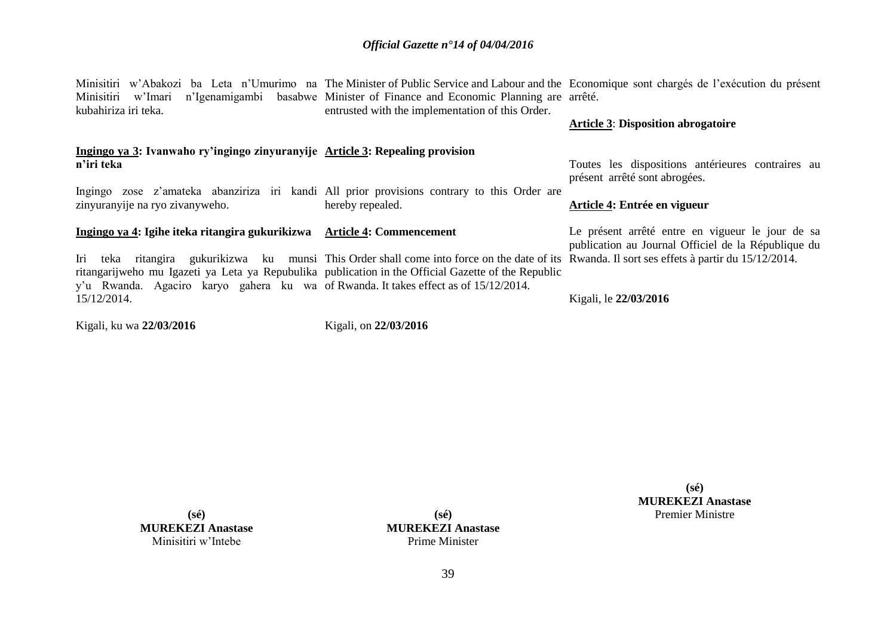| Minisitiri w'Imari<br>kubahiriza iri teka.                                                                                                                                                 | n'Igenamigambi basabwe Minister of Finance and Economic Planning are arrêté.<br>entrusted with the implementation of this Order. | Minisitiri w'Abakozi ba Leta n'Umurimo na The Minister of Public Service and Labour and the Economique sont chargés de l'exécution du présent<br><b>Article 3: Disposition abrogatoire</b> |
|--------------------------------------------------------------------------------------------------------------------------------------------------------------------------------------------|----------------------------------------------------------------------------------------------------------------------------------|--------------------------------------------------------------------------------------------------------------------------------------------------------------------------------------------|
| Ingingo ya 3: Ivanwaho ry'ingingo zinyuranyije Article 3: Repealing provision                                                                                                              |                                                                                                                                  |                                                                                                                                                                                            |
| n'iri teka                                                                                                                                                                                 |                                                                                                                                  | Toutes les dispositions antérieures contraires au<br>présent arrêté sont abrogées.                                                                                                         |
| Ingingo zose z'amateka abanziriza iri kandi All prior provisions contrary to this Order are<br>zinyuranyije na ryo zivanyweho.                                                             | hereby repealed.                                                                                                                 | Article 4: Entrée en vigueur                                                                                                                                                               |
| Ingingo ya 4: Igihe iteka ritangira gukurikizwa Article 4: Commencement                                                                                                                    |                                                                                                                                  | Le présent arrêté entre en vigueur le jour de sa<br>publication au Journal Officiel de la République du                                                                                    |
| Iri teka ritangira gukurikizwa ku munsi This Order shall come into force on the date of its Rwanda. Il sort ses effets à partir du 15/12/2014.                                             |                                                                                                                                  |                                                                                                                                                                                            |
| ritangarijweho mu Igazeti ya Leta ya Repubulika publication in the Official Gazette of the Republic<br>y'u Rwanda. Agaciro karyo gahera ku wa of Rwanda. It takes effect as of 15/12/2014. |                                                                                                                                  |                                                                                                                                                                                            |
| 15/12/2014.                                                                                                                                                                                |                                                                                                                                  | Kigali, le 22/03/2016                                                                                                                                                                      |
| Kigali, ku wa 22/03/2016                                                                                                                                                                   | Kigali, on 22/03/2016                                                                                                            |                                                                                                                                                                                            |

**MUREKEZI Anastase** Minisitiri w'Intebe

**(sé)**

**(sé) MUREKEZI Anastase** Prime Minister

**(sé) MUREKEZI Anastase** Premier Ministre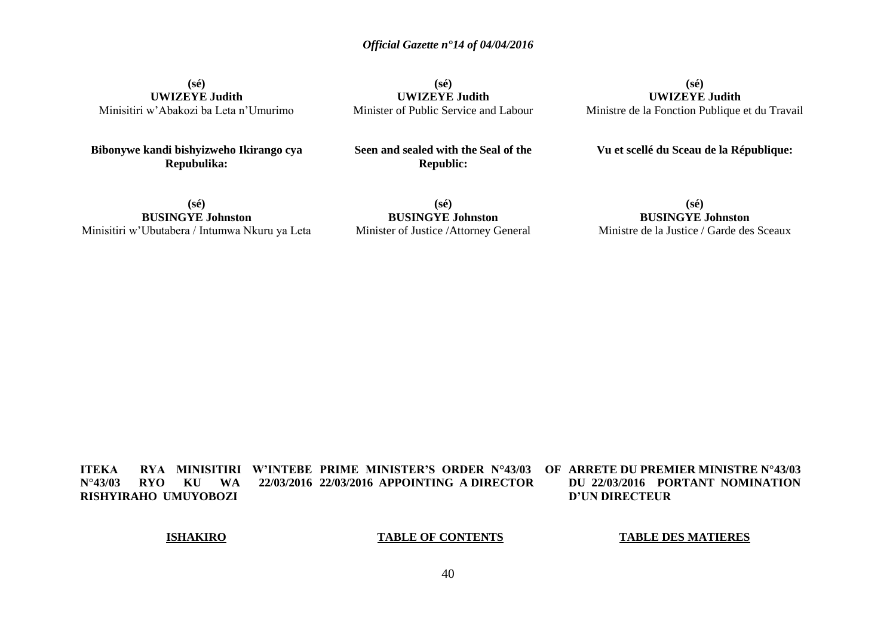**(sé) UWIZEYE Judith** Minisitiri w'Abakozi ba Leta n'Umurimo

**Bibonywe kandi bishyizweho Ikirango cya Repubulika:**

**(sé) UWIZEYE Judith** Minister of Public Service and Labour

**Seen and sealed with the Seal of the Republic:**

**(sé) UWIZEYE Judith** Ministre de la Fonction Publique et du Travail

**Vu et scellé du Sceau de la République:**

**(sé) BUSINGYE Johnston** Minisitiri w'Ubutabera / Intumwa Nkuru ya Leta

**(sé) BUSINGYE Johnston** Minister of Justice /Attorney General

## **(sé) BUSINGYE Johnston** Ministre de la Justice / Garde des Sceaux

**ITEKA RYA MINISITIRI W'INTEBE PRIME MINISTER'S ORDER N°43/03 OF N°43/03 RYO KU WA 22/03/2016 22/03/2016 APPOINTING A DIRECTOR RISHYIRAHO UMUYOBOZI ARRETE DU PREMIER MINISTRE N°43/03 DU 22/03/2016 PORTANT NOMINATION D'UN DIRECTEUR** 

## **ISHAKIRO**

### **TABLE OF CONTENTS**

## **TABLE DES MATIERES**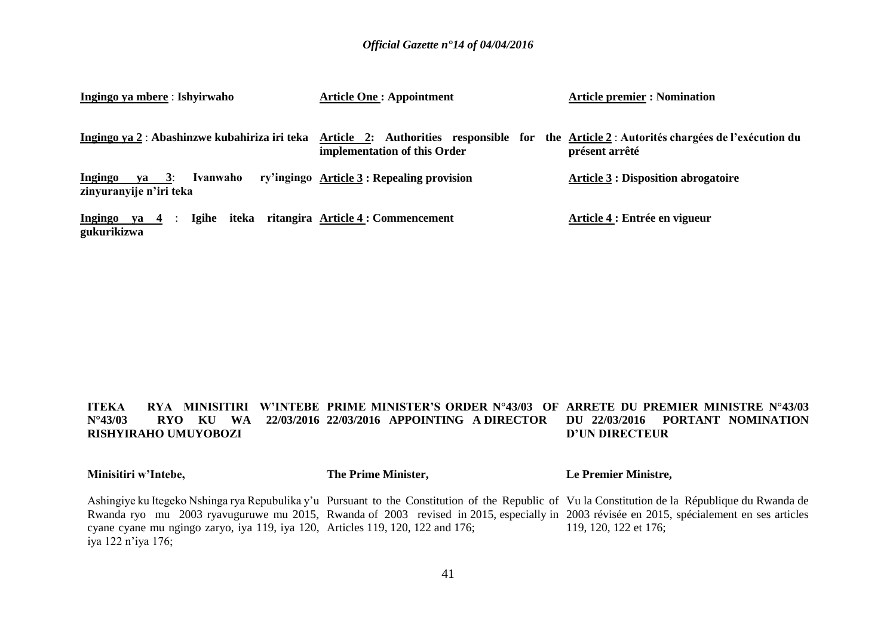| Ingingo ya mbere : Ishyirwaho                                       | <b>Article One: Appointment</b>                                                                                                                                           | <b>Article premier : Nomination</b>        |
|---------------------------------------------------------------------|---------------------------------------------------------------------------------------------------------------------------------------------------------------------------|--------------------------------------------|
|                                                                     | Ingingo ya 2 : Abashinzwe kubahiriza iri teka Article 2: Authorities responsible for the Article 2 : Autorités chargées de l'exécution du<br>implementation of this Order | présent arrêté                             |
| <b>Ingingo</b><br>Ivanwaho<br>$ya = 3$ :<br>zinyuranyije n'iri teka | ry'ingingo Article 3 : Repealing provision                                                                                                                                | <b>Article 3 : Disposition abrogatoire</b> |
| Ingingo ya $4$ :<br>gukurikizwa                                     | Igihe iteka ritangira Article 4 : Commencement                                                                                                                            | Article 4 : Entrée en vigueur              |

### **ITEKA – RYA MINISITIRI W'INTEBE PRIME MINISTER'S ORDER N°43/03 OF ARRETE DU PREMIER MINISTRE N°43/03 N°43/03 RYO KU WA 22/03/2016 22/03/2016 APPOINTING A DIRECTOR DU 22/03/2016 PORTANT NOMINATION RISHYIRAHO UMUYOBOZI D'UN DIRECTEUR**

| Minisitiri w'Intebe,                                                           | The Prime Minister, | Le Premier Ministre,                                                                                                                             |
|--------------------------------------------------------------------------------|---------------------|--------------------------------------------------------------------------------------------------------------------------------------------------|
|                                                                                |                     | Ashingiye ku Itegeko Nshinga rya Repubulika y'u Pursuant to the Constitution of the Republic of Vu la Constitution de la République du Rwanda de |
|                                                                                |                     | Rwanda ryo mu 2003 ryavuguruwe mu 2015, Rwanda of 2003 revised in 2015, especially in 2003 révisée en 2015, spécialement en ses articles         |
| cyane cyane mu ngingo zaryo, iya 119, iya 120, Articles 119, 120, 122 and 176; |                     | 119, 120, 122 et 176;                                                                                                                            |
| iya 122 n'iya 176;                                                             |                     |                                                                                                                                                  |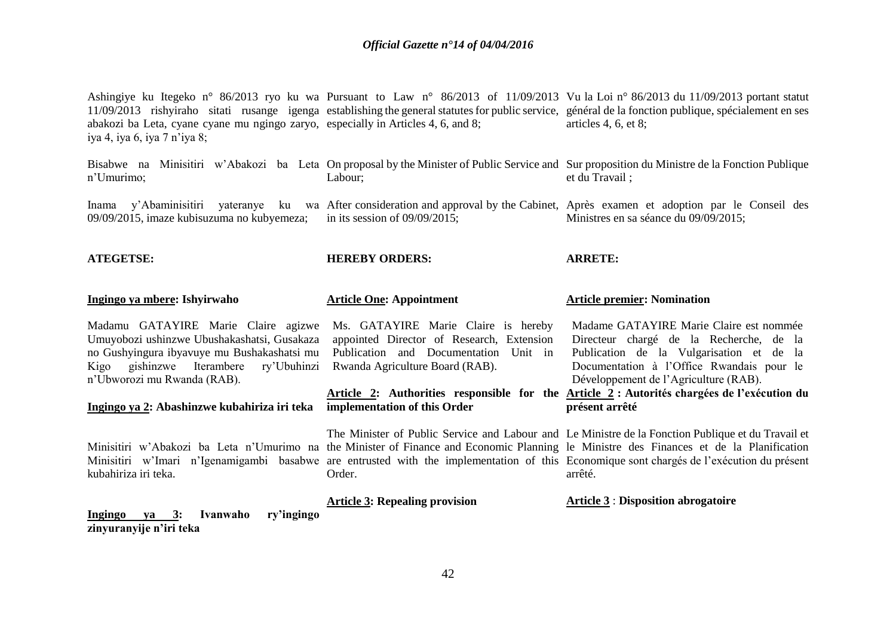| abakozi ba Leta, cyane cyane mu ngingo zaryo, especially in Articles 4, 6, and 8;<br>iya 4, iya 6, iya 7 n'iya 8;                                                                                                                                               |                                                                                                                                                                                                 | Ashingiye ku Itegeko n° 86/2013 ryo ku wa Pursuant to Law n° 86/2013 of 11/09/2013 Vu la Loi n° 86/2013 du 11/09/2013 portant statut<br>11/09/2013 rishyiraho sitati rusange igenga establishing the general statutes for public service, général de la fonction publique, spécialement en ses<br>articles $4, 6, et 8$ ;                                                                             |
|-----------------------------------------------------------------------------------------------------------------------------------------------------------------------------------------------------------------------------------------------------------------|-------------------------------------------------------------------------------------------------------------------------------------------------------------------------------------------------|-------------------------------------------------------------------------------------------------------------------------------------------------------------------------------------------------------------------------------------------------------------------------------------------------------------------------------------------------------------------------------------------------------|
| n'Umurimo;                                                                                                                                                                                                                                                      | Labour;                                                                                                                                                                                         | Bisabwe na Minisitiri w'Abakozi ba Leta On proposal by the Minister of Public Service and Sur proposition du Ministre de la Fonction Publique<br>et du Travail ;                                                                                                                                                                                                                                      |
| Inama y'Abaminisitiri<br>09/09/2015, imaze kubisuzuma no kubyemeza;                                                                                                                                                                                             | in its session of $09/09/2015$ ;                                                                                                                                                                | yateranye ku wa After consideration and approval by the Cabinet, Après examen et adoption par le Conseil des<br>Ministres en sa séance du 09/09/2015;                                                                                                                                                                                                                                                 |
| <b>ATEGETSE:</b>                                                                                                                                                                                                                                                | <b>HEREBY ORDERS:</b>                                                                                                                                                                           | <b>ARRETE:</b>                                                                                                                                                                                                                                                                                                                                                                                        |
| Ingingo ya mbere: Ishyirwaho                                                                                                                                                                                                                                    | <b>Article One: Appointment</b>                                                                                                                                                                 | <b>Article premier: Nomination</b>                                                                                                                                                                                                                                                                                                                                                                    |
| Madamu GATAYIRE Marie Claire agizwe<br>Umuyobozi ushinzwe Ubushakashatsi, Gusakaza<br>no Gushyingura ibyavuye mu Bushakashatsi mu<br>gishinzwe Iterambere<br>ry'Ubuhinzi<br>Kigo<br>n'Ubworozi mu Rwanda (RAB).<br>Ingingo ya 2: Abashinzwe kubahiriza iri teka | Ms. GATAYIRE Marie Claire is hereby<br>appointed Director of Research, Extension<br>Publication and Documentation<br>Unit in<br>Rwanda Agriculture Board (RAB).<br>implementation of this Order | Madame GATAYIRE Marie Claire est nommée<br>Directeur chargé de la Recherche, de la<br>Publication de la Vulgarisation et de la<br>Documentation à l'Office Rwandais pour le<br>Développement de l'Agriculture (RAB).<br>Article 2: Authorities responsible for the Article 2 : Autorités chargées de l'exécution du<br>présent arrêté                                                                 |
| kubahiriza iri teka.                                                                                                                                                                                                                                            | Order.                                                                                                                                                                                          | The Minister of Public Service and Labour and Le Ministre de la Fonction Publique et du Travail et<br>Minisitiri w'Abakozi ba Leta n'Umurimo na the Minister of Finance and Economic Planning le Ministre des Finances et de la Planification<br>Minisitiri w'Imari n'Igenamigambi basabwe are entrusted with the implementation of this Economique sont chargés de l'exécution du présent<br>arrêté. |
| Ivanwaho<br>ry'ingingo<br>Ingingo ya 3:<br>zinyuranyije n'iri teka                                                                                                                                                                                              | <b>Article 3: Repealing provision</b>                                                                                                                                                           | <b>Article 3 : Disposition abrogatoire</b>                                                                                                                                                                                                                                                                                                                                                            |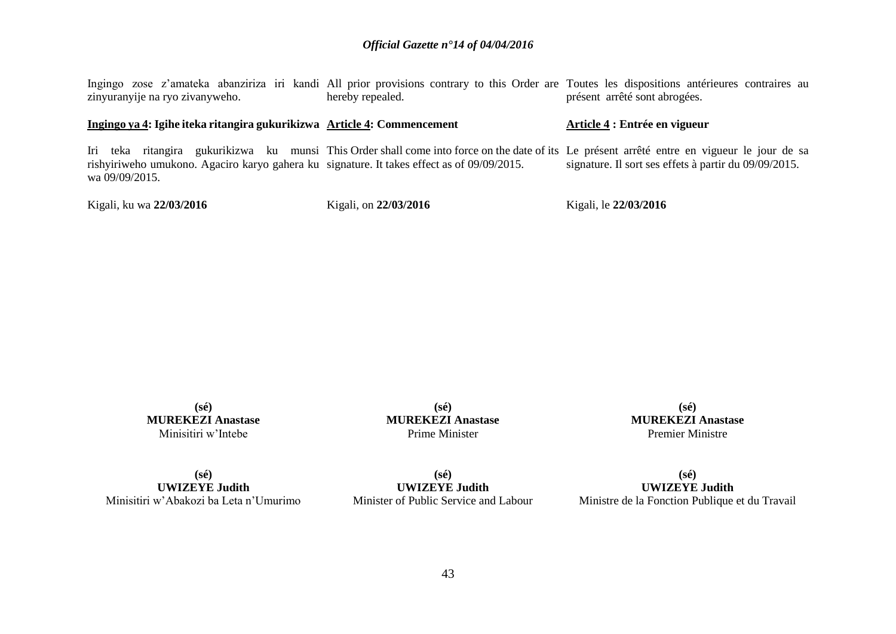Ingingo zose z'amateka abanziriza iri kandi All prior provisions contrary to this Order are Toutes les dispositions antérieures contraires au zinyuranyije na ryo zivanyweho. hereby repealed. présent arrêté sont abrogées.

### **Ingingo ya 4: Igihe iteka ritangira gukurikizwa Article 4: Commencement**

Iri teka ritangira gukurikizwa ku munsi This Order shall come into force on the date of its Le présent arrêté entre en vigueur le jour de sa rishyiriweho umukono. Agaciro karyo gahera ku signature. It takes effect as of 09/09/2015. wa 09/09/2015. signature. Il sort ses effets à partir du 09/09/2015.

Kigali, ku wa **22/03/2016**

Kigali, on **22/03/2016**

Kigali, le **22/03/2016**

**Article 4 : Entrée en vigueur**

**(sé) MUREKEZI Anastase** Minisitiri w'Intebe

**(sé) MUREKEZI Anastase** Prime Minister

**(sé) MUREKEZI Anastase** Premier Ministre

**(sé) UWIZEYE Judith** Minisitiri w'Abakozi ba Leta n'Umurimo

**(sé) UWIZEYE Judith** Minister of Public Service and Labour

**(sé) UWIZEYE Judith** Ministre de la Fonction Publique et du Travail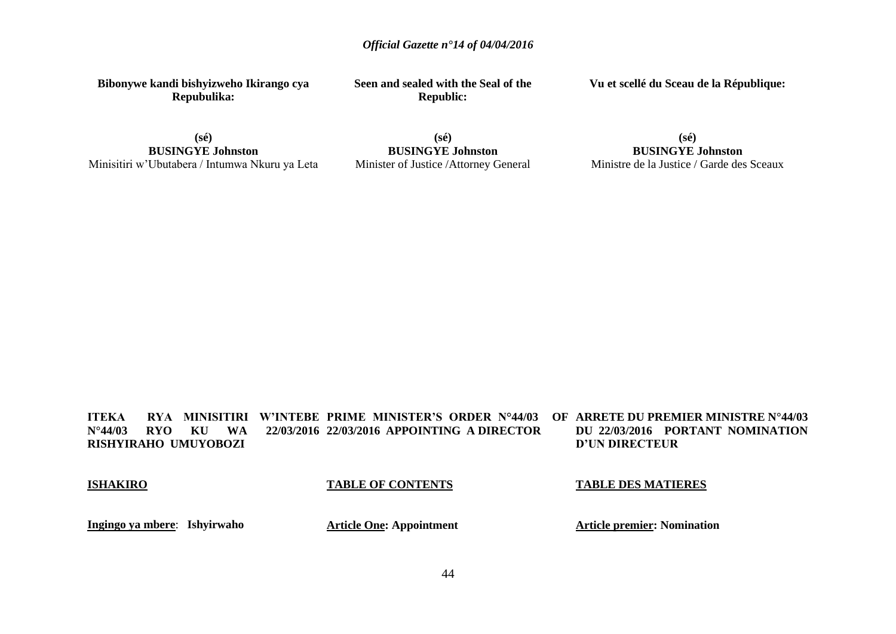**Bibonywe kandi bishyizweho Ikirango cya Repubulika:**

**Seen and sealed with the Seal of the Republic:**

**Vu et scellé du Sceau de la République:**

**(sé) BUSINGYE Johnston** Minisitiri w'Ubutabera / Intumwa Nkuru ya Leta

**(sé) BUSINGYE Johnston** Minister of Justice /Attorney General

**(sé) BUSINGYE Johnston** Ministre de la Justice / Garde des Sceaux

**ITEKA RYA MINISITIRI W'INTEBE PRIME MINISTER'S ORDER N°44/03 OF N°44/03 RYO KU WA 22/03/2016 22/03/2016 APPOINTING A DIRECTOR RISHYIRAHO UMUYOBOZI OF ARRETE DU PREMIER MINISTRE N°44/03 DU 22/03/2016 PORTANT NOMINATION D'UN DIRECTEUR**

**ISHAKIRO**

## **TABLE OF CONTENTS**

### **TABLE DES MATIERES**

**Ingingo ya mbere**: **Ishyirwaho**

**Article One: Appointment**

**Article premier: Nomination**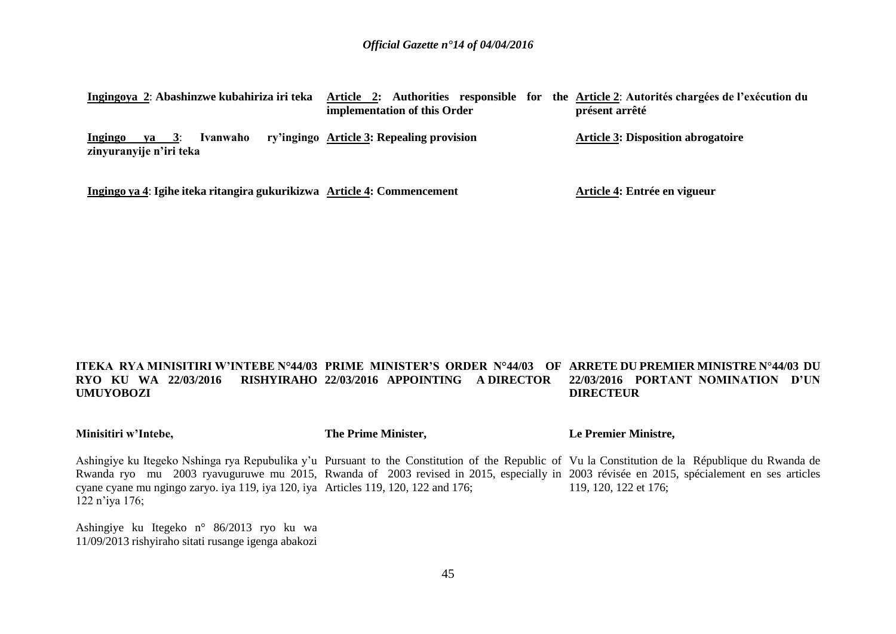| Ingingoya 2: Abashinzwe kubahiriza iri teka                             | Article 2: Authorities responsible for the Article 2: Autorités chargées de l'exécution du<br>implementation of this Order | présent arrêté                            |
|-------------------------------------------------------------------------|----------------------------------------------------------------------------------------------------------------------------|-------------------------------------------|
| Ivanwaho<br>3:<br>Ingingo<br>va<br>zinyuranyije n'iri teka              | ry'ingingo Article 3: Repealing provision                                                                                  | <b>Article 3: Disposition abrogatoire</b> |
| Ingingo ya 4: Igihe iteka ritangira gukurikizwa Article 4: Commencement |                                                                                                                            | Article 4: Entrée en vigueur              |

#### **ITEKA RYA MINISITIRI W'INTEBE N°44/03 PRIME MINISTER'S ORDER N°44/03 OF ARRETE DU PREMIER MINISTRE N°44/03 DU RYO KU WA 22/03/2016 UMUYOBOZI 22/03/2016 APPOINTING A DIRECTOR 22/03/2016 PORTANT NOMINATION D'UN DIRECTEUR**

### **Minisitiri w'Intebe,**

**The Prime Minister,**

**Le Premier Ministre,**

Ashingiye ku Itegeko Nshinga rya Repubulika y'u Pursuant to the Constitution of the Republic of Vu la Constitution de la République du Rwanda de Rwanda ryo mu 2003 ryavuguruwe mu 2015, Rwanda of 2003 revised in 2015, especially in 2003 révisée en 2015, spécialement en ses articles cyane cyane mu ngingo zaryo. iya 119, iya 120, iya Articles 119, 120, 122 and 176; 122 n'iya 176; 119, 120, 122 et 176;

Ashingiye ku Itegeko n° 86/2013 ryo ku wa 11/09/2013 rishyiraho sitati rusange igenga abakozi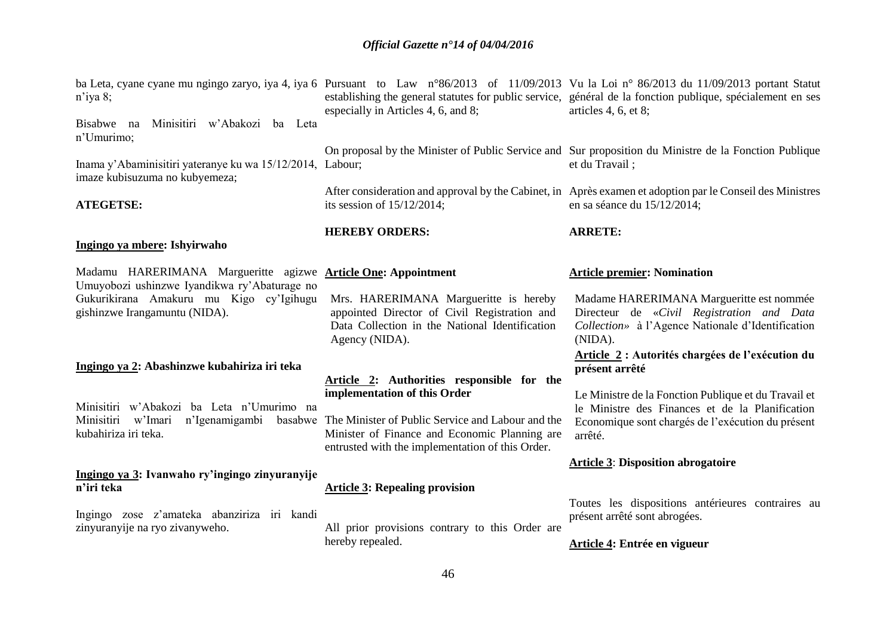| $n$ 'iya 8;<br>Minisitiri w'Abakozi ba Leta<br>Bisabwe na                                                                                                                                        | especially in Articles 4, 6, and 8;                                                                                                                                                                                                          | ba Leta, cyane cyane mu ngingo zaryo, iya 4, iya 6 Pursuant to Law n°86/2013 of 11/09/2013 Vu la Loi n° 86/2013 du 11/09/2013 portant Statut<br>establishing the general statutes for public service, général de la fonction publique, spécialement en ses<br>articles $4, 6, et 8;$ |
|--------------------------------------------------------------------------------------------------------------------------------------------------------------------------------------------------|----------------------------------------------------------------------------------------------------------------------------------------------------------------------------------------------------------------------------------------------|--------------------------------------------------------------------------------------------------------------------------------------------------------------------------------------------------------------------------------------------------------------------------------------|
| n'Umurimo;<br>Inama y'Abaminisitiri yateranye ku wa 15/12/2014, Labour;<br>imaze kubisuzuma no kubyemeza;<br><b>ATEGETSE:</b>                                                                    | its session of $15/12/2014$ ;                                                                                                                                                                                                                | On proposal by the Minister of Public Service and Sur proposition du Ministre de la Fonction Publique<br>et du Travail;<br>After consideration and approval by the Cabinet, in Après examen et adoption par le Conseil des Ministres<br>en sa séance du 15/12/2014;                  |
| Ingingo ya mbere: Ishyirwaho                                                                                                                                                                     | <b>HEREBY ORDERS:</b>                                                                                                                                                                                                                        | <b>ARRETE:</b>                                                                                                                                                                                                                                                                       |
| Madamu HARERIMANA Margueritte agizwe <b>Article One: Appointment</b><br>Umuyobozi ushinzwe Iyandikwa ry'Abaturage no<br>Gukurikirana Amakuru mu Kigo cy'lgihugu<br>gishinzwe Irangamuntu (NIDA). | Mrs. HARERIMANA Margueritte is hereby<br>appointed Director of Civil Registration and<br>Data Collection in the National Identification<br>Agency (NIDA).                                                                                    | <b>Article premier: Nomination</b><br>Madame HARERIMANA Margueritte est nommée<br>Directeur de «Civil Registration and Data<br>Collection» à l'Agence Nationale d'Identification<br>(NIDA).                                                                                          |
| Ingingo ya 2: Abashinzwe kubahiriza iri teka<br>Minisitiri w'Abakozi ba Leta n'Umurimo na<br>n'Igenamigambi<br>w'Imari<br>Minisitiri<br>kubahiriza iri teka.                                     | Article 2: Authorities responsible for the<br>implementation of this Order<br>basabwe The Minister of Public Service and Labour and the<br>Minister of Finance and Economic Planning are<br>entrusted with the implementation of this Order. | Article 2 : Autorités chargées de l'exécution du<br>présent arrêté<br>Le Ministre de la Fonction Publique et du Travail et<br>le Ministre des Finances et de la Planification<br>Economique sont chargés de l'exécution du présent<br>arrêté.                                        |
| Ingingo ya 3: Ivanwaho ry'ingingo zinyuranyije<br>n'iri teka                                                                                                                                     | <b>Article 3: Repealing provision</b>                                                                                                                                                                                                        | <b>Article 3: Disposition abrogatoire</b><br>Toutes les dispositions antérieures contraires au                                                                                                                                                                                       |
| Ingingo zose z'amateka abanziriza iri kandi<br>zinyuranyije na ryo zivanyweho.                                                                                                                   | All prior provisions contrary to this Order are<br>hereby repealed.<br>46.                                                                                                                                                                   | présent arrêté sont abrogées.<br>Article 4: Entrée en vigueur                                                                                                                                                                                                                        |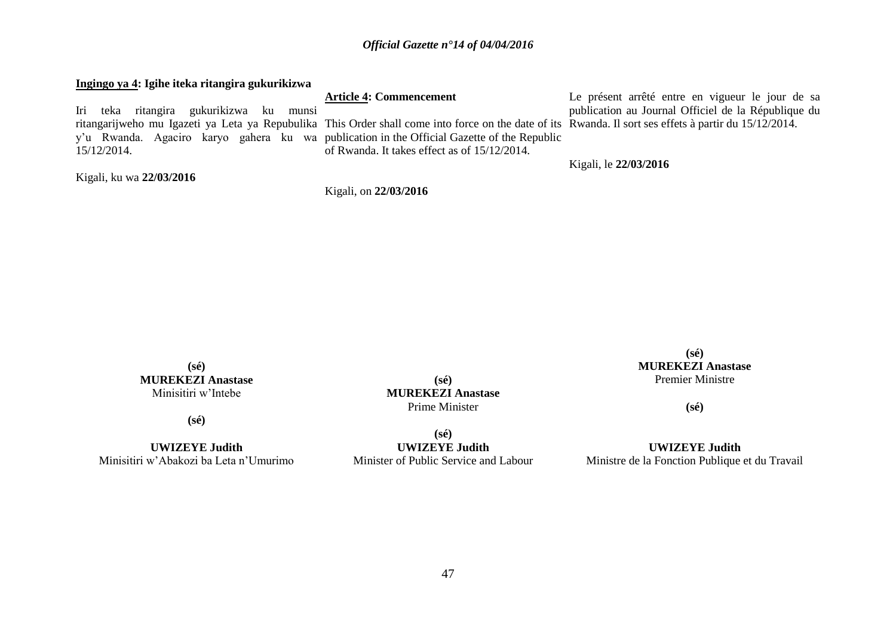### **Ingingo ya 4: Igihe iteka ritangira gukurikizwa** Iri teka ritangira gukurikizwa ku munsi ritangarijweho mu Igazeti ya Leta ya Repubulika This Order shall come into force on the date of its Rwanda. Il sort ses effets à partir du 15/12/2014. y'u Rwanda. Agaciro karyo gahera ku wa publication in the Official Gazette of the Republic 15/12/2014. Kigali, ku wa **22/03/2016 Article 4: Commencement** of Rwanda. It takes effect as of 15/12/2014. Le présent arrêté entre en vigueur le jour de sa publication au Journal Officiel de la République du Kigali, le **22/03/2016**

Kigali, on **22/03/2016**

**(sé) MUREKEZI Anastase** Minisitiri w'Intebe

**(sé)**

**UWIZEYE Judith** Minisitiri w'Abakozi ba Leta n'Umurimo

**(sé) MUREKEZI Anastase** Prime Minister

**(sé) UWIZEYE Judith** Minister of Public Service and Labour

**(sé) MUREKEZI Anastase** Premier Ministre

**(sé)**

**UWIZEYE Judith** Ministre de la Fonction Publique et du Travail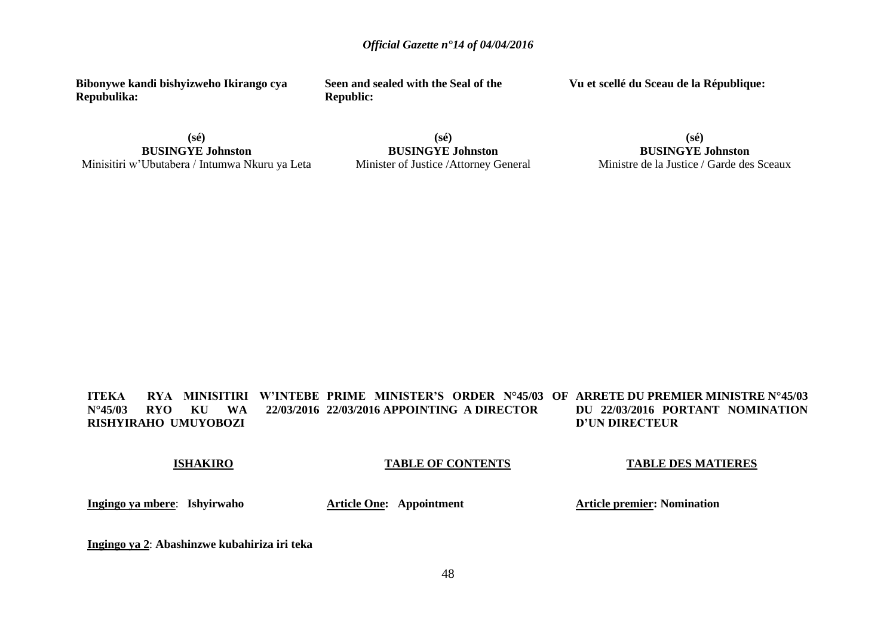**Bibonywe kandi bishyizweho Ikirango cya Repubulika:**

**(sé) BUSINGYE Johnston** Minisitiri w'Ubutabera / Intumwa Nkuru ya Leta **Seen and sealed with the Seal of the Republic:**

**Vu et scellé du Sceau de la République:**

**(sé) BUSINGYE Johnston** Minister of Justice /Attorney General

**(sé) BUSINGYE Johnston** Ministre de la Justice / Garde des Sceaux

**ITEKA – RYA MINISITIRI W'INTEBE PRIME MINISTER'S ORDER N°45/03 OF ARRETE DU PREMIER MINISTRE N°45/03 N°45/03 RYO KU WA 22/03/2016 22/03/2016 APPOINTING A DIRECTOR RISHYIRAHO UMUYOBOZI DU 22/03/2016 PORTANT NOMINATION D'UN DIRECTEUR**

**ISHAKIRO**

## **TABLE OF CONTENTS**

### **TABLE DES MATIERES**

**Ingingo ya mbere**: **Ishyirwaho**

**Article One: Appointment**

**Article premier: Nomination**

**Ingingo ya 2**: **Abashinzwe kubahiriza iri teka**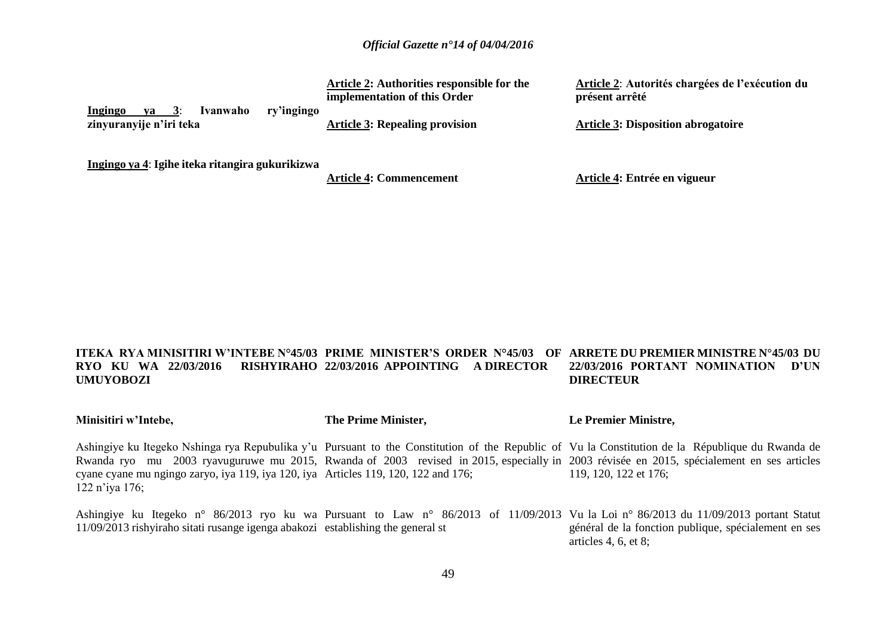|                                                                                      | Article 2: Authorities responsible for the<br>implementation of this Order | Article 2: Autorités chargées de l'exécution du<br>présent arrêté |
|--------------------------------------------------------------------------------------|----------------------------------------------------------------------------|-------------------------------------------------------------------|
| ry'ingingo<br>Ivanwaho<br>Ingingo<br>va<br>$\mathbf{3}$ :<br>zinyuranyije n'iri teka | <b>Article 3: Repealing provision</b>                                      | <b>Article 3: Disposition abrogatoire</b>                         |

**Ingingo ya 4**: **Igihe iteka ritangira gukurikizwa**

**Article 4: Commencement**

**Article 4: Entrée en vigueur**

#### **ITEKA RYA MINISITIRI W'INTEBE N°45/03 PRIME MINISTER'S ORDER N°45/03 OF ARRETE DU PREMIER MINISTRE N°45/03 DU RYO KU WA 22/03/2016 RISHYIRAHO 22/03/2016 APPOINTING A DIRECTOR UMUYOBOZI 22/03/2016 PORTANT NOMINATION D'UN DIRECTEUR**

| Minisitiri w'Intebe,                                                                                   | The Prime Minister, | Le Premier Ministre,                                                                                                                                                                                                                                                                                                  |
|--------------------------------------------------------------------------------------------------------|---------------------|-----------------------------------------------------------------------------------------------------------------------------------------------------------------------------------------------------------------------------------------------------------------------------------------------------------------------|
| cyane cyane mu ngingo zaryo, iya 119, iya 120, iya Articles 119, 120, 122 and 176;<br>$122$ n'iya 176; |                     | Ashingiye ku Itegeko Nshinga rya Repubulika y'u Pursuant to the Constitution of the Republic of Vu la Constitution de la République du Rwanda de<br>Rwanda ryo mu 2003 ryavuguruwe mu 2015, Rwanda of 2003 revised in 2015, especially in 2003 révisée en 2015, spécialement en ses articles<br>119, 120, 122 et 176; |
| 11/09/2013 rishyiraho sitati rusange igenga abakozi establishing the general st                        |                     | Ashingiye ku Itegeko n° 86/2013 ryo ku wa Pursuant to Law n° 86/2013 of 11/09/2013 Vu la Loi n° 86/2013 du 11/09/2013 portant Statut<br>général de la fonction publique, spécialement en ses<br>articles 4, 6, et 8;                                                                                                  |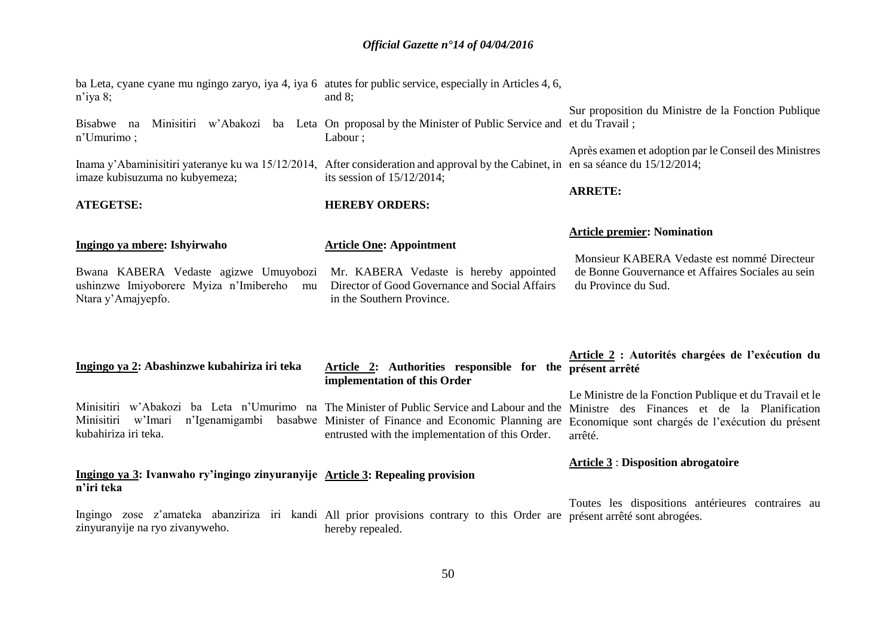| $n$ 'iya 8;                                                                                                                                                         | ba Leta, cyane cyane mu ngingo zaryo, iya 4, iya 6 atutes for public service, especially in Articles 4, 6,<br>and $8$ ;                                  |                                                                                                                                                                                                                                                                |
|---------------------------------------------------------------------------------------------------------------------------------------------------------------------|----------------------------------------------------------------------------------------------------------------------------------------------------------|----------------------------------------------------------------------------------------------------------------------------------------------------------------------------------------------------------------------------------------------------------------|
| Bisabwe na<br>n'Umurimo;                                                                                                                                            | Minisitiri w'Abakozi ba Leta On proposal by the Minister of Public Service and et du Travail;<br>Labour;                                                 | Sur proposition du Ministre de la Fonction Publique                                                                                                                                                                                                            |
| Inama y'Abaminisitiri yateranye ku wa 15/12/2014, After consideration and approval by the Cabinet, in en sa séance du 15/12/2014;<br>imaze kubisuzuma no kubyemeza; | its session of $15/12/2014$ ;                                                                                                                            | Après examen et adoption par le Conseil des Ministres                                                                                                                                                                                                          |
| <b>ATEGETSE:</b>                                                                                                                                                    | <b>HEREBY ORDERS:</b>                                                                                                                                    | <b>ARRETE:</b>                                                                                                                                                                                                                                                 |
| Ingingo ya mbere: Ishyirwaho<br>Bwana KABERA Vedaste agizwe Umuyobozi<br>ushinzwe Imiyoborere Myiza n'Imibereho<br>mu<br>Ntara y'Amajyepfo.                         | <b>Article One: Appointment</b><br>Mr. KABERA Vedaste is hereby appointed<br>Director of Good Governance and Social Affairs<br>in the Southern Province. | <b>Article premier: Nomination</b><br>Monsieur KABERA Vedaste est nommé Directeur<br>de Bonne Gouvernance et Affaires Sociales au sein<br>du Province du Sud.                                                                                                  |
|                                                                                                                                                                     |                                                                                                                                                          |                                                                                                                                                                                                                                                                |
| Ingingo ya 2: Abashinzwe kubahiriza iri teka                                                                                                                        | Article 2: Authorities responsible for the présent arrêté<br>implementation of this Order                                                                | Article 2 : Autorités chargées de l'exécution du<br>Le Ministre de la Fonction Publique et du Travail et le                                                                                                                                                    |
| Minisitiri w'Imari<br>n'Igenamigambi<br>kubahiriza iri teka.                                                                                                        | entrusted with the implementation of this Order.                                                                                                         | Minisitiri w'Abakozi ba Leta n'Umurimo na The Minister of Public Service and Labour and the Ministre des Finances et de la Planification<br>basabwe Minister of Finance and Economic Planning are Economique sont chargés de l'exécution du présent<br>arrêté. |
| Ingingo ya 3: Ivanwaho ry'ingingo zinyuranyije Article 3: Repealing provision<br>n'iri teka                                                                         |                                                                                                                                                          | <b>Article 3: Disposition abrogatoire</b>                                                                                                                                                                                                                      |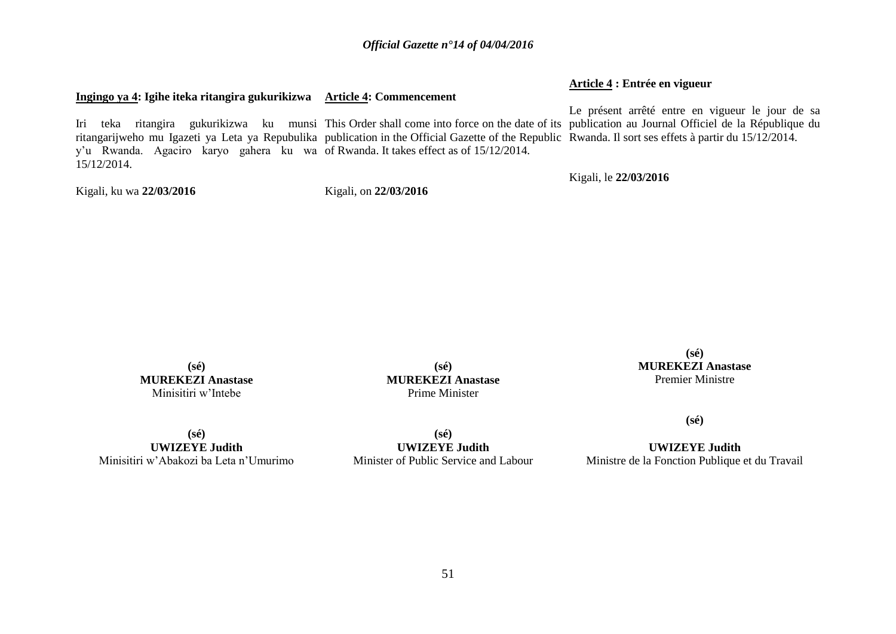## **Ingingo ya 4: Igihe iteka ritangira gukurikizwa Article 4: Commencement**

**Article 4 : Entrée en vigueur**

Iri teka ritangira gukurikizwa ku munsi This Order shall come into force on the date of its publication au Journal Officiel de la République du ritangarijweho mu Igazeti ya Leta ya Repubulika publication in the Official Gazette of the Republic Rwanda. Il sort ses effets à partir du 15/12/2014. y'u Rwanda. Agaciro karyo gahera ku wa of Rwanda. It takes effect as of 15/12/2014. 15/12/2014. Le présent arrêté entre en vigueur le jour de sa

Kigali, ku wa **22/03/2016**

Kigali, on **22/03/2016**

Kigali, le **22/03/2016**

**(sé) MUREKEZI Anastase** Minisitiri w'Intebe

**(sé) MUREKEZI Anastase** Prime Minister

**(sé) MUREKEZI Anastase** Premier Ministre

**(sé)**

**UWIZEYE Judith** Ministre de la Fonction Publique et du Travail

**(sé) UWIZEYE Judith**

Minisitiri w'Abakozi ba Leta n'Umurimo

**(sé) UWIZEYE Judith** Minister of Public Service and Labour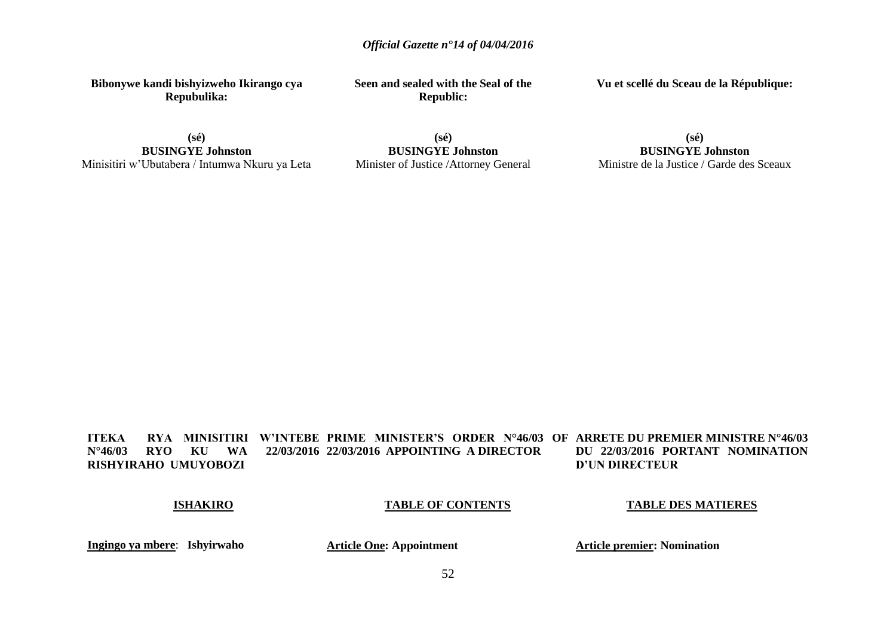**Bibonywe kandi bishyizweho Ikirango cya Repubulika:**

**BUSINGYE Johnston** Minisitiri w'Ubutabera / Intumwa Nkuru ya Leta **Seen and sealed with the Seal of the Republic:**

**Vu et scellé du Sceau de la République:**

**(sé)**

**(sé) BUSINGYE Johnston** Minister of Justice /Attorney General

**(sé) BUSINGYE Johnston** Ministre de la Justice / Garde des Sceaux

**ITEKA RYA MINISITIRI W'INTEBE PRIME MINISTER'S ORDER N°46/03 OF ARRETE DU PREMIER MINISTRE N°46/03 N°46/03 RYO KU WA 22/03/2016 22/03/2016 APPOINTING A DIRECTOR RISHYIRAHO UMUYOBOZI DU 22/03/2016 PORTANT NOMINATION D'UN DIRECTEUR** 

### **ISHAKIRO**

### **TABLE OF CONTENTS**

**TABLE DES MATIERES**

**Ingingo ya mbere**: **Ishyirwaho**

**Article One: Appointment**

**Article premier: Nomination**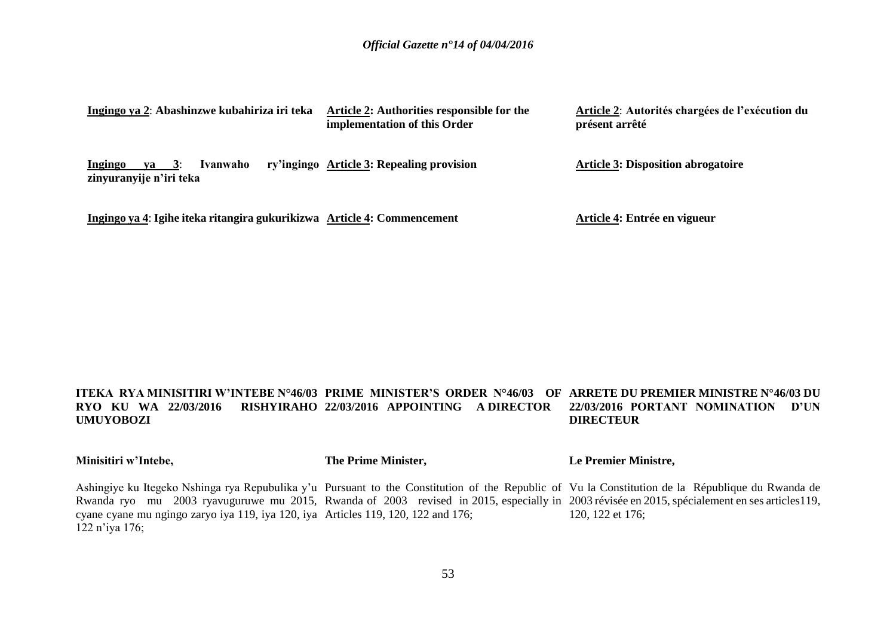| Ingingo ya 2: Abashinzwe kubahiriza iri teka                            | Article 2: Authorities responsible for the<br>implementation of this Order | Article 2: Autorités chargées de l'exécution du<br>présent arrêté |
|-------------------------------------------------------------------------|----------------------------------------------------------------------------|-------------------------------------------------------------------|
| Ivanwaho<br><b>Ingingo</b><br>$va = 3$ :<br>zinyuranyije n'iri teka     | ry'ingingo Article 3: Repealing provision                                  | <b>Article 3: Disposition abrogatoire</b>                         |
| Ingingo ya 4: Igihe iteka ritangira gukurikizwa Article 4: Commencement |                                                                            | Article 4: Entrée en vigueur                                      |

#### **ITEKA RYA MINISITIRI W'INTEBE N°46/03 PRIME MINISTER'S ORDER N°46/03 OF ARRETE DU PREMIER MINISTRE N°46/03 DU RYO KU WA 22/03/2016 UMUYOBOZI 22/03/2016 APPOINTING A DIRECTOR 22/03/2016 PORTANT NOMINATION D'UN DIRECTEUR**

**Minisitiri w'Intebe,**

**The Prime Minister,**

**Le Premier Ministre,**

Ashingiye ku Itegeko Nshinga rya Repubulika y'u Pursuant to the Constitution of the Republic of Vu la Constitution de la République du Rwanda de Rwanda ryo mu 2003 ryavuguruwe mu 2015, Rwanda of 2003 revised in 2015, especially in 2003 révisée en 2015, spécialement en ses articles 119, cyane cyane mu ngingo zaryo iya 119, iya 120, iya Articles 119, 120, 122 and 176; 122 n'iya 176; 120, 122 et 176;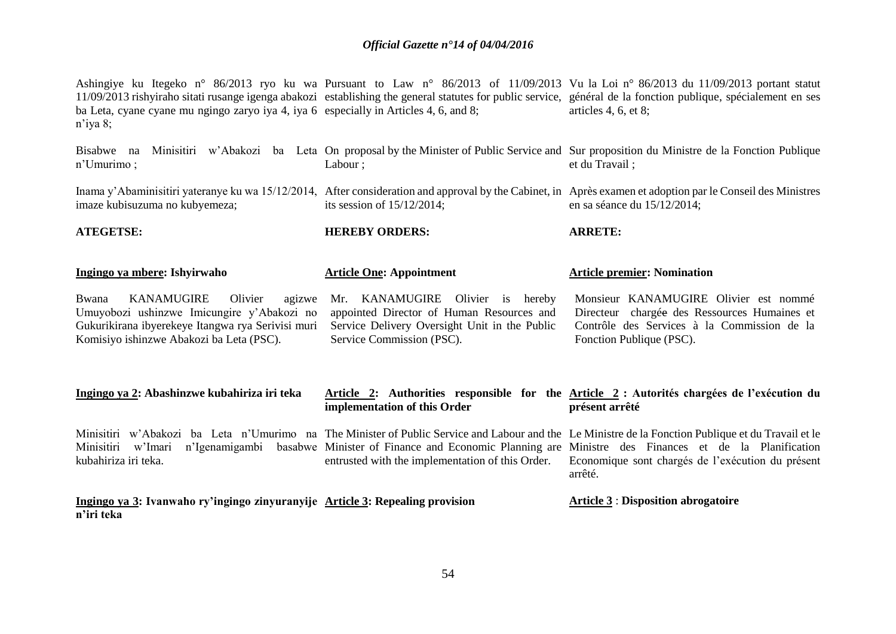| ba Leta, cyane cyane mu ngingo zaryo iya 4, iya 6 especially in Articles 4, 6, and 8;<br>$n'$ iya 8;                                                                                           |                                                                                                                                                                | Ashingiye ku Itegeko n° 86/2013 ryo ku wa Pursuant to Law n° 86/2013 of 11/09/2013 Vu la Loi n° 86/2013 du 11/09/2013 portant statut<br>11/09/2013 rishyiraho sitati rusange igenga abakozi establishing the general statutes for public service, général de la fonction publique, spécialement en ses<br>articles $4, 6, et 8$ ; |
|------------------------------------------------------------------------------------------------------------------------------------------------------------------------------------------------|----------------------------------------------------------------------------------------------------------------------------------------------------------------|-----------------------------------------------------------------------------------------------------------------------------------------------------------------------------------------------------------------------------------------------------------------------------------------------------------------------------------|
| Bisabwe na<br>n'Umurimo;                                                                                                                                                                       | Labour ;                                                                                                                                                       | Minisitiri w'Abakozi ba Leta On proposal by the Minister of Public Service and Sur proposition du Ministre de la Fonction Publique<br>et du Travail;                                                                                                                                                                              |
| imaze kubisuzuma no kubyemeza;                                                                                                                                                                 | its session of $15/12/2014$ ;                                                                                                                                  | Inama y'Abaminisitiri yateranye ku wa 15/12/2014, After consideration and approval by the Cabinet, in Après examen et adoption par le Conseil des Ministres<br>en sa séance du 15/12/2014;                                                                                                                                        |
| <b>ATEGETSE:</b>                                                                                                                                                                               | <b>HEREBY ORDERS:</b>                                                                                                                                          | <b>ARRETE:</b>                                                                                                                                                                                                                                                                                                                    |
| Ingingo ya mbere: Ishyirwaho                                                                                                                                                                   | <b>Article One: Appointment</b>                                                                                                                                | <b>Article premier: Nomination</b>                                                                                                                                                                                                                                                                                                |
| <b>KANAMUGIRE</b><br>Olivier<br>Bwana<br>agizwe<br>Umuyobozi ushinzwe Imicungire y'Abakozi no<br>Gukurikirana ibyerekeye Itangwa rya Serivisi muri<br>Komisiyo ishinzwe Abakozi ba Leta (PSC). | Mr. KANAMUGIRE Olivier is<br>hereby<br>appointed Director of Human Resources and<br>Service Delivery Oversight Unit in the Public<br>Service Commission (PSC). | Monsieur KANAMUGIRE Olivier est nommé<br>Directeur chargée des Ressources Humaines et<br>Contrôle des Services à la Commission de la<br>Fonction Publique (PSC).                                                                                                                                                                  |
| Ingingo ya 2: Abashinzwe kubahiriza iri teka                                                                                                                                                   | implementation of this Order                                                                                                                                   | Article 2: Authorities responsible for the Article 2 : Autorités chargées de l'exécution du<br>présent arrêté                                                                                                                                                                                                                     |
| n'Igenamigambi<br>Minisitiri<br>w'Imari<br>kubahiriza iri teka.                                                                                                                                | entrusted with the implementation of this Order.                                                                                                               | Minisitiri w'Abakozi ba Leta n'Umurimo na The Minister of Public Service and Labour and the Le Ministre de la Fonction Publique et du Travail et le<br>basabwe Minister of Finance and Economic Planning are Ministre des Finances et de la Planification<br>Economique sont chargés de l'exécution du présent<br>arrêté.         |
| Ingingo ya 3: Ivanwaho ry'ingingo zinyuranyije Article 3: Repealing provision<br>n'iri teka                                                                                                    |                                                                                                                                                                | <b>Article 3: Disposition abrogatoire</b>                                                                                                                                                                                                                                                                                         |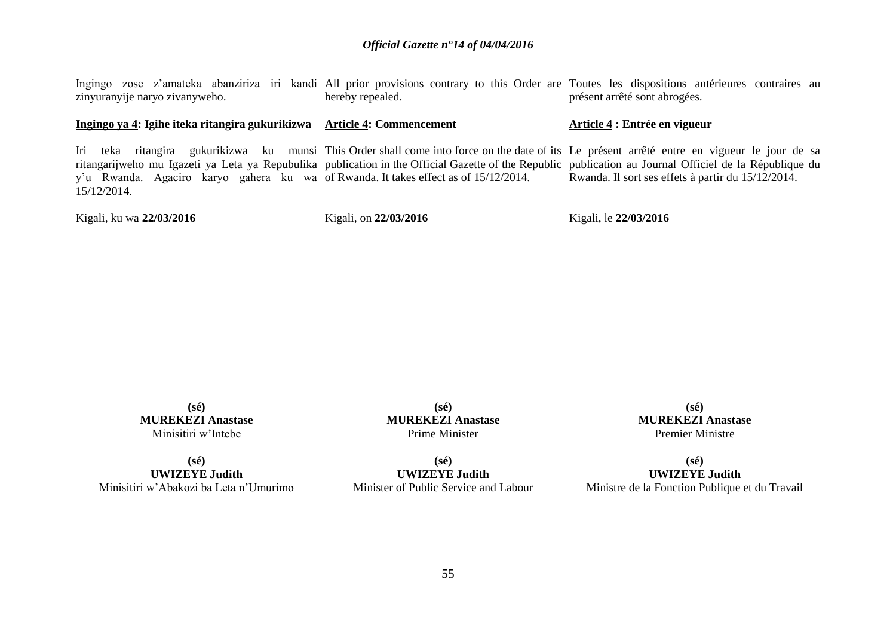| Kigali, ku wa 22/03/2016                                                                                       | Kigali, on 22/03/2016 | Kigali, le 22/03/2016                                                                                                                                                                                                                                                                                                                                |
|----------------------------------------------------------------------------------------------------------------|-----------------------|------------------------------------------------------------------------------------------------------------------------------------------------------------------------------------------------------------------------------------------------------------------------------------------------------------------------------------------------------|
| Iri teka<br>y'u Rwanda. Agaciro karyo gahera ku wa of Rwanda. It takes effect as of 15/12/2014.<br>15/12/2014. |                       | ritangira gukurikizwa ku munsi This Order shall come into force on the date of its Le présent arrêté entre en vigueur le jour de sa<br>ritangarijweho mu Igazeti ya Leta ya Repubulika publication in the Official Gazette of the Republic publication au Journal Officiel de la République du<br>Rwanda. Il sort ses effets à partir du 15/12/2014. |
| Ingingo ya 4: Igihe iteka ritangira gukurikizwa Article 4: Commencement                                        |                       | Article 4 : Entrée en vigueur                                                                                                                                                                                                                                                                                                                        |
| zinyuranyije naryo zivanyweho.                                                                                 | hereby repealed.      | Ingingo zose z'amateka abanziriza iri kandi All prior provisions contrary to this Order are Toutes les dispositions antérieures contraires au<br>présent arrêté sont abrogées.                                                                                                                                                                       |

**(sé) MUREKEZI Anastase** Minisitiri w'Intebe

**(sé) UWIZEYE Judith** Minisitiri w'Abakozi ba Leta n'Umurimo

**(sé) MUREKEZI Anastase** Prime Minister

**(sé)**

**UWIZEYE Judith** Minister of Public Service and Labour

**(sé) MUREKEZI Anastase** Premier Ministre

**(sé) UWIZEYE Judith** Ministre de la Fonction Publique et du Travail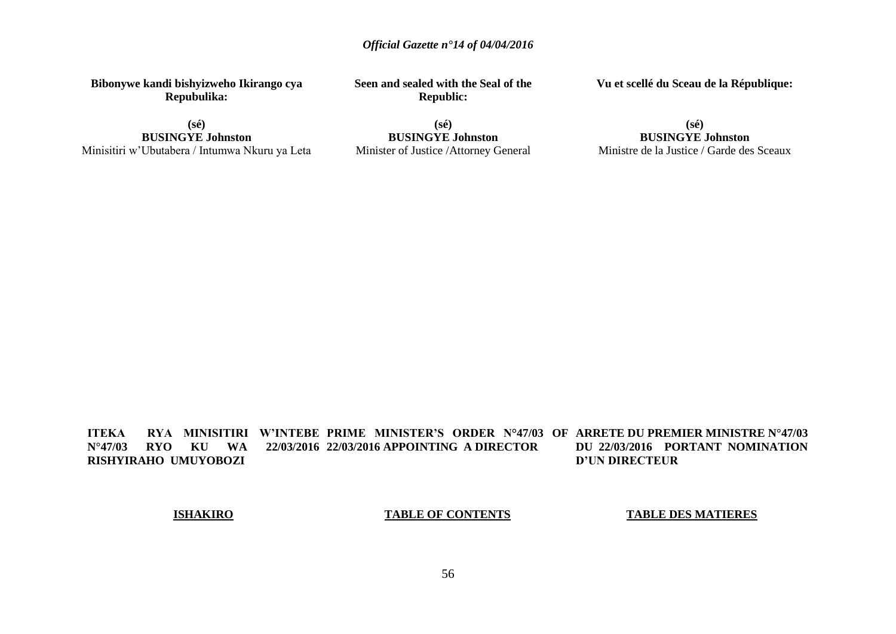**Bibonywe kandi bishyizweho Ikirango cya Repubulika:**

**(sé) BUSINGYE Johnston** Minisitiri w'Ubutabera / Intumwa Nkuru ya Leta **Seen and sealed with the Seal of the Republic:**

**(sé) BUSINGYE Johnston** Minister of Justice /Attorney General **Vu et scellé du Sceau de la République:**

**(sé) BUSINGYE Johnston** Ministre de la Justice / Garde des Sceaux

**ITEKA – RYA MINISITIRI W'INTEBE PRIME MINISTER'S ORDER N°47/03 OF ARRETE DU PREMIER MINISTRE N°47/03 N°47/03 RYO KU WA 22/03/2016 22/03/2016 APPOINTING A DIRECTOR RISHYIRAHO UMUYOBOZI DU 22/03/2016 PORTANT NOMINATION D'UN DIRECTEUR** 

### **ISHAKIRO**

### **TABLE OF CONTENTS**

**TABLE DES MATIERES**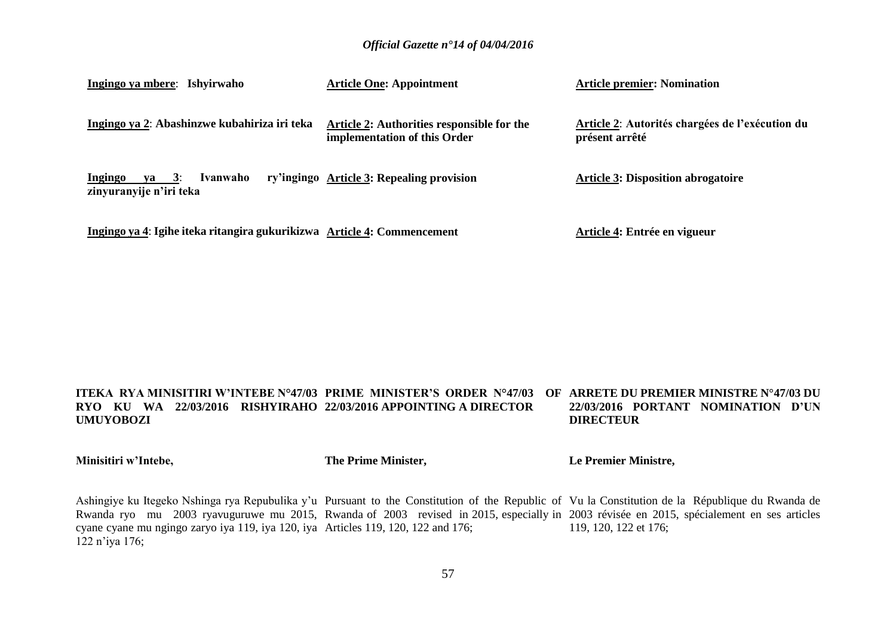| Ingingo ya mbere: Ishyirwaho                                            | <b>Article One: Appointment</b>                                            | <b>Article premier: Nomination</b>                                |
|-------------------------------------------------------------------------|----------------------------------------------------------------------------|-------------------------------------------------------------------|
| Ingingo ya 2: Abashinzwe kubahiriza iri teka                            | Article 2: Authorities responsible for the<br>implementation of this Order | Article 2: Autorités chargées de l'exécution du<br>présent arrêté |
| va $3:$<br>Ivanwaho<br>Ingingo<br>zinyuranyije n'iri teka               | ry'ingingo Article 3: Repealing provision                                  | <b>Article 3: Disposition abrogatoire</b>                         |
| Ingingo ya 4: Igihe iteka ritangira gukurikizwa Article 4: Commencement |                                                                            | Article 4: Entrée en vigueur                                      |

#### **ITEKA RYA MINISITIRI W'INTEBE N°47/03 PRIME MINISTER'S ORDER N°47/03 OF ARRETE DU PREMIER MINISTRE N°47/03 DU RYO KU WA 22/03/2016 RISHYIRAHO 22/03/2016 APPOINTING A DIRECTOR UMUYOBOZI 22/03/2016 PORTANT NOMINATION D'UN DIRECTEUR**

**Minisitiri w'Intebe,**

**The Prime Minister,**

**Le Premier Ministre,**

Ashingiye ku Itegeko Nshinga rya Repubulika y'u Pursuant to the Constitution of the Republic of Vu la Constitution de la République du Rwanda de Rwanda ryo mu 2003 ryavuguruwe mu 2015, Rwanda of 2003 revised in 2015, especially in 2003 révisée en 2015, spécialement en ses articles cyane cyane mu ngingo zaryo iya 119, iya 120, iya Articles 119, 120, 122 and 176; 122 n'iya 176; 119, 120, 122 et 176;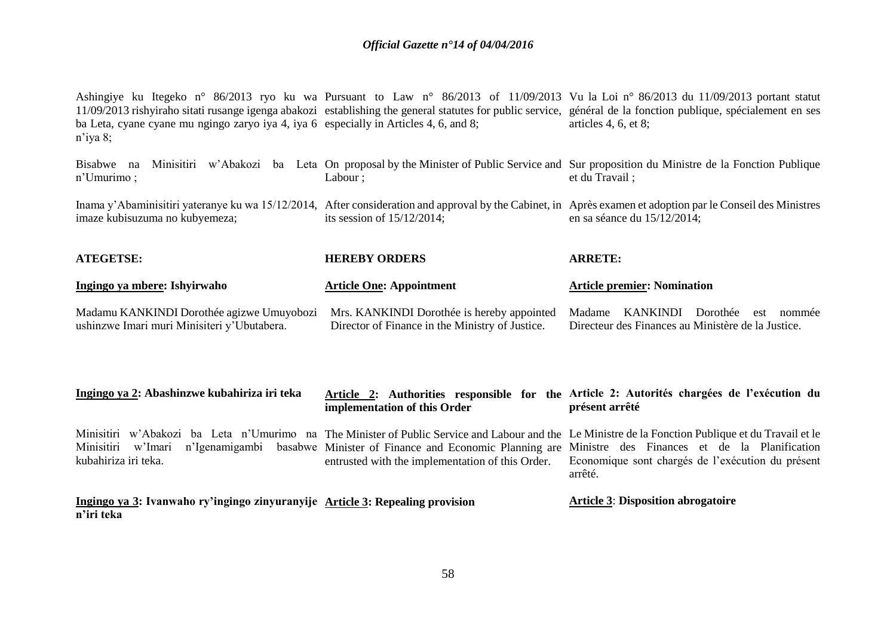| Ingingo ya 3: Ivanwaho ry'ingingo zinyuranyije Article 3: Repealing provision<br>n'iri teka          |                                                                                               | <b>Article 3: Disposition abrogatoire</b>                                                                                                                                                                                                                                                                                      |
|------------------------------------------------------------------------------------------------------|-----------------------------------------------------------------------------------------------|--------------------------------------------------------------------------------------------------------------------------------------------------------------------------------------------------------------------------------------------------------------------------------------------------------------------------------|
| Minisitiri<br>w'Imari<br>n'Igenamigambi<br>kubahiriza iri teka.                                      | entrusted with the implementation of this Order.                                              | Minisitiri w'Abakozi ba Leta n'Umurimo na The Minister of Public Service and Labour and the Le Ministre de la Fonction Publique et du Travail et le<br>basabwe Minister of Finance and Economic Planning are Ministre des Finances et de la Planification<br>Economique sont chargés de l'exécution du présent<br>arrêté.      |
| Ingingo ya 2: Abashinzwe kubahiriza iri teka                                                         | implementation of this Order                                                                  | Article 2: Authorities responsible for the Article 2: Autorités chargées de l'exécution du<br>présent arrêté                                                                                                                                                                                                                   |
| Madamu KANKINDI Dorothée agizwe Umuyobozi<br>ushinzwe Imari muri Minisiteri y'Ubutabera.             | Mrs. KANKINDI Dorothée is hereby appointed<br>Director of Finance in the Ministry of Justice. | KANKINDI<br>Madame<br>Dorothée<br>est nommée<br>Directeur des Finances au Ministère de la Justice.                                                                                                                                                                                                                             |
| Ingingo ya mbere: Ishyirwaho                                                                         | <b>Article One: Appointment</b>                                                               | <b>Article premier: Nomination</b>                                                                                                                                                                                                                                                                                             |
| <b>ATEGETSE:</b>                                                                                     | <b>HEREBY ORDERS</b>                                                                          | <b>ARRETE:</b>                                                                                                                                                                                                                                                                                                                 |
| imaze kubisuzuma no kubyemeza;                                                                       | its session of $15/12/2014$ ;                                                                 | Inama y'Abaminisitiri yateranye ku wa 15/12/2014, After consideration and approval by the Cabinet, in Après examen et adoption par le Conseil des Ministres<br>en sa séance du 15/12/2014;                                                                                                                                     |
| Bisabwe na<br>n'Umurimo;                                                                             | Labour ;                                                                                      | Minisitiri w'Abakozi ba Leta On proposal by the Minister of Public Service and Sur proposition du Ministre de la Fonction Publique<br>et du Travail;                                                                                                                                                                           |
| ba Leta, cyane cyane mu ngingo zaryo iya 4, iya 6 especially in Articles 4, 6, and 8;<br>$n$ 'iya 8; |                                                                                               | Ashingiye ku Itegeko n° 86/2013 ryo ku wa Pursuant to Law n° 86/2013 of 11/09/2013 Vu la Loi n° 86/2013 du 11/09/2013 portant statut<br>11/09/2013 rishyiraho sitati rusange igenga abakozi establishing the general statutes for public service, général de la fonction publique, spécialement en ses<br>articles 4, 6, et 8; |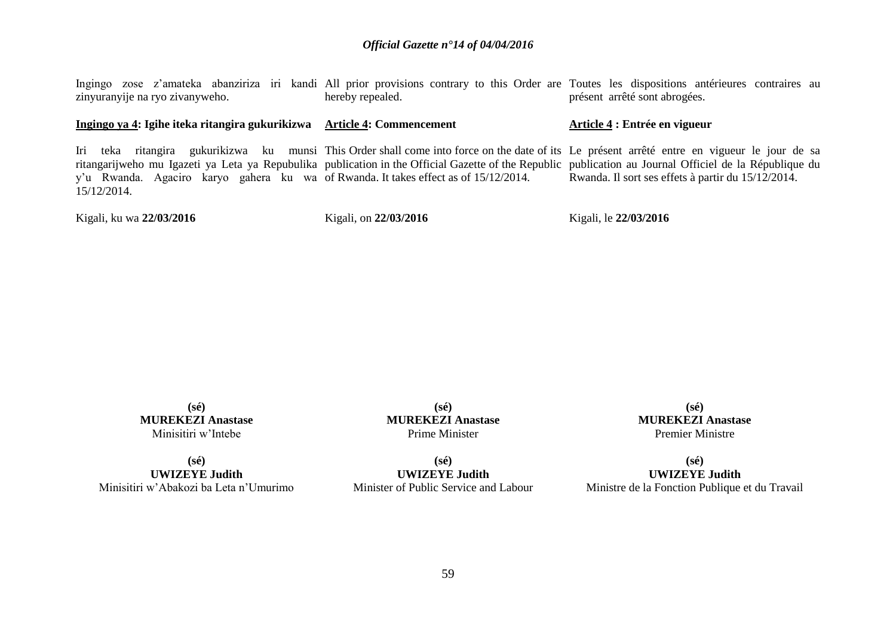| zinyuranyije na ryo zivanyweho.                                                                                | hereby repealed.      | Ingingo zose z'amateka abanziriza iri kandi All prior provisions contrary to this Order are Toutes les dispositions antérieures contraires au<br>présent arrêté sont abrogées.                                                                                                                                                                       |
|----------------------------------------------------------------------------------------------------------------|-----------------------|------------------------------------------------------------------------------------------------------------------------------------------------------------------------------------------------------------------------------------------------------------------------------------------------------------------------------------------------------|
| Ingingo ya 4: Igihe iteka ritangira gukurikizwa Article 4: Commencement                                        |                       | Article 4 : Entrée en vigueur                                                                                                                                                                                                                                                                                                                        |
| Iri teka<br>y'u Rwanda. Agaciro karyo gahera ku wa of Rwanda. It takes effect as of 15/12/2014.<br>15/12/2014. |                       | ritangira gukurikizwa ku munsi This Order shall come into force on the date of its Le présent arrêté entre en vigueur le jour de sa<br>ritangarijweho mu Igazeti ya Leta ya Repubulika publication in the Official Gazette of the Republic publication au Journal Officiel de la République du<br>Rwanda. Il sort ses effets à partir du 15/12/2014. |
| Kigali, ku wa 22/03/2016                                                                                       | Kigali, on 22/03/2016 | Kigali, le 22/03/2016                                                                                                                                                                                                                                                                                                                                |

**(sé) MUREKEZI Anastase** Minisitiri w'Intebe

**(sé) UWIZEYE Judith** Minisitiri w'Abakozi ba Leta n'Umurimo

**(sé) MUREKEZI Anastase** Prime Minister

**(sé)**

**UWIZEYE Judith** Minister of Public Service and Labour

**(sé) MUREKEZI Anastase** Premier Ministre

**(sé) UWIZEYE Judith** Ministre de la Fonction Publique et du Travail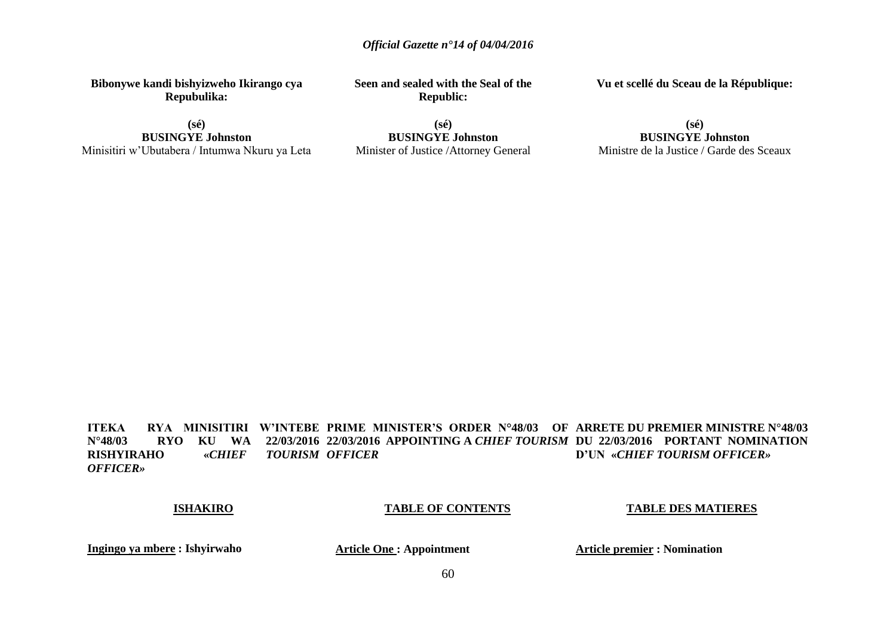**Bibonywe kandi bishyizweho Ikirango cya Repubulika:**

**(sé) BUSINGYE Johnston** Minisitiri w'Ubutabera / Intumwa Nkuru ya Leta **Seen and sealed with the Seal of the Republic:**

**(sé) BUSINGYE Johnston** Minister of Justice /Attorney General **Vu et scellé du Sceau de la République:**

**(sé) BUSINGYE Johnston** Ministre de la Justice / Garde des Sceaux

**ITEKA RYA MINISITIRI W'INTEBE PRIME MINISTER'S ORDER N°48/03 OF ARRETE DU PREMIER MINISTRE N°48/03 N°48/03 RYO KU WA 22/03/2016 22/03/2016 APPOINTING A** *CHIEF TOURISM* **DU 22/03/2016 PORTANT NOMINATION RISHYIRAHO** «*CHIEF OFFICER»* **TOURISM OFFICER D'UN «***CHIEF TOURISM OFFICER»*

### **ISHAKIRO**

### **TABLE OF CONTENTS**

**TABLE DES MATIERES**

**Ingingo ya mbere : Ishyirwaho**

 **Article One : Appointment**

**Article premier : Nomination**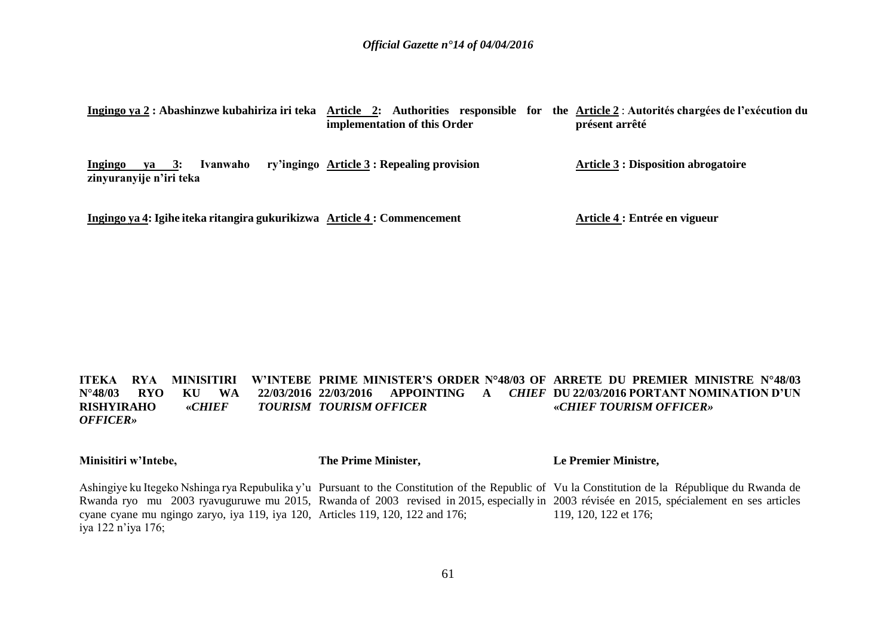|  |                              |  | Ingingo ya 2 : Abashinzwe kubahiriza iri teka Article 2: Authorities responsible for the Article 2: Autorités chargées de l'exécution du |
|--|------------------------------|--|------------------------------------------------------------------------------------------------------------------------------------------|
|  | implementation of this Order |  | présent arrêté                                                                                                                           |

**Ingingo va 3: Ivanwaho zinyuranyije n'iri teka ry'ingingo Article 3 : Repealing provision Article 3 : Disposition abrogatoire**

**Ingingo ya 4: Igihe iteka ritangira gukurikizwa Article 4 : Commencement**

**Article 4 : Entrée en vigueur**

#### **ITEKA RYA MINISITIRI W'INTEBE PRIME MINISTER'S ORDER N°48/03 OF ARRETE DU PREMIER MINISTRE N°48/03 N°48/03 RYO KU WA RISHYIRAHO** «*CHIEF OFFICER»* **22/03/2016 APPOINTING A** *CHIEF*  **DU 22/03/2016 PORTANT NOMINATION D'UN**  *TOURISM OFFICER* **«***CHIEF TOURISM OFFICER»*

**Minisitiri w'Intebe,**

**The Prime Minister,**

**Le Premier Ministre,**

Ashingiye ku Itegeko Nshinga rya Repubulika y'u Pursuant to the Constitution of the Republic of Vu la Constitution de la République du Rwanda de Rwanda ryo mu 2003 ryavuguruwe mu 2015, Rwanda of 2003 revised in 2015, especially in 2003 révisée en 2015, spécialement en ses articles cyane cyane mu ngingo zaryo, iya 119, iya 120, Articles 119, 120, 122 and 176; iya 122 n'iya 176; 119, 120, 122 et 176;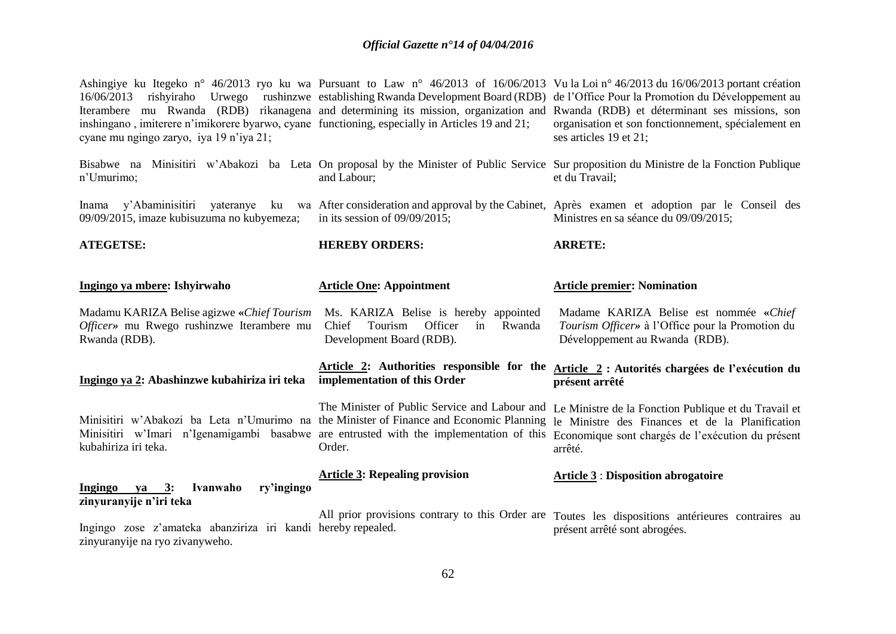| 16/06/2013<br>inshingano, imiterere n'imikorere byarwo, cyane functioning, especially in Articles 19 and 21;<br>cyane mu ngingo zaryo, iya 19 n'iya 21;                                                    |                                                                                                                  | Ashingiye ku Itegeko n° 46/2013 ryo ku wa Pursuant to Law n° 46/2013 of 16/06/2013 Vu la Loi n° 46/2013 du 16/06/2013 portant création<br>rishyiraho Urwego rushinzwe establishing Rwanda Development Board (RDB) de l'Office Pour la Promotion du Développement au<br>Iterambere mu Rwanda (RDB) rikanagena and determining its mission, organization and Rwanda (RDB) et déterminant ses missions, son<br>organisation et son fonctionnement, spécialement en<br>ses articles 19 et 21; |
|------------------------------------------------------------------------------------------------------------------------------------------------------------------------------------------------------------|------------------------------------------------------------------------------------------------------------------|-------------------------------------------------------------------------------------------------------------------------------------------------------------------------------------------------------------------------------------------------------------------------------------------------------------------------------------------------------------------------------------------------------------------------------------------------------------------------------------------|
| n'Umurimo;                                                                                                                                                                                                 | and Labour;                                                                                                      | Bisabwe na Minisitiri w'Abakozi ba Leta On proposal by the Minister of Public Service Sur proposition du Ministre de la Fonction Publique<br>et du Travail;                                                                                                                                                                                                                                                                                                                               |
| y'Abaminisitiri yateranye<br>Inama<br>09/09/2015, imaze kubisuzuma no kubyemeza;                                                                                                                           | in its session of $09/09/2015$ ;                                                                                 | ku wa After consideration and approval by the Cabinet, Après examen et adoption par le Conseil des<br>Ministres en sa séance du 09/09/2015;                                                                                                                                                                                                                                                                                                                                               |
| <b>ATEGETSE:</b>                                                                                                                                                                                           | <b>HEREBY ORDERS:</b>                                                                                            | <b>ARRETE:</b>                                                                                                                                                                                                                                                                                                                                                                                                                                                                            |
| Ingingo ya mbere: Ishyirwaho                                                                                                                                                                               | <b>Article One: Appointment</b>                                                                                  | <b>Article premier: Nomination</b>                                                                                                                                                                                                                                                                                                                                                                                                                                                        |
| Madamu KARIZA Belise agizwe «Chief Tourism<br>Officer» mu Rwego rushinzwe Iterambere mu<br>Rwanda (RDB).                                                                                                   | Ms. KARIZA Belise is hereby appointed<br>Officer<br>Rwanda<br>Chief<br>Tourism<br>in<br>Development Board (RDB). | Madame KARIZA Belise est nommée «Chief<br>Tourism Officer» à l'Office pour la Promotion du<br>Développement au Rwanda (RDB).                                                                                                                                                                                                                                                                                                                                                              |
| Ingingo ya 2: Abashinzwe kubahiriza iri teka                                                                                                                                                               | implementation of this Order                                                                                     | Article 2: Authorities responsible for the Article 2: Autorités chargées de l'exécution du<br>présent arrêté                                                                                                                                                                                                                                                                                                                                                                              |
| Minisitiri w'Abakozi ba Leta n'Umurimo na the Minister of Finance and Economic Planning<br>Minisitiri w'Imari n'Igenamigambi basabwe are entrusted with the implementation of this<br>kubahiriza iri teka. | The Minister of Public Service and Labour and<br>Order.                                                          | Le Ministre de la Fonction Publique et du Travail et<br>le Ministre des Finances et de la Planification<br>Economique sont chargés de l'exécution du présent<br>arrêté.                                                                                                                                                                                                                                                                                                                   |
| ry'ingingo<br>Ingingo ya 3:<br>Ivanwaho                                                                                                                                                                    | <b>Article 3: Repealing provision</b>                                                                            | <b>Article 3: Disposition abrogatoire</b>                                                                                                                                                                                                                                                                                                                                                                                                                                                 |
| zinyuranyije n'iri teka<br>Ingingo zose z'amateka abanziriza iri kandi hereby repealed.<br>zinyuranyije na ryo zivanyweho.                                                                                 |                                                                                                                  | All prior provisions contrary to this Order are Toutes les dispositions antérieures contraires au<br>présent arrêté sont abrogées.                                                                                                                                                                                                                                                                                                                                                        |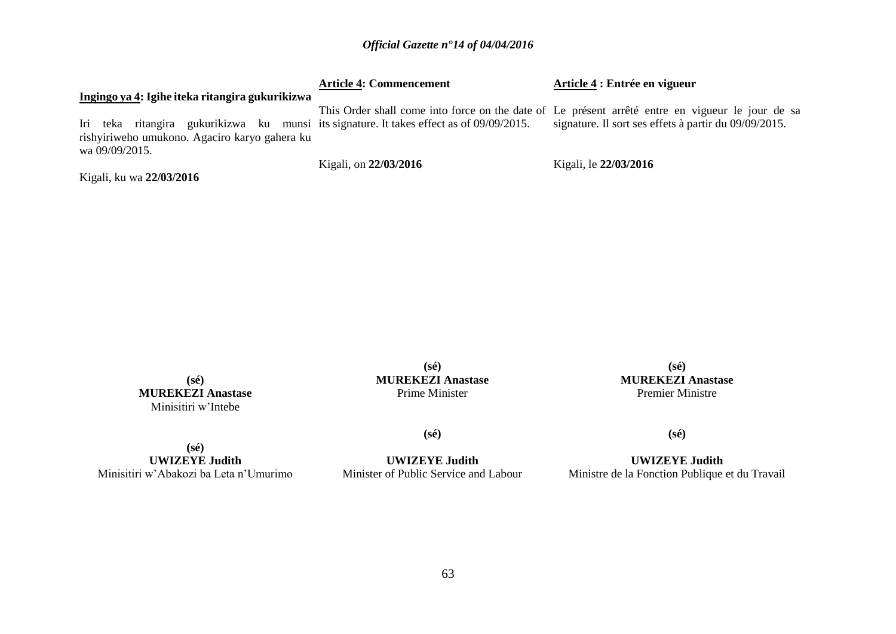|                                                                                                                                           | <b>Article 4: Commencement</b> | Article 4 : Entrée en vigueur                                                                                                                             |
|-------------------------------------------------------------------------------------------------------------------------------------------|--------------------------------|-----------------------------------------------------------------------------------------------------------------------------------------------------------|
| Ingingo ya 4: Igihe iteka ritangira gukurikizwa                                                                                           |                                |                                                                                                                                                           |
| Iri teka ritangira gukurikizwa ku munsi its signature. It takes effect as of 09/09/2015.<br>rishyiriweho umukono. Agaciro karyo gahera ku |                                | This Order shall come into force on the date of Le présent arrêté entre en vigueur le jour de sa<br>signature. Il sort ses effets à partir du 09/09/2015. |
| wa 09/09/2015.                                                                                                                            | Kigali, on 22/03/2016          | Kigali, le 22/03/2016                                                                                                                                     |
| Kigali, ku wa 22/03/2016                                                                                                                  |                                |                                                                                                                                                           |

**(sé) MUREKEZI Anastase** Minisitiri w'Intebe

**(sé) MUREKEZI Anastase** Prime Minister

**(sé) MUREKEZI Anastase** Premier Ministre

**(sé) UWIZEYE Judith** Minisitiri w'Abakozi ba Leta n'Umurimo

**UWIZEYE Judith** Minister of Public Service and Labour

**(sé)**

**(sé)**

**UWIZEYE Judith** Ministre de la Fonction Publique et du Travail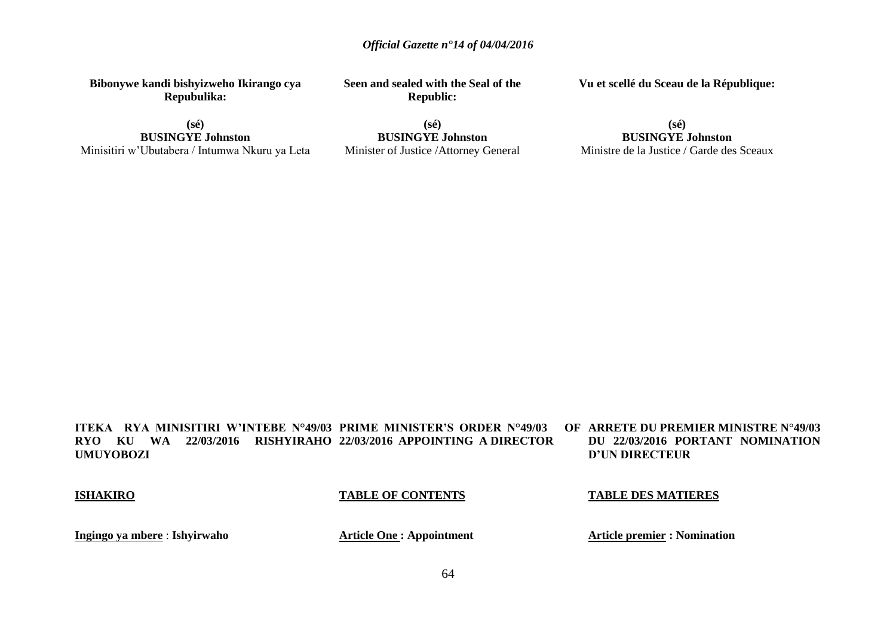**Bibonywe kandi bishyizweho Ikirango cya Repubulika:**

**Seen and sealed with the Seal of the Republic:**

**Vu et scellé du Sceau de la République:**

**(sé) BUSINGYE Johnston** Minisitiri w'Ubutabera / Intumwa Nkuru ya Leta

**(sé) BUSINGYE Johnston** Minister of Justice /Attorney General

**(sé) BUSINGYE Johnston** Ministre de la Justice / Garde des Sceaux

**ITEKA RYA MINISITIRI W'INTEBE N°49/03 PRIME MINISTER'S ORDER N°49/03 OF RYO KU WA 22/03/2016 RISHYIRAHO 22/03/2016 APPOINTING A DIRECTOR UMUYOBOZI ARRETE DU PREMIER MINISTRE N°49/03 DU 22/03/2016 PORTANT NOMINATION D'UN DIRECTEUR** 

**ISHAKIRO**

**TABLE OF CONTENTS**

**TABLE DES MATIERES**

**Ingingo ya mbere** : **Ishyirwaho**

**Article One : Appointment**

**Article premier : Nomination**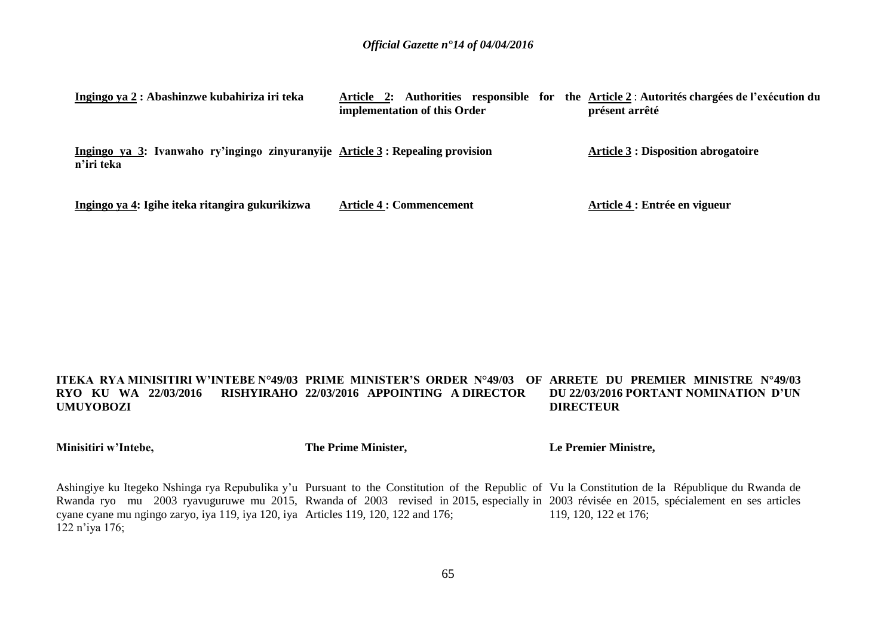| Ingingo ya 2 : Abashinzwe kubahiriza iri teka                                               | Authorities responsible for<br>Article 2:<br>implementation of this Order | the Article 2 : Autorités chargées de l'exécution du<br>présent arrêté |
|---------------------------------------------------------------------------------------------|---------------------------------------------------------------------------|------------------------------------------------------------------------|
| Ingingo ya 3: Ivanwaho ry'ingingo zinyuranyije Article 3: Repealing provision<br>n'iri teka |                                                                           | <b>Article 3 : Disposition abrogatoire</b>                             |
| Ingingo ya 4: Igihe iteka ritangira gukurikizwa                                             | <b>Article 4 : Commencement</b>                                           | Article 4 : Entrée en vigueur                                          |

#### **ITEKA RYA MINISITIRI W'INTEBE N°49/03 PRIME MINISTER'S ORDER N°49/03 OF ARRETE DU PREMIER MINISTRE N°49/03 RYO KU WA 22/03/2016 RISHYIRAHO 22/03/2016 APPOINTING A DIRECTOR UMUYOBOZI DU 22/03/2016 PORTANT NOMINATION D'UN DIRECTEUR**

**Minisitiri w'Intebe,**

**The Prime Minister,**

**Le Premier Ministre,**

Ashingiye ku Itegeko Nshinga rya Repubulika y'u Pursuant to the Constitution of the Republic of Vu la Constitution de la République du Rwanda de Rwanda ryo mu 2003 ryavuguruwe mu 2015, Rwanda of 2003 revised in 2015, especially in 2003 révisée en 2015, spécialement en ses articles cyane cyane mu ngingo zaryo, iya 119, iya 120, iya Articles 119, 120, 122 and 176; 122 n'iya 176; 119, 120, 122 et 176;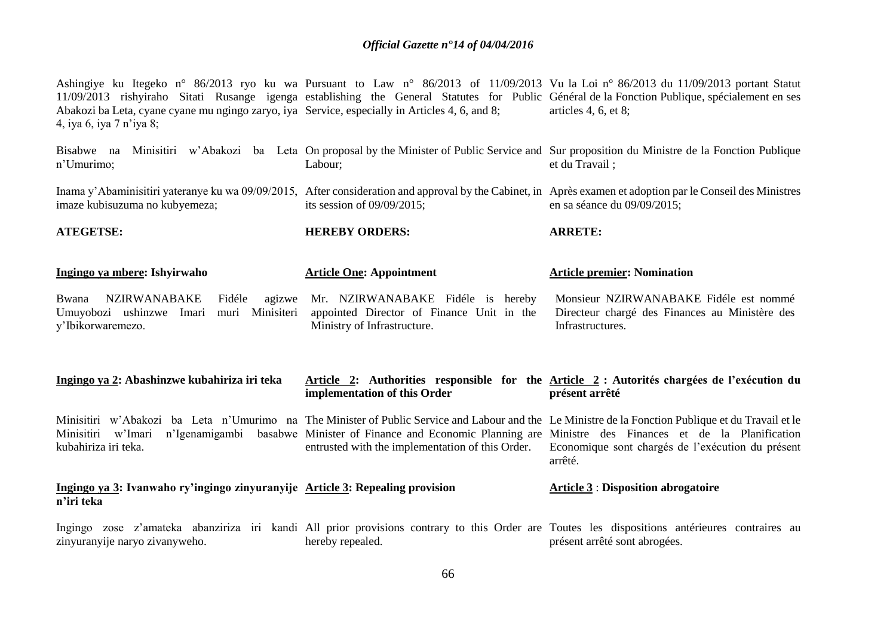| Abakozi ba Leta, cyane cyane mu ngingo zaryo, iya Service, especially in Articles 4, 6, and 8;<br>4, iya 6, iya 7 n'iya 8; |                               | Ashingiye ku Itegeko n° 86/2013 ryo ku wa Pursuant to Law n° 86/2013 of 11/09/2013 Vu la Loi n° 86/2013 du 11/09/2013 portant Statut<br>11/09/2013 rishyiraho Sitati Rusange igenga establishing the General Statutes for Public Général de la Fonction Publique, spécialement en ses<br>articles 4, 6, et 8; |
|----------------------------------------------------------------------------------------------------------------------------|-------------------------------|---------------------------------------------------------------------------------------------------------------------------------------------------------------------------------------------------------------------------------------------------------------------------------------------------------------|
| Bisabwe na Minisitiri w'Abakozi<br>ba<br>n'Umurimo;                                                                        | Labour:                       | Leta On proposal by the Minister of Public Service and Sur proposition du Ministre de la Fonction Publique<br>et du Travail :                                                                                                                                                                                 |
| imaze kubisuzuma no kubyemeza;                                                                                             | its session of $09/09/2015$ ; | Inama y'Abaminisitiri yateranye ku wa 09/09/2015, After consideration and approval by the Cabinet, in Après examen et adoption par le Conseil des Ministres<br>en sa séance du $09/09/2015$ ;                                                                                                                 |

**ARRETE:**

**ATEGETSE:**

**n'iri teka**

**Ingingo ya mbere: Ishyirwaho** Bwana NZIRWANABAKE Fidéle agizwe **Article One: Appointment** Mr. NZIRWANABAKE Fidéle is hereby **Article premier: Nomination**  Monsieur NZIRWANABAKE Fidéle est nommé

**HEREBY ORDERS:**

Umuyobozi ushinzwe Imari muri Minisiteri y'Ibikorwaremezo. appointed Director of Finance Unit in the Ministry of Infrastructure. Directeur chargé des Finances au Ministère des Infrastructures.

| Ingingo ya 2: Abashinzwe kubahiriza iri teka                                  | implementation of this Order | Article 2: Authorities responsible for the Article 2 : Autorités chargées de l'exécution du<br>présent arrêté                                                                                                                                                                                                                                                                             |
|-------------------------------------------------------------------------------|------------------------------|-------------------------------------------------------------------------------------------------------------------------------------------------------------------------------------------------------------------------------------------------------------------------------------------------------------------------------------------------------------------------------------------|
| Minisitiri w'Imari<br>kubahiriza iri teka.                                    |                              | Minisitiri w'Abakozi ba Leta n'Umurimo na The Minister of Public Service and Labour and the Le Ministre de la Fonction Publique et du Travail et le<br>n'Igenamigambi basabwe Minister of Finance and Economic Planning are Ministre des Finances et de la Planification<br>entrusted with the implementation of this Order. Economique sont chargés de l'exécution du présent<br>arrêté. |
| Ingingo ya 3: Ivanwaho ry'ingingo zinyuranyije Article 3: Repealing provision |                              | <b>Article 3: Disposition abrogatoire</b>                                                                                                                                                                                                                                                                                                                                                 |

Ingingo zose z'amateka abanziriza iri kandi All prior provisions contrary to this Order are Toutes les dispositions antérieures contraires au zinyuranyije naryo zivanyweho. hereby repealed. présent arrêté sont abrogées.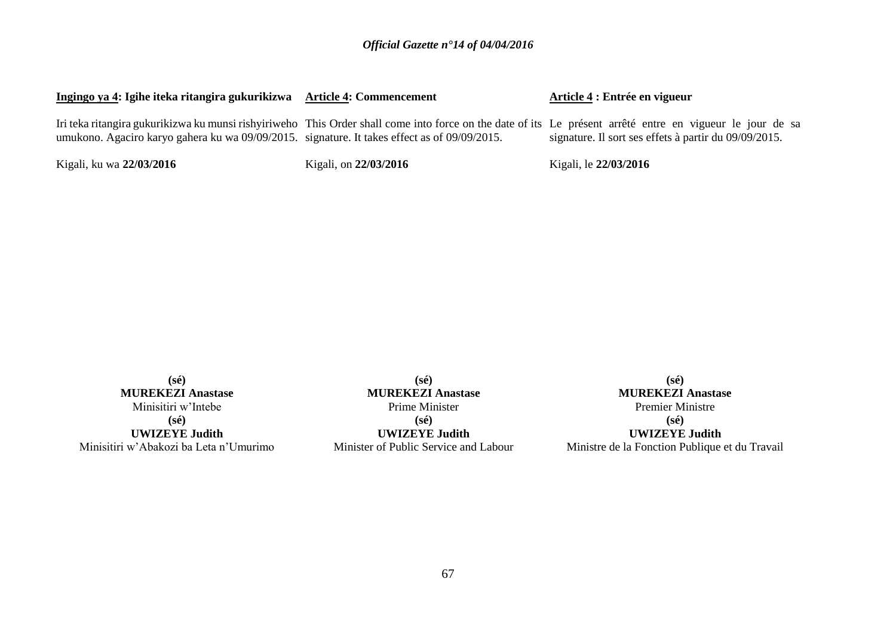| Ingingo ya 4: Igihe iteka ritangira gukurikizwa                                              | <b>Article 4: Commencement</b> | Article 4 : Entrée en vigueur                                                                                                                                                                                      |
|----------------------------------------------------------------------------------------------|--------------------------------|--------------------------------------------------------------------------------------------------------------------------------------------------------------------------------------------------------------------|
| umukono. Agaciro karyo gahera ku wa 09/09/2015. signature. It takes effect as of 09/09/2015. |                                | Iri teka ritangira gukurikizwa ku munsi rishyiriweho This Order shall come into force on the date of its Le présent arrêté entre en vigueur le jour de sa<br>signature. Il sort ses effets à partir du 09/09/2015. |
| Kigali, ku wa 22/03/2016                                                                     | Kigali, on 22/03/2016          | Kigali, le 22/03/2016                                                                                                                                                                                              |

**(sé) MUREKEZI Anastase** Minisitiri w'Intebe **(sé) UWIZEYE Judith** Minisitiri w'Abakozi ba Leta n'Umurimo

**(sé) MUREKEZI Anastase** Prime Minister **(sé)**

**UWIZEYE Judith** Minister of Public Service and Labour

**(sé) MUREKEZI Anastase** Premier Ministre **(sé) UWIZEYE Judith** Ministre de la Fonction Publique et du Travail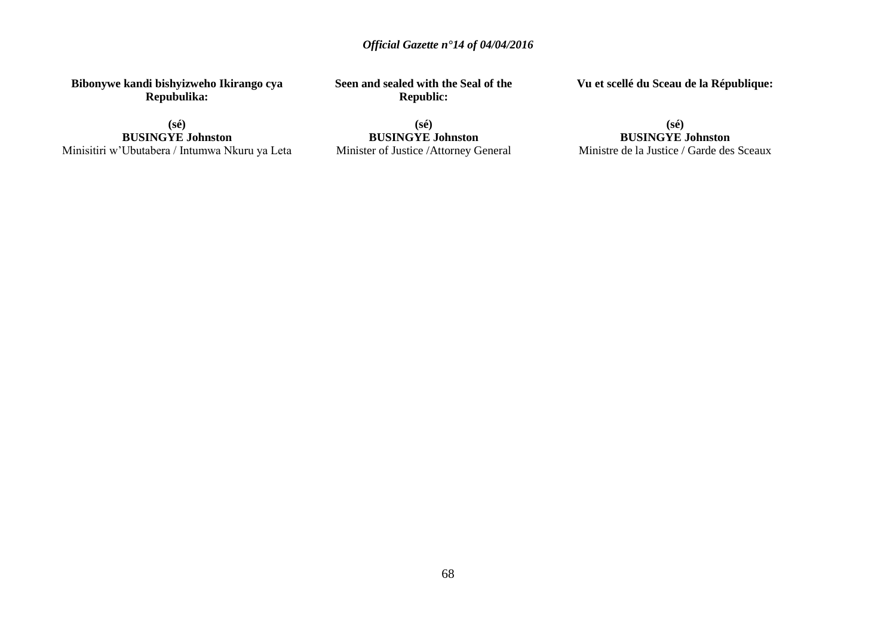**Bibonywe kandi bishyizweho Ikirango cya Repubulika:**

**Seen and sealed with the Seal of the Republic:**

**Vu et scellé du Sceau de la République:**

**(sé) BUSINGYE Johnston** Minisitiri w'Ubutabera / Intumwa Nkuru ya Leta

**(sé) BUSINGYE Johnston** Minister of Justice /Attorney General

**(sé) BUSINGYE Johnston** Ministre de la Justice / Garde des Sceaux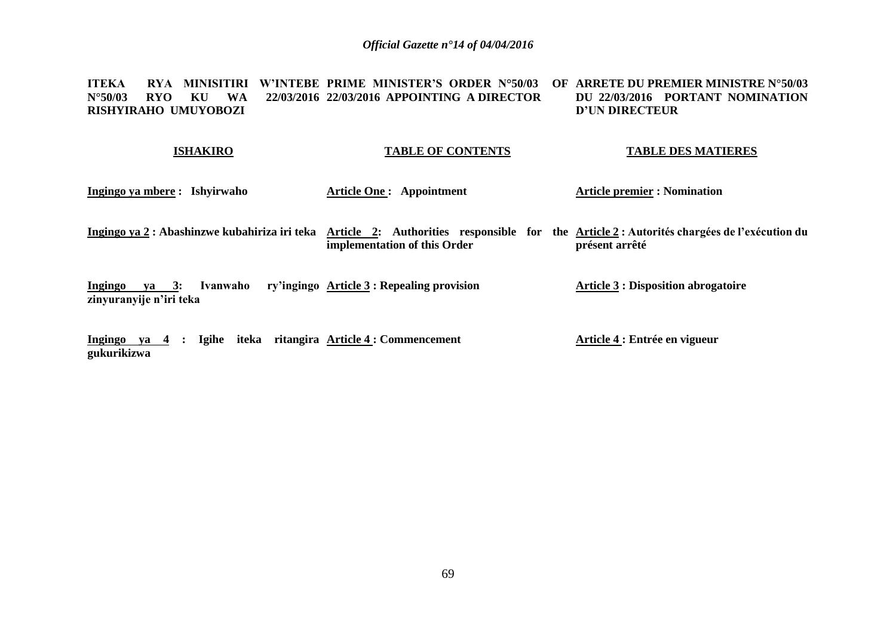**ITEKA RYA MINISITIRI W'INTEBE PRIME MINISTER'S ORDER N°50/03 OF ARRETE DU PREMIER MINISTRE N°50/03 N°50/03 RYO KU WA RISHYIRAHO UMUYOBOZI 22/03/2016 APPOINTING A DIRECTOR DU 22/03/2016 PORTANT NOMINATION D'UN DIRECTEUR** 

#### **ISHAKIRO TABLE OF CONTENTS TABLE DES MATIERES**

- **Ingingo ya mbere : Ishyirwaho Article One : Appointment Article premier : Nomination**
- **Ingingo ya 2 : Abashinzwe kubahiriza iri teka Article 2: Authorities responsible for the Article 2 : Autorités chargées de l'exécution du implementation of this Order présent arrêté**

**Ingingo ya 3: Ivanwaho ry'ingingo Article 3 : Repealing provision zinyuranyije n'iri teka Article 3 : Disposition abrogatoire**

**Ingingo ya 4 : Igihe iteka ritangira Article 4 : Commencement gukurikizwa Article 4 : Entrée en vigueur**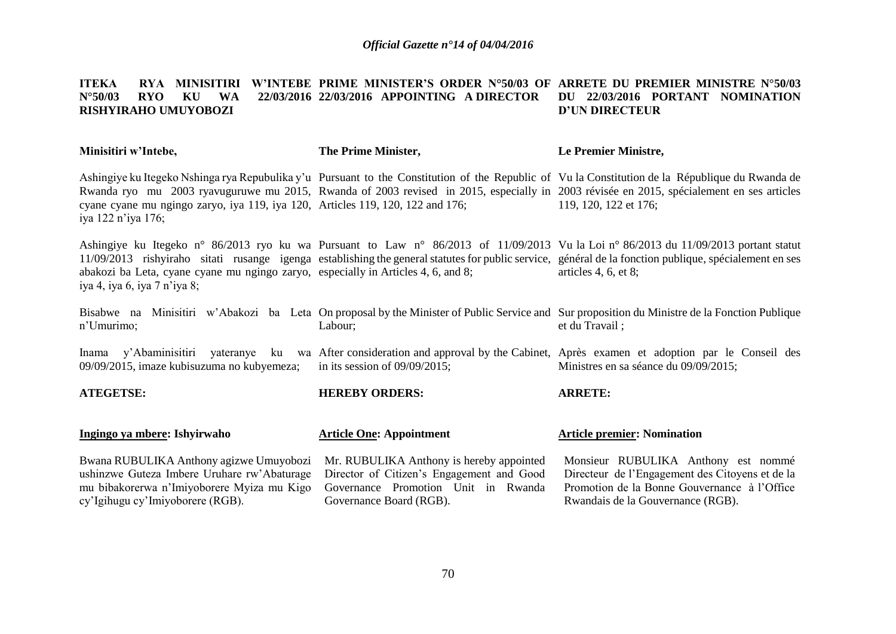#### **ITEKA – RYA MINISITIRI W'INTEBE PRIME MINISTER'S ORDER N°50/03 OF ARRETE DU PREMIER MINISTRE N°50/03 N°50/03 RYO KU WA RISHYIRAHO UMUYOBOZI 22/03/2016 APPOINTING A DIRECTOR DU 22/03/2016 PORTANT NOMINATION D'UN DIRECTEUR**

| The Prime Minister,                                                                                                                                     | Le Premier Ministre,                                                                                                                                                                                                                                                                                                   |
|---------------------------------------------------------------------------------------------------------------------------------------------------------|------------------------------------------------------------------------------------------------------------------------------------------------------------------------------------------------------------------------------------------------------------------------------------------------------------------------|
|                                                                                                                                                         | Ashingiye ku Itegeko Nshinga rya Repubulika y'u Pursuant to the Constitution of the Republic of Vu la Constitution de la République du Rwanda de<br>Rwanda ryo mu 2003 ryavuguruwe mu 2015, Rwanda of 2003 revised in 2015, especially in 2003 révisée en 2015, spécialement en ses articles<br>119, 120, 122 et 176;  |
|                                                                                                                                                         | Ashingiye ku Itegeko n° 86/2013 ryo ku wa Pursuant to Law n° 86/2013 of 11/09/2013 Vu la Loi n° 86/2013 du 11/09/2013 portant statut<br>11/09/2013 rishyiraho sitati rusange igenga establishing the general statutes for public service, général de la fonction publique, spécialement en ses<br>articles 4, 6, et 8; |
| Labour;                                                                                                                                                 | Bisabwe na Minisitiri w'Abakozi ba Leta On proposal by the Minister of Public Service and Sur proposition du Ministre de la Fonction Publique<br>et du Travail;                                                                                                                                                        |
| in its session of $09/09/2015$ ;                                                                                                                        | yateranye ku wa After consideration and approval by the Cabinet, Après examen et adoption par le Conseil des<br>Ministres en sa séance du 09/09/2015;                                                                                                                                                                  |
| <b>HEREBY ORDERS:</b>                                                                                                                                   | <b>ARRETE:</b>                                                                                                                                                                                                                                                                                                         |
| <b>Article One: Appointment</b>                                                                                                                         | <b>Article premier: Nomination</b>                                                                                                                                                                                                                                                                                     |
| Mr. RUBULIKA Anthony is hereby appointed<br>Director of Citizen's Engagement and Good<br>Governance Promotion Unit in Rwanda<br>Governance Board (RGB). | Monsieur RUBULIKA Anthony est nommé<br>Directeur de l'Engagement des Citoyens et de la<br>Promotion de la Bonne Gouvernance à l'Office<br>Rwandais de la Gouvernance (RGB).                                                                                                                                            |
|                                                                                                                                                         | cyane cyane mu ngingo zaryo, iya 119, iya 120, Articles 119, 120, 122 and 176;<br>abakozi ba Leta, cyane cyane mu ngingo zaryo, especially in Articles 4, 6, and 8;                                                                                                                                                    |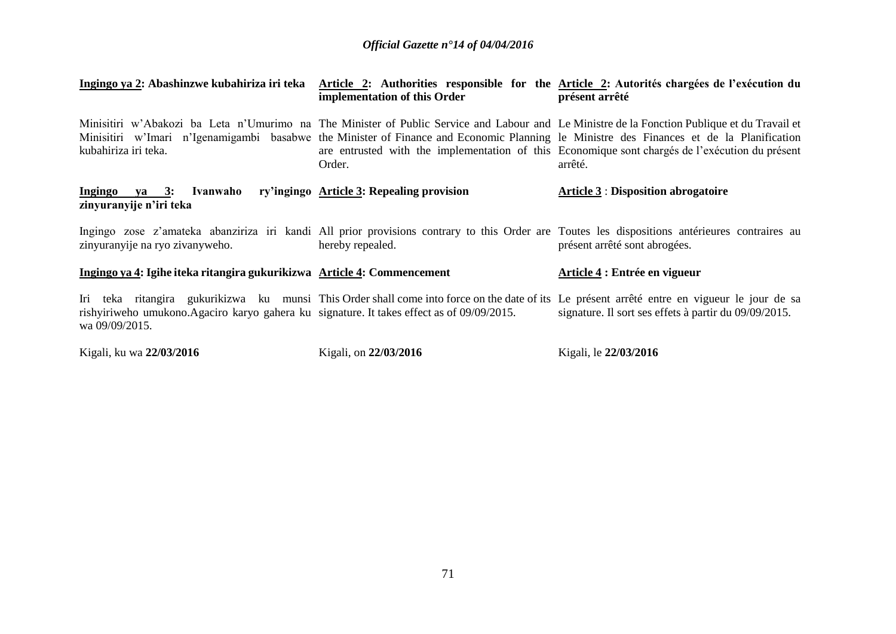| Ingingo ya 2: Abashinzwe kubahiriza iri teka                                                                 | implementation of this Order              | Article 2: Authorities responsible for the Article 2: Autorités chargées de l'exécution du<br>présent arrêté                                                                                                                                                                                                                                                                                          |
|--------------------------------------------------------------------------------------------------------------|-------------------------------------------|-------------------------------------------------------------------------------------------------------------------------------------------------------------------------------------------------------------------------------------------------------------------------------------------------------------------------------------------------------------------------------------------------------|
| kubahiriza iri teka.                                                                                         | Order.                                    | Minisitiri w'Abakozi ba Leta n'Umurimo na The Minister of Public Service and Labour and Le Ministre de la Fonction Publique et du Travail et<br>Minisitiri w'Imari n'Igenamigambi basabwe the Minister of Finance and Economic Planning le Ministre des Finances et de la Planification<br>are entrusted with the implementation of this Economique sont chargés de l'exécution du présent<br>arrêté. |
| Ingingo ya 3:<br>Ivanwaho<br>zinyuranyije n'iri teka                                                         | ry'ingingo Article 3: Repealing provision | <b>Article 3 : Disposition abrogatoire</b>                                                                                                                                                                                                                                                                                                                                                            |
| zinyuranyije na ryo zivanyweho.                                                                              | hereby repealed.                          | Ingingo zose z'amateka abanziriza iri kandi All prior provisions contrary to this Order are Toutes les dispositions antérieures contraires au<br>présent arrêté sont abrogées.                                                                                                                                                                                                                        |
| Ingingo ya 4: Igihe iteka ritangira gukurikizwa Article 4: Commencement                                      |                                           | Article 4 : Entrée en vigueur                                                                                                                                                                                                                                                                                                                                                                         |
| rishyiriweho umukono. Agaciro karyo gahera ku signature. It takes effect as of 09/09/2015.<br>wa 09/09/2015. |                                           | Iri teka ritangira gukurikizwa ku munsi This Order shall come into force on the date of its Le présent arrêté entre en vigueur le jour de sa<br>signature. Il sort ses effets à partir du 09/09/2015.                                                                                                                                                                                                 |
| Kigali, ku wa 22/03/2016                                                                                     | Kigali, on 22/03/2016                     | Kigali, le 22/03/2016                                                                                                                                                                                                                                                                                                                                                                                 |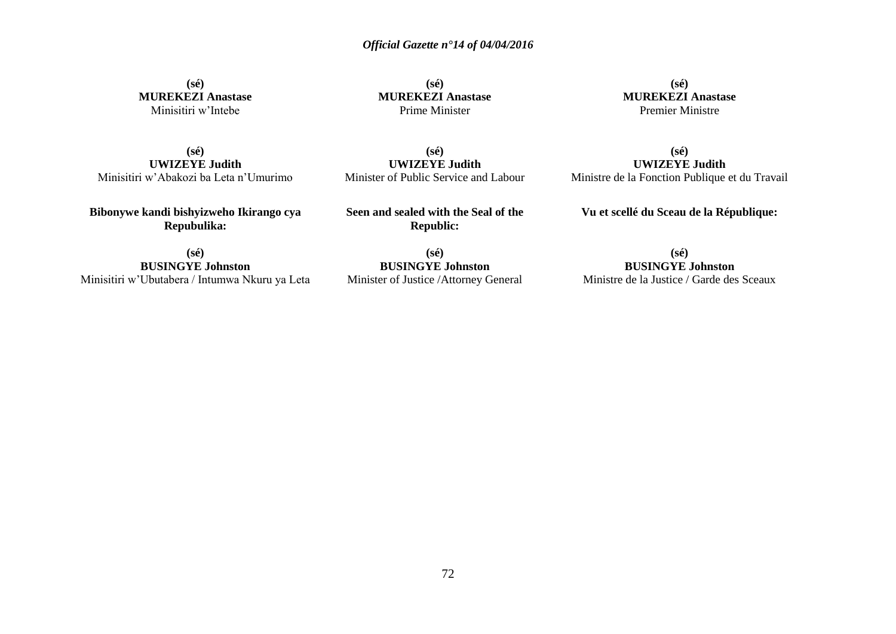**(sé) MUREKEZI Anastase** Minisitiri w'Intebe

**(sé) MUREKEZI Anastase** Prime Minister

**(sé) MUREKEZI Anastase** Premier Ministre

**(sé) UWIZEYE Judith** Minisitiri w'Abakozi ba Leta n'Umurimo

**(sé) UWIZEYE Judith** Minister of Public Service and Labour

**(sé) UWIZEYE Judith** Ministre de la Fonction Publique et du Travail

**Bibonywe kandi bishyizweho Ikirango cya Repubulika:**

**Seen and sealed with the Seal of the Republic:**

**Vu et scellé du Sceau de la République:**

**(sé) BUSINGYE Johnston** Minisitiri w'Ubutabera / Intumwa Nkuru ya Leta

**(sé) BUSINGYE Johnston** Minister of Justice /Attorney General

**(sé) BUSINGYE Johnston** Ministre de la Justice / Garde des Sceaux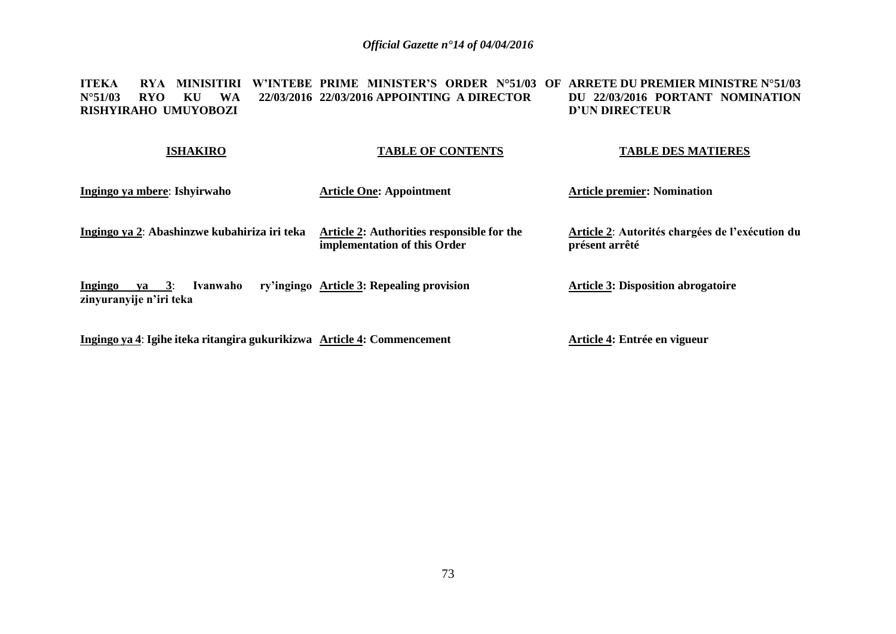**ITEKA RYA MINISITIRI W'INTEBE PRIME MINISTER'S ORDER N°51/03 OF ARRETE DU PREMIER MINISTRE N°51/03 N°51/03 RYO KU WA 22/03/2016 22/03/2016 APPOINTING A DIRECTOR RISHYIRAHO UMUYOBOZI DU 22/03/2016 PORTANT NOMINATION D'UN DIRECTEUR** 

| <b>ISHAKIRO</b>                                                   | <b>TABLE OF CONTENTS</b>                                                   | <b>TABLE DES MATIERES</b>                                         |
|-------------------------------------------------------------------|----------------------------------------------------------------------------|-------------------------------------------------------------------|
| Ingingo ya mbere: Ishyirwaho                                      | <b>Article One: Appointment</b>                                            | <b>Article premier: Nomination</b>                                |
| Ingingo ya 2: Abashinzwe kubahiriza iri teka                      | Article 2: Authorities responsible for the<br>implementation of this Order | Article 2: Autorités chargées de l'exécution du<br>présent arrêté |
| ya $3$ :<br><b>Ingingo</b><br>Ivanwaho<br>zinyuranyije n'iri teka | ry'ingingo Article 3: Repealing provision                                  | <b>Article 3: Disposition abrogatoire</b>                         |

**Ingingo ya 4**: **Igihe iteka ritangira gukurikizwa Article 4: Commencement**

**Article 4: Entrée en vigueur**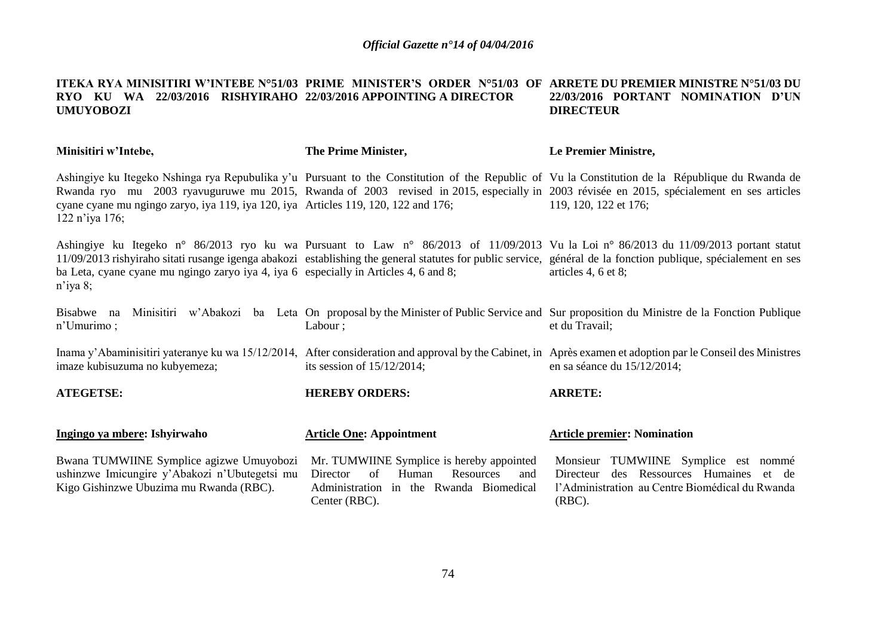## **ITEKA RYA MINISITIRI W'INTEBE N°51/03 PRIME MINISTER'S ORDER N°51/03 OF ARRETE DU PREMIER MINISTRE N°51/03 DU RYO KU WA 22/03/2016 RISHYIRAHO 22/03/2016 APPOINTING A DIRECTOR UMUYOBOZI 22/03/2016 PORTANT NOMINATION D'UN DIRECTEUR**

| Minisitiri w'Intebe,                                                                                                                 | The Prime Minister,                                                                                                                                  | Le Premier Ministre,                                                                                                                                                                                                                                                                                                          |
|--------------------------------------------------------------------------------------------------------------------------------------|------------------------------------------------------------------------------------------------------------------------------------------------------|-------------------------------------------------------------------------------------------------------------------------------------------------------------------------------------------------------------------------------------------------------------------------------------------------------------------------------|
| cyane cyane mu ngingo zaryo, iya 119, iya 120, iya Articles 119, 120, 122 and 176;<br>122 n'iya 176;                                 |                                                                                                                                                      | Ashingiye ku Itegeko Nshinga rya Repubulika y'u Pursuant to the Constitution of the Republic of Vu la Constitution de la République du Rwanda de<br>Rwanda ryo mu 2003 ryavuguruwe mu 2015, Rwanda of 2003 revised in 2015, especially in 2003 révisée en 2015, spécialement en ses articles<br>119, 120, 122 et 176;         |
| ba Leta, cyane cyane mu ngingo zaryo iya 4, iya 6 especially in Articles 4, 6 and 8;<br>$n$ 'iya 8;                                  |                                                                                                                                                      | Ashingiye ku Itegeko n° 86/2013 ryo ku wa Pursuant to Law n° 86/2013 of 11/09/2013 Vu la Loi n° 86/2013 du 11/09/2013 portant statut<br>11/09/2013 rishyiraho sitati rusange igenga abakozi establishing the general statutes for public service, général de la fonction publique, spécialement en ses<br>articles 4, 6 et 8; |
| Bisabwe na<br>$n'$ Umurimo;                                                                                                          | Labour;                                                                                                                                              | Minisitiri w'Abakozi ba Leta On proposal by the Minister of Public Service and Sur proposition du Ministre de la Fonction Publique<br>et du Travail;                                                                                                                                                                          |
| imaze kubisuzuma no kubyemeza;                                                                                                       | its session of $15/12/2014$ ;                                                                                                                        | Inama y'Abaminisitiri yateranye ku wa 15/12/2014, After consideration and approval by the Cabinet, in Après examen et adoption par le Conseil des Ministres<br>en sa séance du $15/12/2014$ ;                                                                                                                                 |
| <b>ATEGETSE:</b>                                                                                                                     | <b>HEREBY ORDERS:</b>                                                                                                                                | <b>ARRETE:</b>                                                                                                                                                                                                                                                                                                                |
| Ingingo ya mbere: Ishyirwaho                                                                                                         | <b>Article One: Appointment</b>                                                                                                                      | <b>Article premier: Nomination</b>                                                                                                                                                                                                                                                                                            |
| Bwana TUMWIINE Symplice agizwe Umuyobozi<br>ushinzwe Imicungire y'Abakozi n'Ubutegetsi mu<br>Kigo Gishinzwe Ubuzima mu Rwanda (RBC). | Mr. TUMWIINE Symplice is hereby appointed<br>of<br>Human<br>Resources<br>Director<br>and<br>Administration in the Rwanda Biomedical<br>Center (RBC). | Monsieur TUMWIINE Symplice est nommé<br>des Ressources Humaines et de<br>Directeur<br>l'Administration au Centre Biomédical du Rwanda<br>$(RBC)$ .                                                                                                                                                                            |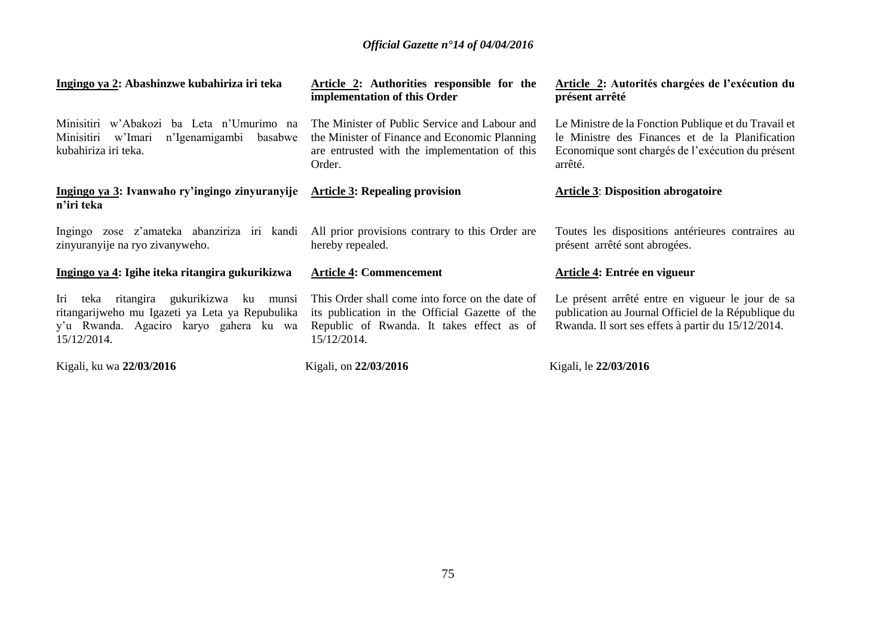| Ingingo ya 2: Abashinzwe kubahiriza iri teka                                                                                                                    | <b>Article 2:</b> Authorities responsible for the<br>implementation of this Order                                                                             | Article 2: Autorités chargées de l'exécution du<br>présent arrêté                                                                                                       |
|-----------------------------------------------------------------------------------------------------------------------------------------------------------------|---------------------------------------------------------------------------------------------------------------------------------------------------------------|-------------------------------------------------------------------------------------------------------------------------------------------------------------------------|
| Minisitiri w'Abakozi ba Leta n'Umurimo na<br>Minisitiri<br>n'Igenamigambi<br>w'Imari<br>basabwe<br>kubahiriza iri teka.                                         | The Minister of Public Service and Labour and<br>the Minister of Finance and Economic Planning<br>are entrusted with the implementation of this<br>Order.     | Le Ministre de la Fonction Publique et du Travail et<br>le Ministre des Finances et de la Planification<br>Economique sont chargés de l'exécution du présent<br>arrêté. |
| Ingingo ya 3: Ivanwaho ry'ingingo zinyuranyije<br>n'iri teka                                                                                                    | <b>Article 3: Repealing provision</b>                                                                                                                         | <b>Article 3: Disposition abrogatoire</b>                                                                                                                               |
| Ingingo zose z'amateka abanziriza iri kandi<br>zinyuranyije na ryo zivanyweho.                                                                                  | All prior provisions contrary to this Order are<br>hereby repealed.                                                                                           | Toutes les dispositions antérieures contraires au<br>présent arrêté sont abrogées.                                                                                      |
| Ingingo ya 4: Igihe iteka ritangira gukurikizwa                                                                                                                 | <b>Article 4: Commencement</b>                                                                                                                                | Article 4: Entrée en vigueur                                                                                                                                            |
| ritangira gukurikizwa<br>ku<br>Iri<br>teka<br>munsi<br>ritangarijweho mu Igazeti ya Leta ya Repubulika<br>y'u Rwanda. Agaciro karyo gahera ku wa<br>15/12/2014. | This Order shall come into force on the date of<br>its publication in the Official Gazette of the<br>Republic of Rwanda. It takes effect as of<br>15/12/2014. | Le présent arrêté entre en vigueur le jour de sa<br>publication au Journal Officiel de la République du<br>Rwanda. Il sort ses effets à partir du 15/12/2014.           |
| Kigali, ku wa 22/03/2016                                                                                                                                        | Kigali, on 22/03/2016                                                                                                                                         | Kigali, le 22/03/2016                                                                                                                                                   |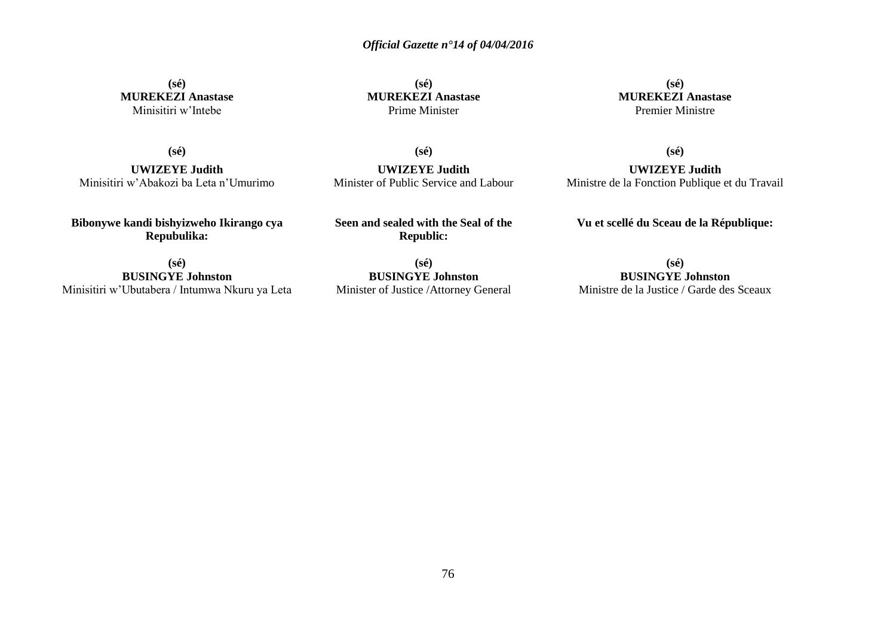**(sé) MUREKEZI Anastase** Minisitiri w'Intebe

**(sé) MUREKEZI Anastase** Prime Minister

**(sé)**

**UWIZEYE Judith** Minister of Public Service and Labour

**(sé) MUREKEZI Anastase** Premier Ministre

**(sé)**

**UWIZEYE Judith** Minisitiri w'Abakozi ba Leta n'Umurimo

**Bibonywe kandi bishyizweho Ikirango cya Repubulika:**

**Seen and sealed with the Seal of the Republic:**

**(sé) BUSINGYE Johnston** Minisitiri w'Ubutabera / Intumwa Nkuru ya Leta

**(sé) BUSINGYE Johnston** Minister of Justice /Attorney General

**(sé)**

**UWIZEYE Judith** Ministre de la Fonction Publique et du Travail

**Vu et scellé du Sceau de la République:**

**(sé) BUSINGYE Johnston** Ministre de la Justice / Garde des Sceaux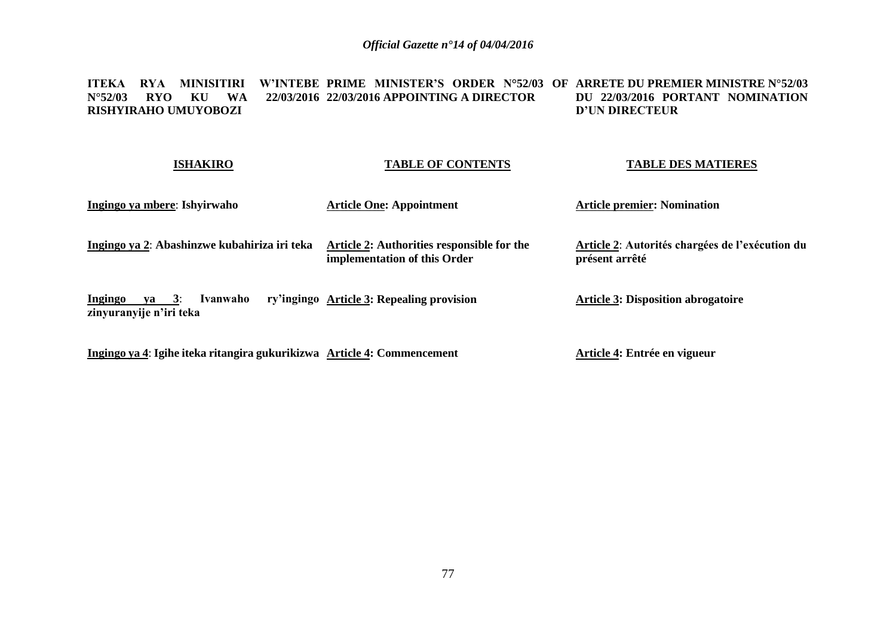## **ITEKA RYA MINISITIRI W'INTEBE PRIME MINISTER'S ORDER N°52/03 OF ARRETE DU PREMIER MINISTRE N°52/03 N°52/03 RYO KU WA 22/03/2016 22/03/2016 APPOINTING A DIRECTOR RISHYIRAHO UMUYOBOZI DU 22/03/2016 PORTANT NOMINATION D'UN DIRECTEUR**

| <b>ISHAKIRO</b>                                            | <b>TABLE OF CONTENTS</b>                                                   | <b>TABLE DES MATIERES</b>                                         |
|------------------------------------------------------------|----------------------------------------------------------------------------|-------------------------------------------------------------------|
| Ingingo ya mbere: Ishyirwaho                               | <b>Article One: Appointment</b>                                            | <b>Article premier: Nomination</b>                                |
| Ingingo ya 2: Abashinzwe kubahiriza iri teka               | Article 2: Authorities responsible for the<br>implementation of this Order | Article 2: Autorités chargées de l'exécution du<br>présent arrêté |
| Ingingo<br>ya $3$ :<br>Ivanwaho<br>zinyuranyije n'iri teka | ry'ingingo Article 3: Repealing provision                                  | <b>Article 3: Disposition abrogatoire</b>                         |
|                                                            |                                                                            |                                                                   |

**Ingingo ya 4**: **Igihe iteka ritangira gukurikizwa Article 4: Commencement**

**Article 4: Entrée en vigueur**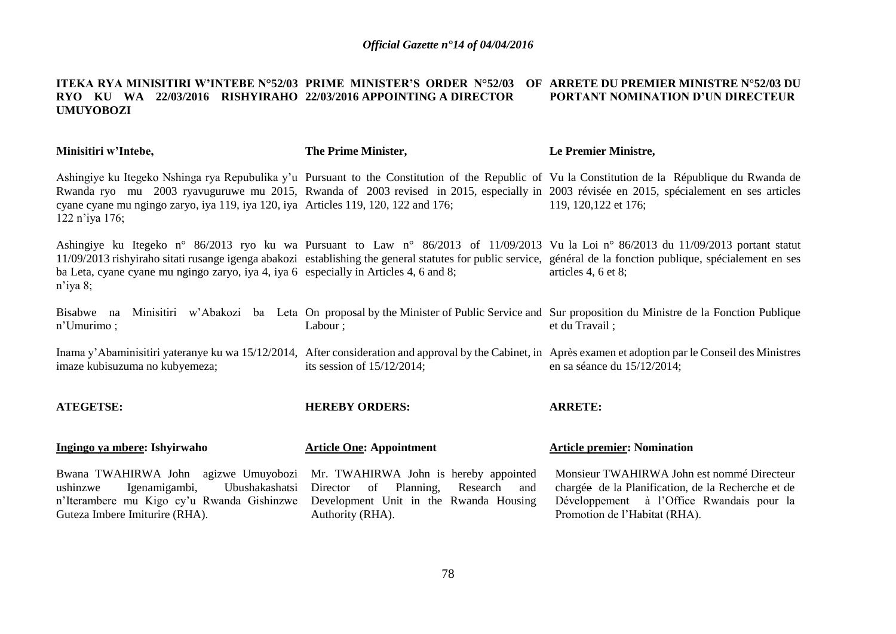## **ITEKA RYA MINISITIRI W'INTEBE N°52/03 PRIME MINISTER'S ORDER N°52/03 OF ARRETE DU PREMIER MINISTRE N°52/03 DU RYO KU WA 22/03/2016 RISHYIRAHO 22/03/2016 APPOINTING A DIRECTOR UMUYOBOZI PORTANT NOMINATION D'UN DIRECTEUR**

| Minisitiri w'Intebe,                                                                                                                                                                                      | The Prime Minister,                                                                                          | Le Premier Ministre,                                                                                                                                                                                                                                                                                                          |
|-----------------------------------------------------------------------------------------------------------------------------------------------------------------------------------------------------------|--------------------------------------------------------------------------------------------------------------|-------------------------------------------------------------------------------------------------------------------------------------------------------------------------------------------------------------------------------------------------------------------------------------------------------------------------------|
| cyane cyane mu ngingo zaryo, iya 119, iya 120, iya Articles 119, 120, 122 and 176;<br>122 n'iya 176;                                                                                                      |                                                                                                              | Ashingiye ku Itegeko Nshinga rya Repubulika y'u Pursuant to the Constitution of the Republic of Vu la Constitution de la République du Rwanda de<br>Rwanda ryo mu 2003 ryavuguruwe mu 2015, Rwanda of 2003 revised in 2015, especially in 2003 révisée en 2015, spécialement en ses articles<br>119, 120, 122 et 176;         |
| ba Leta, cyane cyane mu ngingo zaryo, iya 4, iya 6 especially in Articles 4, 6 and 8;<br>$n$ 'iya 8;                                                                                                      |                                                                                                              | Ashingiye ku Itegeko n° 86/2013 ryo ku wa Pursuant to Law n° 86/2013 of 11/09/2013 Vu la Loi n° 86/2013 du 11/09/2013 portant statut<br>11/09/2013 rishyiraho sitati rusange igenga abakozi establishing the general statutes for public service, général de la fonction publique, spécialement en ses<br>articles 4, 6 et 8; |
| Bisabwe na<br>$n'$ Umurimo;                                                                                                                                                                               | Labour ;                                                                                                     | Minisitiri w'Abakozi ba Leta On proposal by the Minister of Public Service and Sur proposition du Ministre de la Fonction Publique<br>et du Travail;                                                                                                                                                                          |
| imaze kubisuzuma no kubyemeza;                                                                                                                                                                            | its session of $15/12/2014$ ;                                                                                | Inama y'Abaminisitiri yateranye ku wa 15/12/2014, After consideration and approval by the Cabinet, in Après examen et adoption par le Conseil des Ministres<br>en sa séance du $15/12/2014$ ;                                                                                                                                 |
| <b>ATEGETSE:</b>                                                                                                                                                                                          | <b>HEREBY ORDERS:</b>                                                                                        | <b>ARRETE:</b>                                                                                                                                                                                                                                                                                                                |
| Ingingo ya mbere: Ishyirwaho                                                                                                                                                                              | <b>Article One: Appointment</b>                                                                              | <b>Article premier: Nomination</b>                                                                                                                                                                                                                                                                                            |
| Bwana TWAHIRWA John agizwe Umuyobozi Mr. TWAHIRWA John is hereby appointed<br>Igenamigambi,<br>Ubushakashatsi<br>ushinzwe<br>n'Iterambere mu Kigo cy'u Rwanda Gishinzwe<br>Guteza Imbere Imiturire (RHA). | Planning,<br>Director<br>of<br>Research<br>and<br>Development Unit in the Rwanda Housing<br>Authority (RHA). | Monsieur TWAHIRWA John est nommé Directeur<br>chargée de la Planification, de la Recherche et de<br>Développement à l'Office Rwandais pour la<br>Promotion de l'Habitat (RHA).                                                                                                                                                |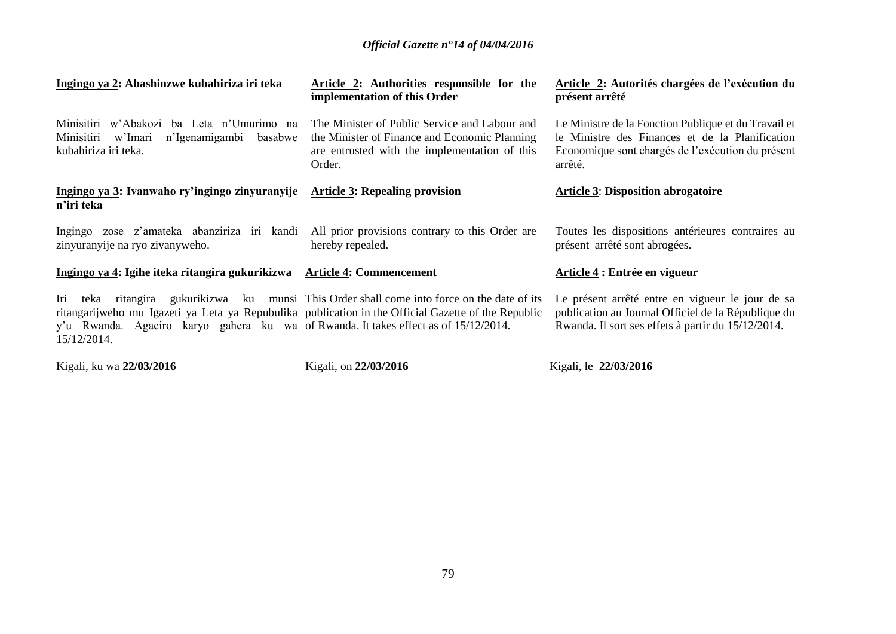| Ingingo ya 2: Abashinzwe kubahiriza iri teka                                                                                                                                                                             | Article 2: Authorities responsible for the<br>implementation of this Order                                                                                | Article 2: Autorités chargées de l'exécution du<br>présent arrêté                                                                                                       |
|--------------------------------------------------------------------------------------------------------------------------------------------------------------------------------------------------------------------------|-----------------------------------------------------------------------------------------------------------------------------------------------------------|-------------------------------------------------------------------------------------------------------------------------------------------------------------------------|
| Minisitiri w'Abakozi ba Leta n'Umurimo na<br>n'Igenamigambi<br>Minisitiri<br>w'Imari<br>basabwe<br>kubahiriza iri teka.                                                                                                  | The Minister of Public Service and Labour and<br>the Minister of Finance and Economic Planning<br>are entrusted with the implementation of this<br>Order. | Le Ministre de la Fonction Publique et du Travail et<br>le Ministre des Finances et de la Planification<br>Economique sont chargés de l'exécution du présent<br>arrêté. |
| Ingingo ya 3: Ivanwaho ry'ingingo zinyuranyije<br>n'iri teka                                                                                                                                                             | <b>Article 3: Repealing provision</b>                                                                                                                     | <b>Article 3: Disposition abrogatoire</b>                                                                                                                               |
| Ingingo zose z'amateka abanziriza iri kandi<br>zinyuranyije na ryo zivanyweho.                                                                                                                                           | All prior provisions contrary to this Order are<br>hereby repealed.                                                                                       | Toutes les dispositions antérieures contraires au<br>présent arrêté sont abrogées.                                                                                      |
| Ingingo ya 4: Igihe iteka ritangira gukurikizwa                                                                                                                                                                          | <b>Article 4: Commencement</b>                                                                                                                            | Article 4 : Entrée en vigueur                                                                                                                                           |
| Iri<br>teka<br>ritangarijweho mu Igazeti ya Leta ya Repubulika publication in the Official Gazette of the Republic<br>y'u Rwanda. Agaciro karyo gahera ku wa of Rwanda. It takes effect as of 15/12/2014.<br>15/12/2014. | ritangira gukurikizwa ku munsi This Order shall come into force on the date of its                                                                        | Le présent arrêté entre en vigueur le jour de sa<br>publication au Journal Officiel de la République du<br>Rwanda. Il sort ses effets à partir du 15/12/2014.           |
| Kigali, ku wa 22/03/2016                                                                                                                                                                                                 | Kigali, on 22/03/2016                                                                                                                                     | Kigali, le 22/03/2016                                                                                                                                                   |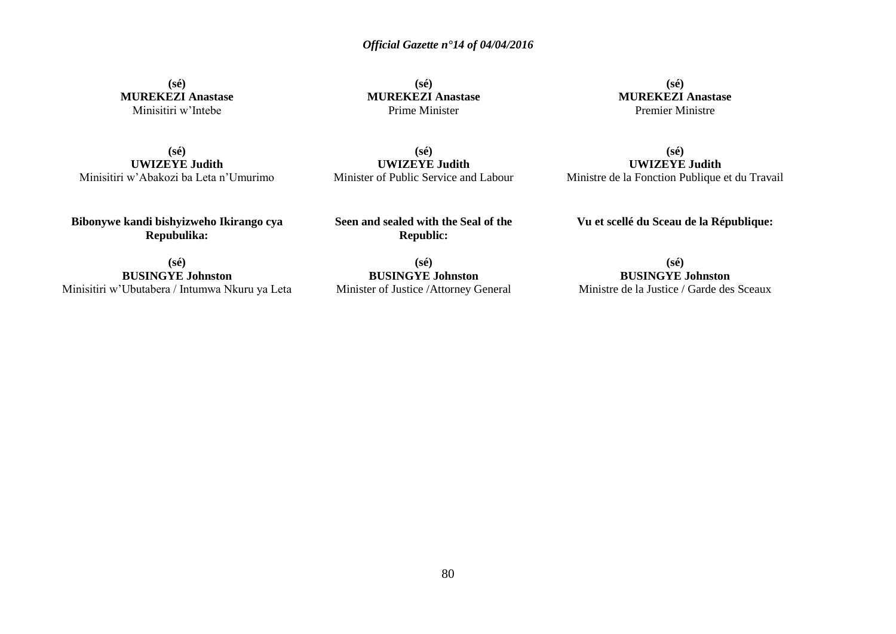**(sé) MUREKEZI Anastase** Minisitiri w'Intebe

**(sé) MUREKEZI Anastase** Prime Minister

**(sé) MUREKEZI Anastase** Premier Ministre

**(sé) UWIZEYE Judith** Minisitiri w'Abakozi ba Leta n'Umurimo

**(sé) UWIZEYE Judith** Minister of Public Service and Labour

**(sé) UWIZEYE Judith** Ministre de la Fonction Publique et du Travail

**Bibonywe kandi bishyizweho Ikirango cya Repubulika:**

**Seen and sealed with the Seal of the Republic:**

**(sé)**

**(sé) BUSINGYE Johnston** Minisitiri w'Ubutabera / Intumwa Nkuru ya Leta

**BUSINGYE Johnston** Minister of Justice /Attorney General

**(sé) BUSINGYE Johnston** Ministre de la Justice / Garde des Sceaux

**Vu et scellé du Sceau de la République:**

80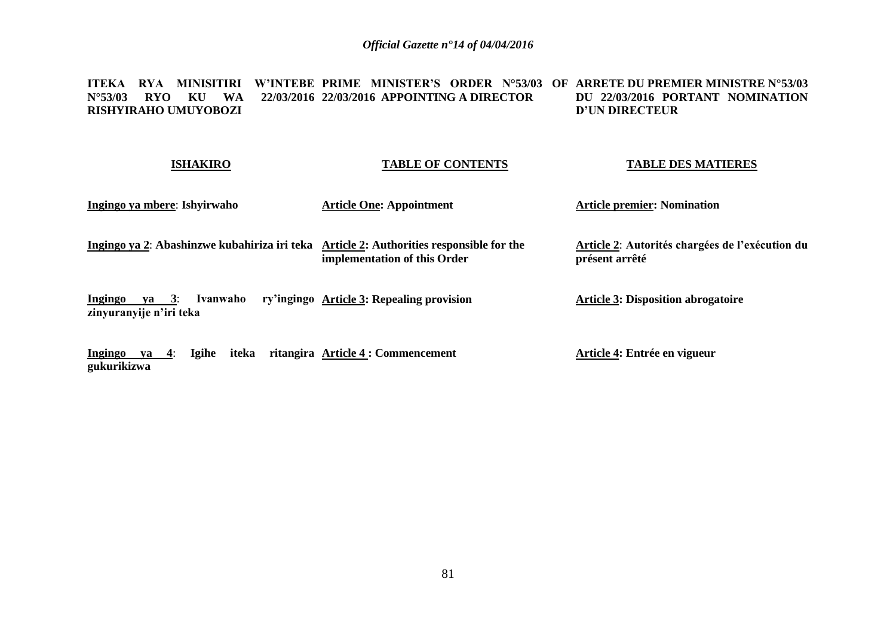## **ITEKA RYA MINISITIRI W'INTEBE PRIME MINISTER'S ORDER N°53/03 OF ARRETE DU PREMIER MINISTRE N°53/03 N°53/03 RYO KU WA 22/03/2016 22/03/2016 APPOINTING A DIRECTOR RISHYIRAHO UMUYOBOZI DU 22/03/2016 PORTANT NOMINATION D'UN DIRECTEUR**

| <b>ISHAKIRO</b>                                                 | <b>TABLE OF CONTENTS</b>                                                   | <b>TABLE DES MATIERES</b>                                         |
|-----------------------------------------------------------------|----------------------------------------------------------------------------|-------------------------------------------------------------------|
| Ingingo ya mbere: Ishyirwaho                                    | <b>Article One: Appointment</b>                                            | <b>Article premier: Nomination</b>                                |
| Ingingo ya 2: Abashinzwe kubahiriza iri teka                    | Article 2: Authorities responsible for the<br>implementation of this Order | Article 2: Autorités chargées de l'exécution du<br>présent arrêté |
| Ingingo<br>Ivanwaho<br>$ya \quad 3:$<br>zinyuranyije n'iri teka | ry'ingingo Article 3: Repealing provision                                  | <b>Article 3: Disposition abrogatoire</b>                         |
| Ingingo<br><b>Igihe</b><br>iteka<br>$ya = 4$ :                  | ritangira Article 4 : Commencement                                         | Article 4: Entrée en vigueur                                      |

**gukurikizwa**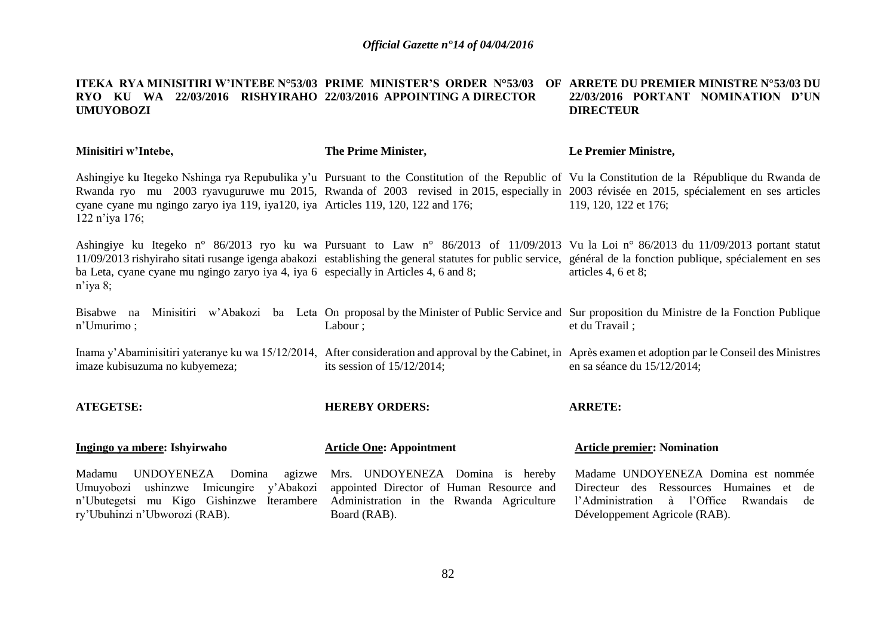## **ITEKA RYA MINISITIRI W'INTEBE N°53/03 PRIME MINISTER'S ORDER N°53/03 OF ARRETE DU PREMIER MINISTRE N°53/03 DU RYO KU WA 22/03/2016 RISHYIRAHO 22/03/2016 APPOINTING A DIRECTOR UMUYOBOZI 22/03/2016 PORTANT NOMINATION D'UN DIRECTEUR**

| Minisitiri w'Intebe,                                                                                                                                                    | The Prime Minister,                                                                                                                      | Le Premier Ministre,                                                                                                                                                                                                                                                                                                            |
|-------------------------------------------------------------------------------------------------------------------------------------------------------------------------|------------------------------------------------------------------------------------------------------------------------------------------|---------------------------------------------------------------------------------------------------------------------------------------------------------------------------------------------------------------------------------------------------------------------------------------------------------------------------------|
| cyane cyane mu ngingo zaryo iya 119, iya120, iya Articles 119, 120, 122 and 176;<br>122 n'iya 176;                                                                      |                                                                                                                                          | Ashingiye ku Itegeko Nshinga rya Repubulika y'u Pursuant to the Constitution of the Republic of Vu la Constitution de la République du Rwanda de<br>Rwanda ryo mu 2003 ryavuguruwe mu 2015, Rwanda of 2003 revised in 2015, especially in 2003 révisée en 2015, spécialement en ses articles<br>119, 120, 122 et 176;           |
| ba Leta, cyane cyane mu ngingo zaryo iya 4, iya 6 especially in Articles 4, 6 and 8;<br>$n$ <sup>'</sup> iya 8;                                                         |                                                                                                                                          | Ashingiye ku Itegeko n° 86/2013 ryo ku wa Pursuant to Law n° 86/2013 of 11/09/2013 Vu la Loi n° 86/2013 du 11/09/2013 portant statut<br>11/09/2013 rishyiraho sitati rusange igenga abakozi establishing the general statutes for public service, général de la fonction publique, spécialement en ses<br>articles 4, $6$ et 8; |
| Bisabwe na<br>n'Umurimo;                                                                                                                                                | Labour;                                                                                                                                  | Minisitiri w'Abakozi ba Leta On proposal by the Minister of Public Service and Sur proposition du Ministre de la Fonction Publique<br>et du Travail;                                                                                                                                                                            |
| imaze kubisuzuma no kubyemeza;                                                                                                                                          | its session of $15/12/2014$ ;                                                                                                            | Inama y'Abaminisitiri yateranye ku wa 15/12/2014, After consideration and approval by the Cabinet, in Après examen et adoption par le Conseil des Ministres<br>en sa séance du $15/12/2014$ ;                                                                                                                                   |
| <b>ATEGETSE:</b>                                                                                                                                                        | <b>HEREBY ORDERS:</b>                                                                                                                    | <b>ARRETE:</b>                                                                                                                                                                                                                                                                                                                  |
| Ingingo ya mbere: Ishyirwaho                                                                                                                                            | <b>Article One: Appointment</b>                                                                                                          | <b>Article premier: Nomination</b>                                                                                                                                                                                                                                                                                              |
| UNDOYENEZA<br>Madamu<br>Domina<br>agizwe<br>ushinzwe<br>Imicungire y'Abakozi<br>Umuyobozi<br>n'Ubutegetsi mu Kigo Gishinzwe Iterambere<br>ry'Ubuhinzi n'Ubworozi (RAB). | Mrs. UNDOYENEZA Domina is hereby<br>appointed Director of Human Resource and<br>Administration in the Rwanda Agriculture<br>Board (RAB). | Madame UNDOYENEZA Domina est nommée<br>Directeur des Ressources Humaines et<br>de<br>à l'Office<br>l'Administration<br>Rwandais<br>de<br>Développement Agricole (RAB).                                                                                                                                                          |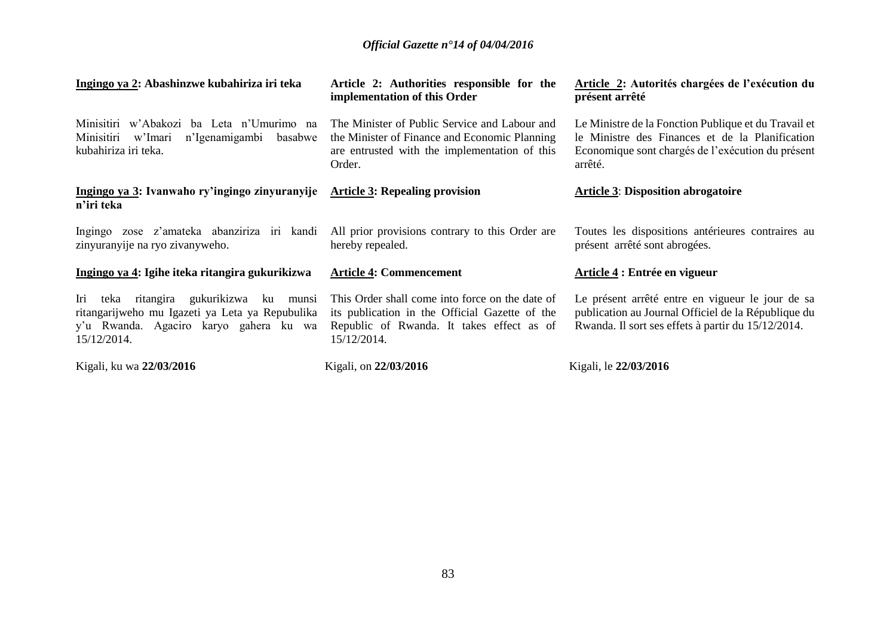| Ingingo ya 2: Abashinzwe kubahiriza iri teka                                                                                                              | Article 2: Authorities responsible for the<br>implementation of this Order                                                                                    | Article 2: Autorités chargées de l'exécution du<br>présent arrêté                                                                                                       |
|-----------------------------------------------------------------------------------------------------------------------------------------------------------|---------------------------------------------------------------------------------------------------------------------------------------------------------------|-------------------------------------------------------------------------------------------------------------------------------------------------------------------------|
| Minisitiri w'Abakozi ba Leta n'Umurimo na<br>n'Igenamigambi<br>Minisitiri<br>w'Imari<br>basabwe<br>kubahiriza iri teka.                                   | The Minister of Public Service and Labour and<br>the Minister of Finance and Economic Planning<br>are entrusted with the implementation of this<br>Order.     | Le Ministre de la Fonction Publique et du Travail et<br>le Ministre des Finances et de la Planification<br>Economique sont chargés de l'exécution du présent<br>arrêté. |
| Ingingo ya 3: Ivanwaho ry'ingingo zinyuranyije<br>n'iri teka                                                                                              | <b>Article 3: Repealing provision</b>                                                                                                                         | <b>Article 3: Disposition abrogatoire</b>                                                                                                                               |
| Ingingo zose z'amateka abanziriza iri kandi<br>zinyuranyije na ryo zivanyweho.                                                                            | All prior provisions contrary to this Order are<br>hereby repealed.                                                                                           | Toutes les dispositions antérieures contraires au<br>présent arrêté sont abrogées.                                                                                      |
| Ingingo ya 4: Igihe iteka ritangira gukurikizwa                                                                                                           | <b>Article 4: Commencement</b>                                                                                                                                | Article 4 : Entrée en vigueur                                                                                                                                           |
| teka ritangira gukurikizwa ku<br>Iri<br>munsi<br>ritangarijweho mu Igazeti ya Leta ya Repubulika<br>y'u Rwanda. Agaciro karyo gahera ku wa<br>15/12/2014. | This Order shall come into force on the date of<br>its publication in the Official Gazette of the<br>Republic of Rwanda. It takes effect as of<br>15/12/2014. | Le présent arrêté entre en vigueur le jour de sa<br>publication au Journal Officiel de la République du<br>Rwanda. Il sort ses effets à partir du 15/12/2014.           |
| Kigali, ku wa 22/03/2016                                                                                                                                  | Kigali, on 22/03/2016                                                                                                                                         | Kigali, le 22/03/2016                                                                                                                                                   |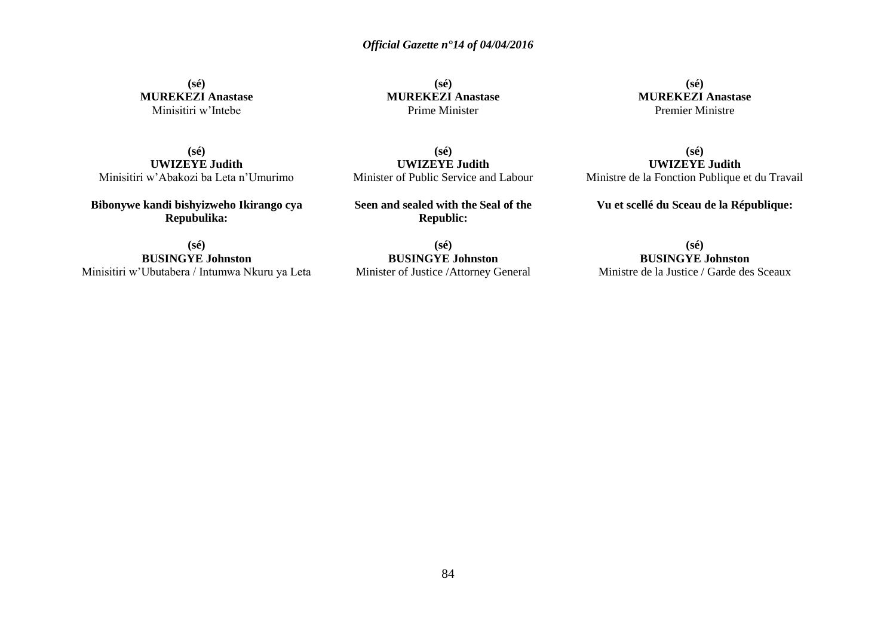**(sé) MUREKEZI Anastase** Minisitiri w'Intebe

**(sé) MUREKEZI Anastase** Prime Minister

**(sé) MUREKEZI Anastase** Premier Ministre

**(sé) UWIZEYE Judith** Minisitiri w'Abakozi ba Leta n'Umurimo

**Bibonywe kandi bishyizweho Ikirango cya Repubulika:**

**(sé) UWIZEYE Judith** Minister of Public Service and Labour

**Seen and sealed with the Seal of the Republic:**

**(sé) BUSINGYE Johnston** Minisitiri w'Ubutabera / Intumwa Nkuru ya Leta

**(sé) BUSINGYE Johnston** Minister of Justice /Attorney General

**UWIZEYE Judith** Ministre de la Fonction Publique et du Travail

**(sé)**

**Vu et scellé du Sceau de la République:**

**(sé) BUSINGYE Johnston** Ministre de la Justice / Garde des Sceaux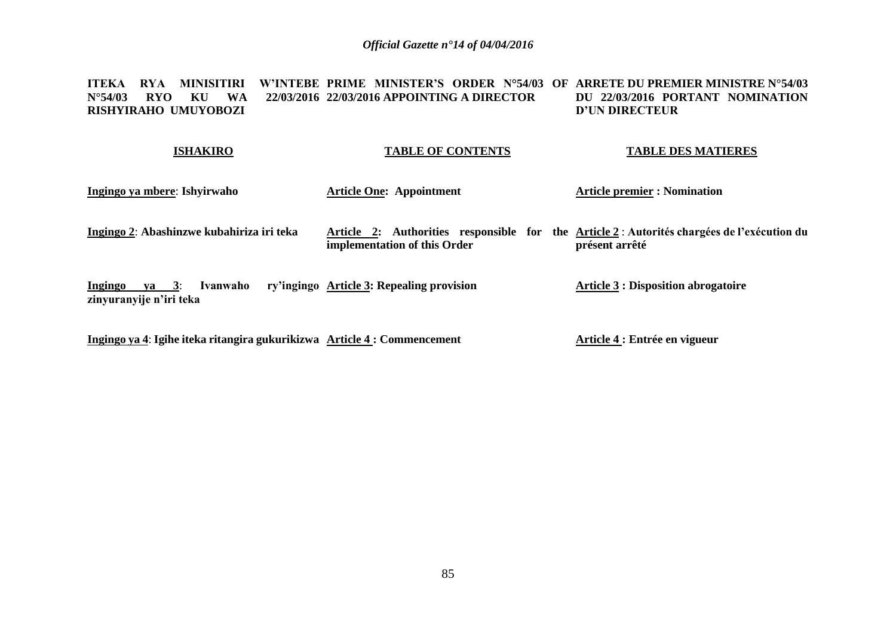#### **ITEKA RYA MINISITIRI W'INTEBE PRIME MINISTER'S ORDER N°54/03 OF ARRETE DU PREMIER MINISTRE N°54/03**  N°54/03 RYO KU WA **RISHYIRAHO UMUYOBOZI 22/03/2016 APPOINTING A DIRECTOR DU 22/03/2016 PORTANT NOMINATION D'UN DIRECTEUR**

# **ISHAKIRO Ingingo ya mbere**: **Ishyirwaho Ingingo 2**: **Abashinzwe kubahiriza iri teka Ingingo ya 3**: **Ivanwaho ry'ingingo Article 3: Repealing provision zinyuranyije n'iri teka TABLE OF CONTENTS Article One: Appointment Article 2: Authorities responsible for the Article 2** : **Autorités chargées de l'exécution du implementation of this Order TABLE DES MATIERES Article premier : Nomination présent arrêté Article 3 : Disposition abrogatoire**

**Ingingo ya 4**: **Igihe iteka ritangira gukurikizwa Article 4 : Commencement**

**Article 4 : Entrée en vigueur**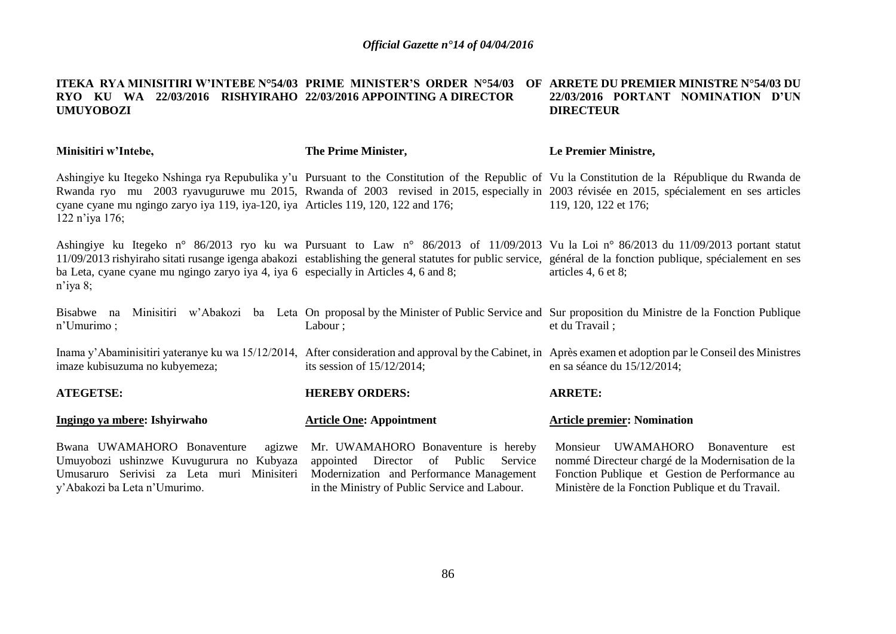## **ITEKA RYA MINISITIRI W'INTEBE N°54/03 PRIME MINISTER'S ORDER N°54/03 OF ARRETE DU PREMIER MINISTRE N°54/03 DU RYO KU WA 22/03/2016 RISHYIRAHO 22/03/2016 APPOINTING A DIRECTOR UMUYOBOZI 22/03/2016 PORTANT NOMINATION D'UN DIRECTEUR**

| Minisitiri w'Intebe,                                                                                                                                            | The Prime Minister,                                                                                                                                                            | Le Premier Ministre,                                                                                                                                                                                                                                                                                                          |
|-----------------------------------------------------------------------------------------------------------------------------------------------------------------|--------------------------------------------------------------------------------------------------------------------------------------------------------------------------------|-------------------------------------------------------------------------------------------------------------------------------------------------------------------------------------------------------------------------------------------------------------------------------------------------------------------------------|
| cyane cyane mu ngingo zaryo iya 119, iya-120, iya Articles 119, 120, 122 and 176;<br>122 n'iya 176;                                                             |                                                                                                                                                                                | Ashingiye ku Itegeko Nshinga rya Repubulika y'u Pursuant to the Constitution of the Republic of Vu la Constitution de la République du Rwanda de<br>Rwanda ryo mu 2003 ryavuguruwe mu 2015, Rwanda of 2003 revised in 2015, especially in 2003 révisée en 2015, spécialement en ses articles<br>119, 120, 122 et 176;         |
| ba Leta, cyane cyane mu ngingo zaryo iya 4, iya 6 especially in Articles 4, 6 and 8;<br>$n$ 'iya 8;                                                             |                                                                                                                                                                                | Ashingiye ku Itegeko n° 86/2013 ryo ku wa Pursuant to Law n° 86/2013 of 11/09/2013 Vu la Loi n° 86/2013 du 11/09/2013 portant statut<br>11/09/2013 rishyiraho sitati rusange igenga abakozi establishing the general statutes for public service, général de la fonction publique, spécialement en ses<br>articles 4, 6 et 8; |
| Bisabwe na<br>$n'$ Umurimo;                                                                                                                                     | Labour;                                                                                                                                                                        | Minisitiri w'Abakozi ba Leta On proposal by the Minister of Public Service and Sur proposition du Ministre de la Fonction Publique<br>et du Travail;                                                                                                                                                                          |
| imaze kubisuzuma no kubyemeza;                                                                                                                                  | its session of $15/12/2014$ ;                                                                                                                                                  | Inama y'Abaminisitiri yateranye ku wa 15/12/2014, After consideration and approval by the Cabinet, in Après examen et adoption par le Conseil des Ministres<br>en sa séance du $15/12/2014$ ;                                                                                                                                 |
| <b>ATEGETSE:</b>                                                                                                                                                | <b>HEREBY ORDERS:</b>                                                                                                                                                          | <b>ARRETE:</b>                                                                                                                                                                                                                                                                                                                |
| Ingingo ya mbere: Ishyirwaho                                                                                                                                    | <b>Article One: Appointment</b>                                                                                                                                                | <b>Article premier: Nomination</b>                                                                                                                                                                                                                                                                                            |
| Bwana UWAMAHORO Bonaventure<br>agizwe<br>Umuyobozi ushinzwe Kuvugurura no Kubyaza<br>Umusaruro Serivisi za Leta muri Minisiteri<br>y'Abakozi ba Leta n'Umurimo. | Mr. UWAMAHORO Bonaventure is hereby<br>appointed Director<br>of Public<br>Service<br>Modernization and Performance Management<br>in the Ministry of Public Service and Labour. | Monsieur<br><b>UWAMAHORO</b><br>Bonaventure<br>est<br>nommé Directeur chargé de la Modernisation de la<br>Fonction Publique et Gestion de Performance au<br>Ministère de la Fonction Publique et du Travail.                                                                                                                  |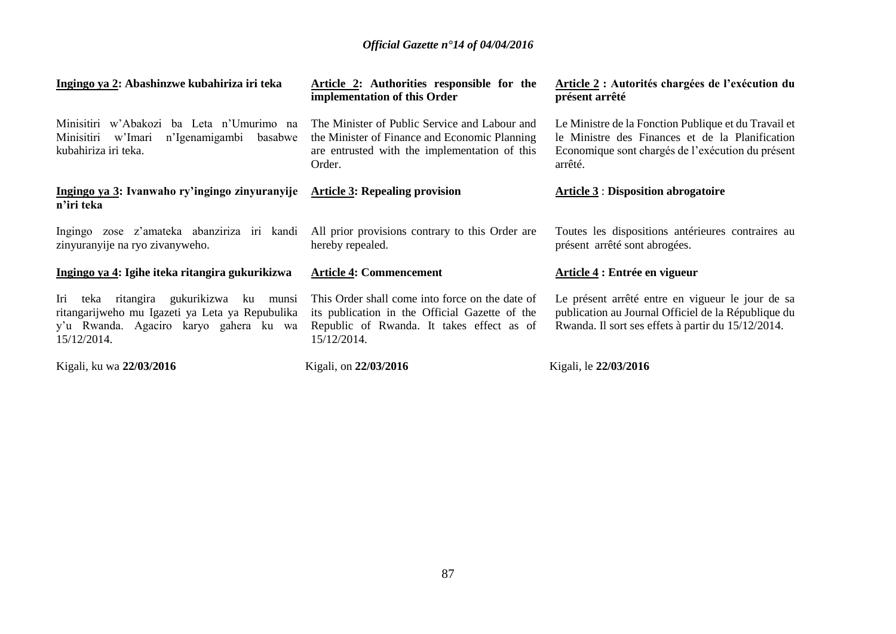| Ingingo ya 2: Abashinzwe kubahiriza iri teka                                                                                                                    | <b>Article 2:</b> Authorities responsible for the<br>implementation of this Order                                                                             | Article 2 : Autorités chargées de l'exécution du<br>présent arrêté                                                                                                      |
|-----------------------------------------------------------------------------------------------------------------------------------------------------------------|---------------------------------------------------------------------------------------------------------------------------------------------------------------|-------------------------------------------------------------------------------------------------------------------------------------------------------------------------|
| Minisitiri w'Abakozi ba Leta n'Umurimo na<br>n'Igenamigambi<br>Minisitiri<br>w'Imari<br>basabwe<br>kubahiriza iri teka.                                         | The Minister of Public Service and Labour and<br>the Minister of Finance and Economic Planning<br>are entrusted with the implementation of this<br>Order.     | Le Ministre de la Fonction Publique et du Travail et<br>le Ministre des Finances et de la Planification<br>Economique sont chargés de l'exécution du présent<br>arrêté. |
| Ingingo ya 3: Ivanwaho ry'ingingo zinyuranyije<br>n'iri teka                                                                                                    | <b>Article 3: Repealing provision</b>                                                                                                                         | <b>Article 3 : Disposition abrogatoire</b>                                                                                                                              |
| Ingingo zose z'amateka abanziriza iri kandi<br>zinyuranyije na ryo zivanyweho.                                                                                  | All prior provisions contrary to this Order are<br>hereby repealed.                                                                                           | Toutes les dispositions antérieures contraires au<br>présent arrêté sont abrogées.                                                                                      |
| Ingingo ya 4: Igihe iteka ritangira gukurikizwa                                                                                                                 | <b>Article 4: Commencement</b>                                                                                                                                | Article 4 : Entrée en vigueur                                                                                                                                           |
| ritangira gukurikizwa<br>Iri<br>teka<br>ku<br>munsi<br>ritangarijweho mu Igazeti ya Leta ya Repubulika<br>y'u Rwanda. Agaciro karyo gahera ku wa<br>15/12/2014. | This Order shall come into force on the date of<br>its publication in the Official Gazette of the<br>Republic of Rwanda. It takes effect as of<br>15/12/2014. | Le présent arrêté entre en vigueur le jour de sa<br>publication au Journal Officiel de la République du<br>Rwanda. Il sort ses effets à partir du 15/12/2014.           |
| Kigali, ku wa 22/03/2016                                                                                                                                        | Kigali, on 22/03/2016                                                                                                                                         | Kigali, le 22/03/2016                                                                                                                                                   |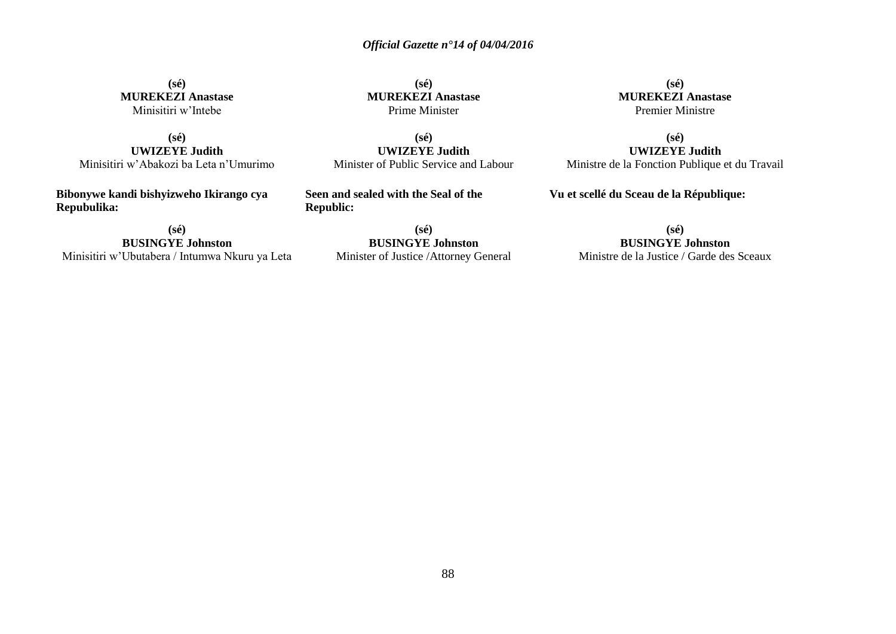**(sé) MUREKEZI Anastase** Minisitiri w'Intebe

**(sé) UWIZEYE Judith** Minisitiri w'Abakozi ba Leta n'Umurimo

**Bibonywe kandi bishyizweho Ikirango cya Repubulika:**

**(sé) BUSINGYE Johnston** Minisitiri w'Ubutabera / Intumwa Nkuru ya Leta

**(sé) MUREKEZI Anastase** Prime Minister

**(sé) UWIZEYE Judith** Minister of Public Service and Labour

**Seen and sealed with the Seal of the Republic:**

> **(sé) BUSINGYE Johnston** Minister of Justice /Attorney General

**(sé) MUREKEZI Anastase** Premier Ministre

**(sé) UWIZEYE Judith** Ministre de la Fonction Publique et du Travail

**Vu et scellé du Sceau de la République:**

**(sé)**

**BUSINGYE Johnston** Ministre de la Justice / Garde des Sceaux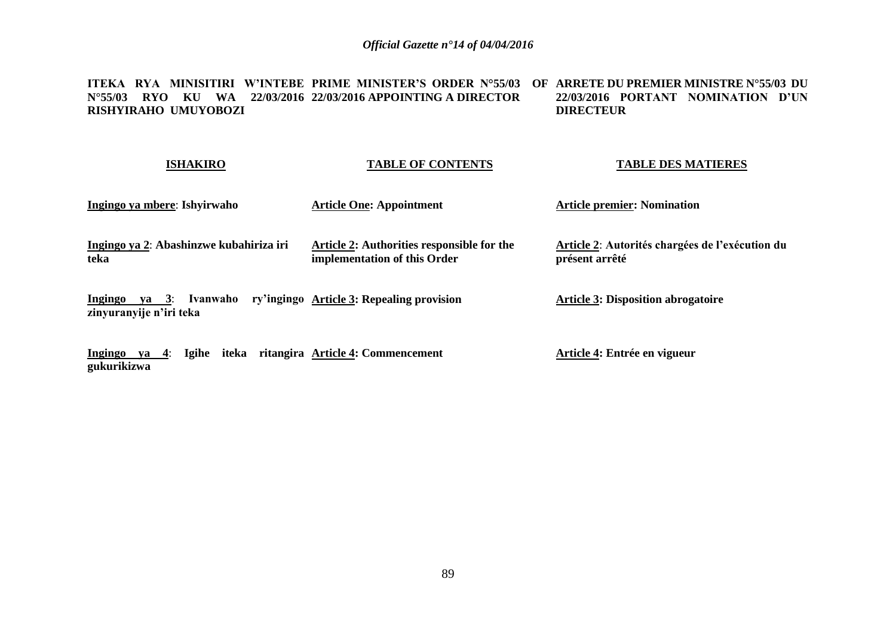**ITEKA RYA MINISITIRI W'INTEBE PRIME MINISTER'S ORDER N°55/03 OF ARRETE DU PREMIER MINISTRE N°55/03 DU N°55/03 RYO KU WA 22/03/2016 22/03/2016 APPOINTING A DIRECTOR RISHYIRAHO UMUYOBOZI 22/03/2016 PORTANT NOMINATION D'UN DIRECTEUR** 

| <b>TABLE OF CONTENTS</b>                                                   | <b>TABLE DES MATIERES</b>                                         |
|----------------------------------------------------------------------------|-------------------------------------------------------------------|
| <b>Article One: Appointment</b>                                            | <b>Article premier: Nomination</b>                                |
| Article 2: Authorities responsible for the<br>implementation of this Order | Article 2: Autorités chargées de l'exécution du<br>présent arrêté |
| ry'ingingo Article 3: Repealing provision                                  | <b>Article 3: Disposition abrogatoire</b>                         |
|                                                                            |                                                                   |

**Article 4: Entrée en vigueur**

**Ingingo ya 4**: **Igihe iteka ritangira Article 4: Commencement**

**gukurikizwa**

89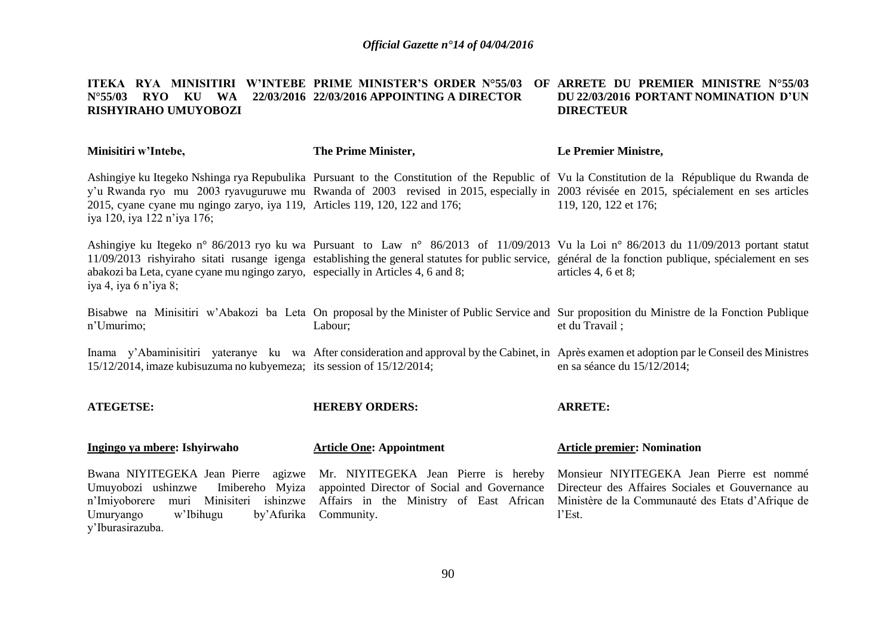## **ITEKA RYA MINISITIRI W'INTEBE PRIME MINISTER'S ORDER N°55/03 OF ARRETE DU PREMIER MINISTRE N°55/03 N°55/03 RYO KU WA 22/03/2016 22/03/2016 APPOINTING A DIRECTOR RISHYIRAHO UMUYOBOZI DU 22/03/2016 PORTANT NOMINATION D'UN DIRECTEUR**

| Minisitiri w'Intebe,                                                                                                                                                                     | The Prime Minister,                                                                                                                          | Le Premier Ministre,                                                                                                                                                                                                                                                                                                    |
|------------------------------------------------------------------------------------------------------------------------------------------------------------------------------------------|----------------------------------------------------------------------------------------------------------------------------------------------|-------------------------------------------------------------------------------------------------------------------------------------------------------------------------------------------------------------------------------------------------------------------------------------------------------------------------|
| 2015, cyane cyane mu ngingo zaryo, iya 119, Articles 119, 120, 122 and 176;<br>iya 120, iya 122 n'iya 176;                                                                               |                                                                                                                                              | Ashingiye ku Itegeko Nshinga rya Repubulika Pursuant to the Constitution of the Republic of Vu la Constitution de la République du Rwanda de<br>y'u Rwanda ryo mu 2003 ryavuguruwe mu Rwanda of 2003 revised in 2015, especially in 2003 révisée en 2015, spécialement en ses articles<br>119, 120, 122 et 176;         |
| abakozi ba Leta, cyane cyane mu ngingo zaryo, especially in Articles 4, 6 and 8;<br>iya 4, iya 6 n'iya 8;                                                                                |                                                                                                                                              | Ashingiye ku Itegeko n° 86/2013 ryo ku wa Pursuant to Law n° 86/2013 of 11/09/2013 Vu la Loi n° 86/2013 du 11/09/2013 portant statut<br>11/09/2013 rishyiraho sitati rusange igenga establishing the general statutes for public service, général de la fonction publique, spécialement en ses<br>articles 4, $6$ et 8; |
| n'Umurimo;                                                                                                                                                                               | Labour;                                                                                                                                      | Bisabwe na Minisitiri w'Abakozi ba Leta On proposal by the Minister of Public Service and Sur proposition du Ministre de la Fonction Publique<br>et du Travail;                                                                                                                                                         |
| 15/12/2014, imaze kubisuzuma no kubyemeza; its session of 15/12/2014;                                                                                                                    |                                                                                                                                              | Inama y'Abaminisitiri yateranye ku wa After consideration and approval by the Cabinet, in Après examen et adoption par le Conseil des Ministres<br>en sa séance du 15/12/2014;                                                                                                                                          |
| <b>ATEGETSE:</b>                                                                                                                                                                         | <b>HEREBY ORDERS:</b>                                                                                                                        | <b>ARRETE:</b>                                                                                                                                                                                                                                                                                                          |
| Ingingo ya mbere: Ishyirwaho                                                                                                                                                             | <b>Article One: Appointment</b>                                                                                                              | <b>Article premier: Nomination</b>                                                                                                                                                                                                                                                                                      |
| Bwana NIYITEGEKA Jean Pierre agizwe<br>Umuyobozi ushinzwe<br>Imibereho Myiza<br>Minisiteri<br>n'Imiyoborere muri<br>ishinzwe<br>w'Ibihugu<br>by'Afurika<br>Umuryango<br>y'Iburasirazuba. | Mr. NIYITEGEKA Jean Pierre is hereby<br>appointed Director of Social and Governance<br>Affairs in the Ministry of East African<br>Community. | Monsieur NIYITEGEKA Jean Pierre est nommé<br>Directeur des Affaires Sociales et Gouvernance au<br>Ministère de la Communauté des Etats d'Afrique de<br>l'Est.                                                                                                                                                           |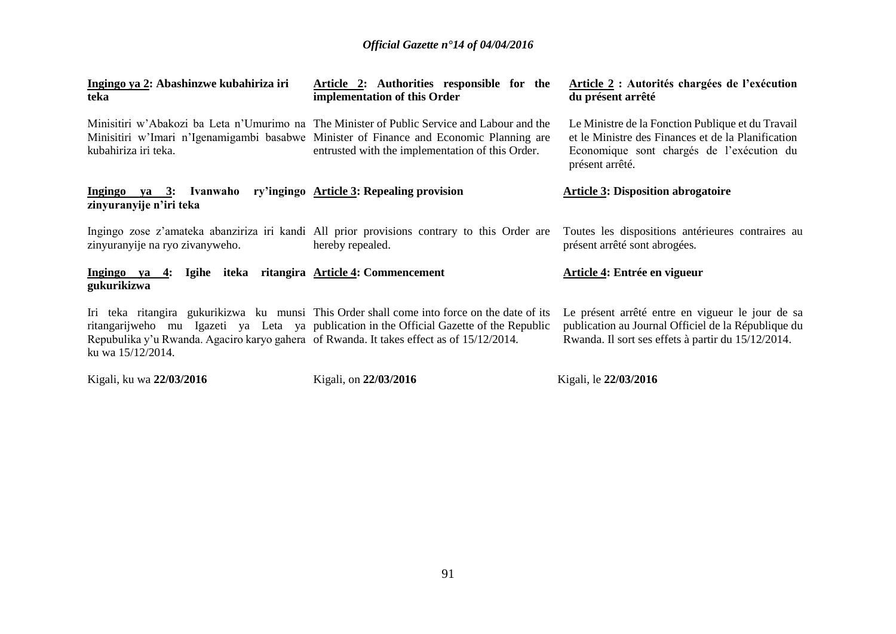| Ingingo ya 2: Abashinzwe kubahiriza iri<br>teka                                                               | Article 2: Authorities responsible for the<br>implementation of this Order                                                                                                                                                                 | Article 2 : Autorités chargées de l'exécution<br>du présent arrêté                                                                                                      |
|---------------------------------------------------------------------------------------------------------------|--------------------------------------------------------------------------------------------------------------------------------------------------------------------------------------------------------------------------------------------|-------------------------------------------------------------------------------------------------------------------------------------------------------------------------|
| kubahiriza iri teka.                                                                                          | Minisitiri w'Abakozi ba Leta n'Umurimo na The Minister of Public Service and Labour and the<br>Minisitiri w'Imari n'Igenamigambi basabwe Minister of Finance and Economic Planning are<br>entrusted with the implementation of this Order. | Le Ministre de la Fonction Publique et du Travail<br>et le Ministre des Finances et de la Planification<br>Economique sont chargés de l'exécution du<br>présent arrêté. |
| Ingingo ya 3: Ivanwaho ry'ingingo Article 3: Repealing provision<br>zinyuranyije n'iri teka                   |                                                                                                                                                                                                                                            | <b>Article 3: Disposition abrogatoire</b>                                                                                                                               |
| zinyuranyije na ryo zivanyweho.                                                                               | Ingingo zose z'amateka abanziriza iri kandi All prior provisions contrary to this Order are<br>hereby repealed.                                                                                                                            | Toutes les dispositions antérieures contraires au<br>présent arrêté sont abrogées.                                                                                      |
| Ingingo ya 4: Igihe iteka ritangira Article 4: Commencement<br>gukurikizwa                                    |                                                                                                                                                                                                                                            | <b>Article 4: Entrée en vigueur</b>                                                                                                                                     |
| Repubulika y'u Rwanda. Agaciro karyo gahera of Rwanda. It takes effect as of 15/12/2014.<br>ku wa 15/12/2014. | Iri teka ritangira gukurikizwa ku munsi This Order shall come into force on the date of its<br>ritangarijweho mu Igazeti ya Leta ya publication in the Official Gazette of the Republic                                                    | Le présent arrêté entre en vigueur le jour de sa<br>publication au Journal Officiel de la République du<br>Rwanda. Il sort ses effets à partir du 15/12/2014.           |
| Kigali, ku wa 22/03/2016                                                                                      | Kigali, on 22/03/2016                                                                                                                                                                                                                      | Kigali, le 22/03/2016                                                                                                                                                   |